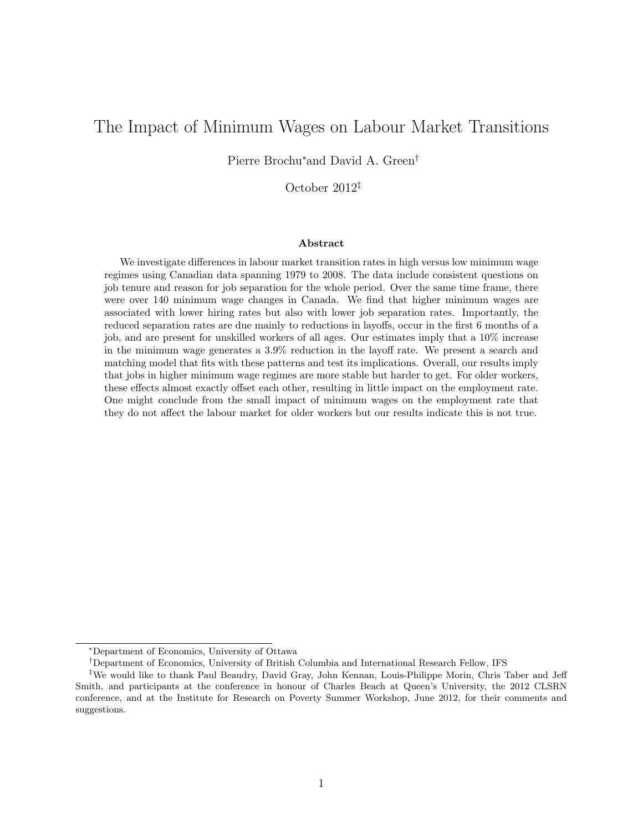# <span id="page-0-0"></span>The Impact of Minimum Wages on Labour Market Transitions

Pierre Brochu<sup>∗</sup>and David A. Green†

October 2012‡

#### Abstract

We investigate differences in labour market transition rates in high versus low minimum wage regimes using Canadian data spanning 1979 to 2008. The data include consistent questions on job tenure and reason for job separation for the whole period. Over the same time frame, there were over 140 minimum wage changes in Canada. We find that higher minimum wages are associated with lower hiring rates but also with lower job separation rates. Importantly, the reduced separation rates are due mainly to reductions in layoffs, occur in the first 6 months of a job, and are present for unskilled workers of all ages. Our estimates imply that a 10% increase in the minimum wage generates a 3.9% reduction in the layoff rate. We present a search and matching model that fits with these patterns and test its implications. Overall, our results imply that jobs in higher minimum wage regimes are more stable but harder to get. For older workers, these effects almost exactly offset each other, resulting in little impact on the employment rate. One might conclude from the small impact of minimum wages on the employment rate that they do not affect the labour market for older workers but our results indicate this is not true.

<sup>∗</sup>Department of Economics, University of Ottawa

<sup>†</sup>Department of Economics, University of British Columbia and International Research Fellow, IFS

<sup>‡</sup>We would like to thank Paul Beaudry, David Gray, John Kennan, Louis-Philippe Morin, Chris Taber and Jeff Smith, and participants at the conference in honour of Charles Beach at Queen's University, the 2012 CLSRN conference, and at the Institute for Research on Poverty Summer Workshop, June 2012, for their comments and suggestions.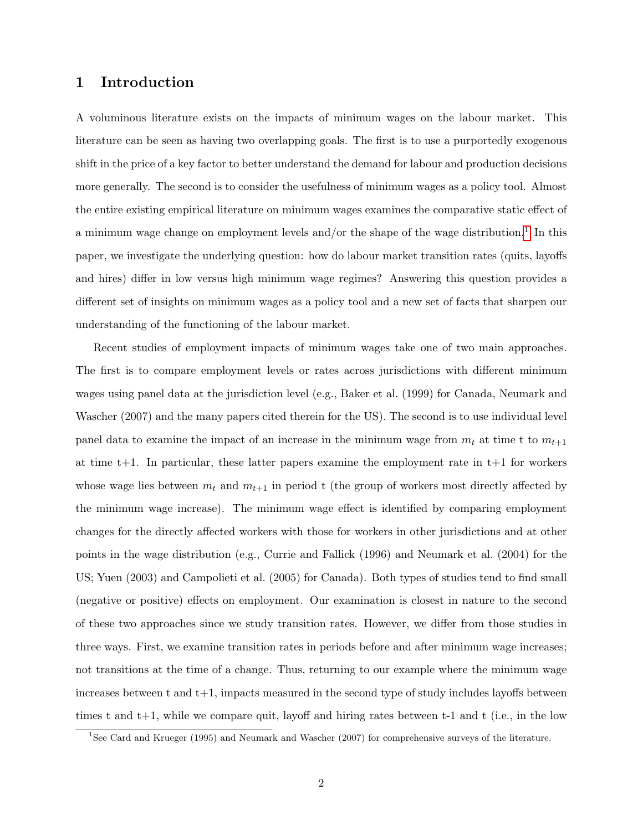### 1 Introduction

A voluminous literature exists on the impacts of minimum wages on the labour market. This literature can be seen as having two overlapping goals. The first is to use a purportedly exogenous shift in the price of a key factor to better understand the demand for labour and production decisions more generally. The second is to consider the usefulness of minimum wages as a policy tool. Almost the entire existing empirical literature on minimum wages examines the comparative static effect of a minimum wage change on employment levels and/or the shape of the wage distribution.<sup>[1](#page-0-0)</sup> In this paper, we investigate the underlying question: how do labour market transition rates (quits, layoffs and hires) differ in low versus high minimum wage regimes? Answering this question provides a different set of insights on minimum wages as a policy tool and a new set of facts that sharpen our understanding of the functioning of the labour market.

Recent studies of employment impacts of minimum wages take one of two main approaches. The first is to compare employment levels or rates across jurisdictions with different minimum wages using panel data at the jurisdiction level (e.g., Baker et al. (1999) for Canada, Neumark and Wascher (2007) and the many papers cited therein for the US). The second is to use individual level panel data to examine the impact of an increase in the minimum wage from  $m_t$  at time t to  $m_{t+1}$ at time  $t+1$ . In particular, these latter papers examine the employment rate in  $t+1$  for workers whose wage lies between  $m_t$  and  $m_{t+1}$  in period t (the group of workers most directly affected by the minimum wage increase). The minimum wage effect is identified by comparing employment changes for the directly affected workers with those for workers in other jurisdictions and at other points in the wage distribution (e.g., Currie and Fallick (1996) and Neumark et al. (2004) for the US; Yuen (2003) and Campolieti et al. (2005) for Canada). Both types of studies tend to find small (negative or positive) effects on employment. Our examination is closest in nature to the second of these two approaches since we study transition rates. However, we differ from those studies in three ways. First, we examine transition rates in periods before and after minimum wage increases; not transitions at the time of a change. Thus, returning to our example where the minimum wage increases between t and t+1, impacts measured in the second type of study includes layoffs between times t and  $t+1$ , while we compare quit, layoff and hiring rates between  $t-1$  and  $t$  (i.e., in the low

<sup>1</sup>See Card and Krueger (1995) and Neumark and Wascher (2007) for comprehensive surveys of the literature.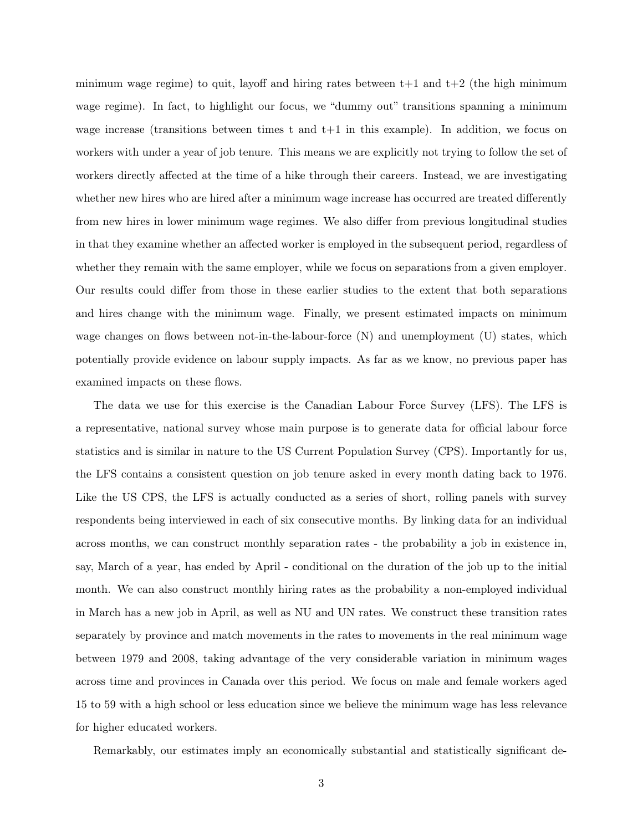minimum wage regime) to quit, layoff and hiring rates between  $t+1$  and  $t+2$  (the high minimum wage regime). In fact, to highlight our focus, we "dummy out" transitions spanning a minimum wage increase (transitions between times t and t+1 in this example). In addition, we focus on workers with under a year of job tenure. This means we are explicitly not trying to follow the set of workers directly affected at the time of a hike through their careers. Instead, we are investigating whether new hires who are hired after a minimum wage increase has occurred are treated differently from new hires in lower minimum wage regimes. We also differ from previous longitudinal studies in that they examine whether an affected worker is employed in the subsequent period, regardless of whether they remain with the same employer, while we focus on separations from a given employer. Our results could differ from those in these earlier studies to the extent that both separations and hires change with the minimum wage. Finally, we present estimated impacts on minimum wage changes on flows between not-in-the-labour-force (N) and unemployment (U) states, which potentially provide evidence on labour supply impacts. As far as we know, no previous paper has examined impacts on these flows.

The data we use for this exercise is the Canadian Labour Force Survey (LFS). The LFS is a representative, national survey whose main purpose is to generate data for official labour force statistics and is similar in nature to the US Current Population Survey (CPS). Importantly for us, the LFS contains a consistent question on job tenure asked in every month dating back to 1976. Like the US CPS, the LFS is actually conducted as a series of short, rolling panels with survey respondents being interviewed in each of six consecutive months. By linking data for an individual across months, we can construct monthly separation rates - the probability a job in existence in, say, March of a year, has ended by April - conditional on the duration of the job up to the initial month. We can also construct monthly hiring rates as the probability a non-employed individual in March has a new job in April, as well as NU and UN rates. We construct these transition rates separately by province and match movements in the rates to movements in the real minimum wage between 1979 and 2008, taking advantage of the very considerable variation in minimum wages across time and provinces in Canada over this period. We focus on male and female workers aged 15 to 59 with a high school or less education since we believe the minimum wage has less relevance for higher educated workers.

Remarkably, our estimates imply an economically substantial and statistically significant de-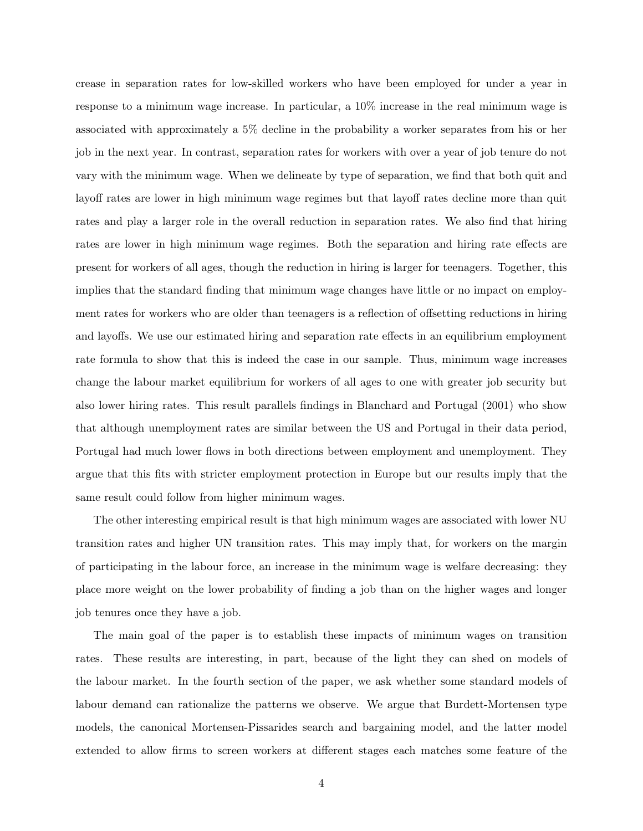crease in separation rates for low-skilled workers who have been employed for under a year in response to a minimum wage increase. In particular, a 10% increase in the real minimum wage is associated with approximately a 5% decline in the probability a worker separates from his or her job in the next year. In contrast, separation rates for workers with over a year of job tenure do not vary with the minimum wage. When we delineate by type of separation, we find that both quit and layoff rates are lower in high minimum wage regimes but that layoff rates decline more than quit rates and play a larger role in the overall reduction in separation rates. We also find that hiring rates are lower in high minimum wage regimes. Both the separation and hiring rate effects are present for workers of all ages, though the reduction in hiring is larger for teenagers. Together, this implies that the standard finding that minimum wage changes have little or no impact on employment rates for workers who are older than teenagers is a reflection of offsetting reductions in hiring and layoffs. We use our estimated hiring and separation rate effects in an equilibrium employment rate formula to show that this is indeed the case in our sample. Thus, minimum wage increases change the labour market equilibrium for workers of all ages to one with greater job security but also lower hiring rates. This result parallels findings in Blanchard and Portugal (2001) who show that although unemployment rates are similar between the US and Portugal in their data period, Portugal had much lower flows in both directions between employment and unemployment. They argue that this fits with stricter employment protection in Europe but our results imply that the same result could follow from higher minimum wages.

The other interesting empirical result is that high minimum wages are associated with lower NU transition rates and higher UN transition rates. This may imply that, for workers on the margin of participating in the labour force, an increase in the minimum wage is welfare decreasing: they place more weight on the lower probability of finding a job than on the higher wages and longer job tenures once they have a job.

The main goal of the paper is to establish these impacts of minimum wages on transition rates. These results are interesting, in part, because of the light they can shed on models of the labour market. In the fourth section of the paper, we ask whether some standard models of labour demand can rationalize the patterns we observe. We argue that Burdett-Mortensen type models, the canonical Mortensen-Pissarides search and bargaining model, and the latter model extended to allow firms to screen workers at different stages each matches some feature of the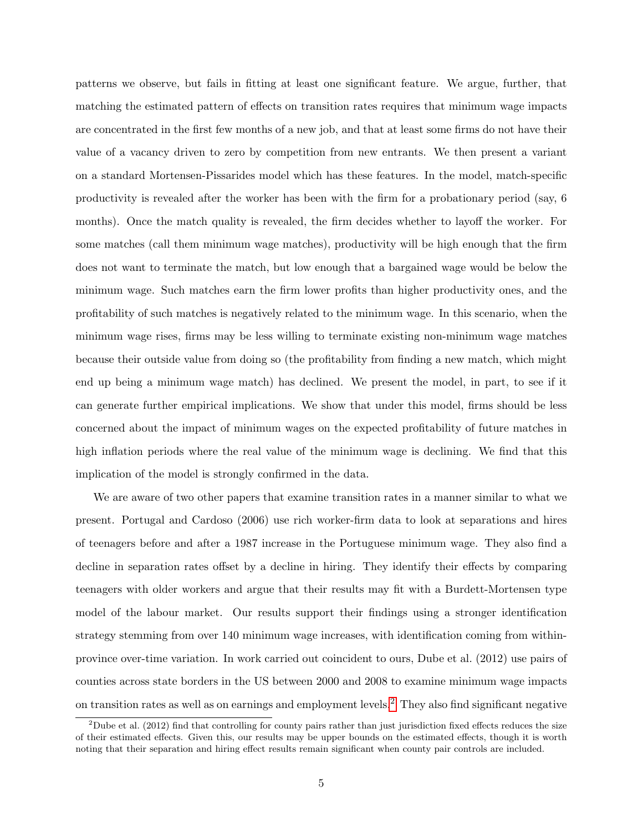patterns we observe, but fails in fitting at least one significant feature. We argue, further, that matching the estimated pattern of effects on transition rates requires that minimum wage impacts are concentrated in the first few months of a new job, and that at least some firms do not have their value of a vacancy driven to zero by competition from new entrants. We then present a variant on a standard Mortensen-Pissarides model which has these features. In the model, match-specific productivity is revealed after the worker has been with the firm for a probationary period (say, 6 months). Once the match quality is revealed, the firm decides whether to layoff the worker. For some matches (call them minimum wage matches), productivity will be high enough that the firm does not want to terminate the match, but low enough that a bargained wage would be below the minimum wage. Such matches earn the firm lower profits than higher productivity ones, and the profitability of such matches is negatively related to the minimum wage. In this scenario, when the minimum wage rises, firms may be less willing to terminate existing non-minimum wage matches because their outside value from doing so (the profitability from finding a new match, which might end up being a minimum wage match) has declined. We present the model, in part, to see if it can generate further empirical implications. We show that under this model, firms should be less concerned about the impact of minimum wages on the expected profitability of future matches in high inflation periods where the real value of the minimum wage is declining. We find that this implication of the model is strongly confirmed in the data.

We are aware of two other papers that examine transition rates in a manner similar to what we present. Portugal and Cardoso (2006) use rich worker-firm data to look at separations and hires of teenagers before and after a 1987 increase in the Portuguese minimum wage. They also find a decline in separation rates offset by a decline in hiring. They identify their effects by comparing teenagers with older workers and argue that their results may fit with a Burdett-Mortensen type model of the labour market. Our results support their findings using a stronger identification strategy stemming from over 140 minimum wage increases, with identification coming from withinprovince over-time variation. In work carried out coincident to ours, Dube et al. (2012) use pairs of counties across state borders in the US between 2000 and 2008 to examine minimum wage impacts on transition rates as well as on earnings and employment levels.[2](#page-0-0) They also find significant negative

 $2$ Dube et al. (2012) find that controlling for county pairs rather than just jurisdiction fixed effects reduces the size of their estimated effects. Given this, our results may be upper bounds on the estimated effects, though it is worth noting that their separation and hiring effect results remain significant when county pair controls are included.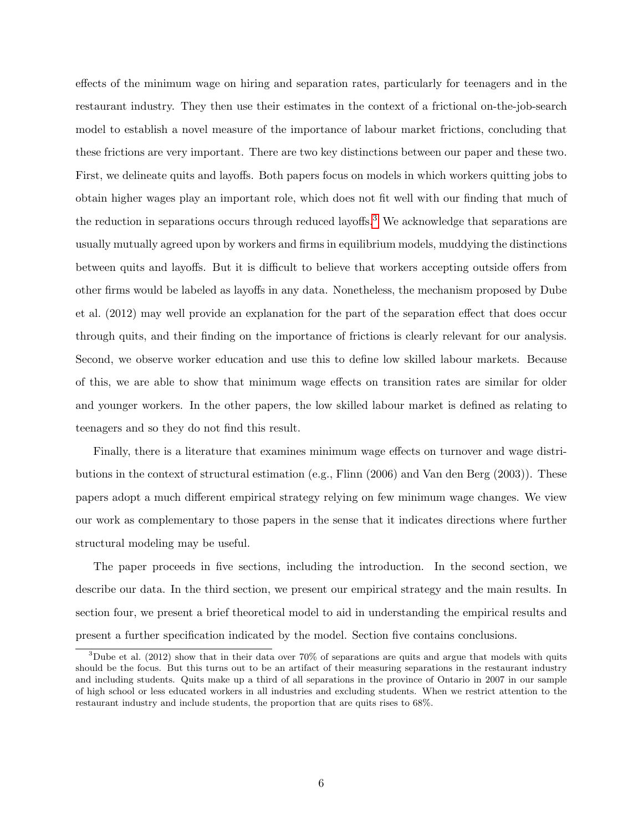effects of the minimum wage on hiring and separation rates, particularly for teenagers and in the restaurant industry. They then use their estimates in the context of a frictional on-the-job-search model to establish a novel measure of the importance of labour market frictions, concluding that these frictions are very important. There are two key distinctions between our paper and these two. First, we delineate quits and layoffs. Both papers focus on models in which workers quitting jobs to obtain higher wages play an important role, which does not fit well with our finding that much of the reduction in separations occurs through reduced layoffs.<sup>[3](#page-0-0)</sup> We acknowledge that separations are usually mutually agreed upon by workers and firms in equilibrium models, muddying the distinctions between quits and layoffs. But it is difficult to believe that workers accepting outside offers from other firms would be labeled as layoffs in any data. Nonetheless, the mechanism proposed by Dube et al. (2012) may well provide an explanation for the part of the separation effect that does occur through quits, and their finding on the importance of frictions is clearly relevant for our analysis. Second, we observe worker education and use this to define low skilled labour markets. Because of this, we are able to show that minimum wage effects on transition rates are similar for older and younger workers. In the other papers, the low skilled labour market is defined as relating to teenagers and so they do not find this result.

Finally, there is a literature that examines minimum wage effects on turnover and wage distributions in the context of structural estimation (e.g., Flinn (2006) and Van den Berg (2003)). These papers adopt a much different empirical strategy relying on few minimum wage changes. We view our work as complementary to those papers in the sense that it indicates directions where further structural modeling may be useful.

The paper proceeds in five sections, including the introduction. In the second section, we describe our data. In the third section, we present our empirical strategy and the main results. In section four, we present a brief theoretical model to aid in understanding the empirical results and present a further specification indicated by the model. Section five contains conclusions.

<sup>3</sup>Dube et al. (2012) show that in their data over 70% of separations are quits and argue that models with quits should be the focus. But this turns out to be an artifact of their measuring separations in the restaurant industry and including students. Quits make up a third of all separations in the province of Ontario in 2007 in our sample of high school or less educated workers in all industries and excluding students. When we restrict attention to the restaurant industry and include students, the proportion that are quits rises to 68%.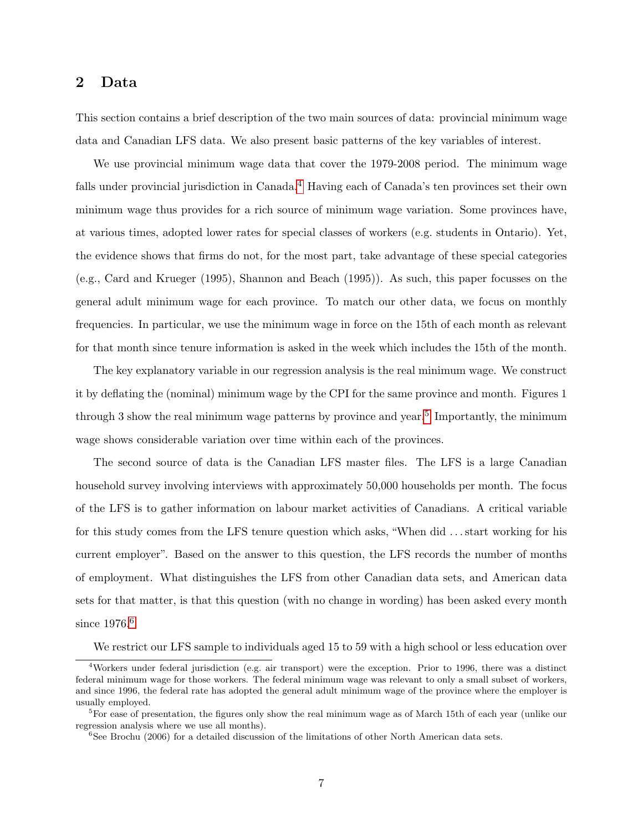# <span id="page-6-0"></span>2 Data

This section contains a brief description of the two main sources of data: provincial minimum wage data and Canadian LFS data. We also present basic patterns of the key variables of interest.

We use provincial minimum wage data that cover the 1979-2008 period. The minimum wage falls under provincial jurisdiction in Canada.<sup>[4](#page-0-0)</sup> Having each of Canada's ten provinces set their own minimum wage thus provides for a rich source of minimum wage variation. Some provinces have, at various times, adopted lower rates for special classes of workers (e.g. students in Ontario). Yet, the evidence shows that firms do not, for the most part, take advantage of these special categories (e.g., Card and Krueger (1995), Shannon and Beach (1995)). As such, this paper focusses on the general adult minimum wage for each province. To match our other data, we focus on monthly frequencies. In particular, we use the minimum wage in force on the 15th of each month as relevant for that month since tenure information is asked in the week which includes the 15th of the month.

The key explanatory variable in our regression analysis is the real minimum wage. We construct it by deflating the (nominal) minimum wage by the CPI for the same province and month. Figures 1 through 3 show the real minimum wage patterns by province and year.<sup>[5](#page-0-0)</sup> Importantly, the minimum wage shows considerable variation over time within each of the provinces.

The second source of data is the Canadian LFS master files. The LFS is a large Canadian household survey involving interviews with approximately 50,000 households per month. The focus of the LFS is to gather information on labour market activities of Canadians. A critical variable for this study comes from the LFS tenure question which asks, "When did . . . start working for his current employer". Based on the answer to this question, the LFS records the number of months of employment. What distinguishes the LFS from other Canadian data sets, and American data sets for that matter, is that this question (with no change in wording) has been asked every month since 197[6](#page-0-0).<sup>6</sup>

We restrict our LFS sample to individuals aged 15 to 59 with a high school or less education over

<sup>4</sup>Workers under federal jurisdiction (e.g. air transport) were the exception. Prior to 1996, there was a distinct federal minimum wage for those workers. The federal minimum wage was relevant to only a small subset of workers, and since 1996, the federal rate has adopted the general adult minimum wage of the province where the employer is usually employed.

<sup>&</sup>lt;sup>5</sup>For ease of presentation, the figures only show the real minimum wage as of March 15th of each year (unlike our regression analysis where we use all months).

 $^6{\rm See}$  Brochu (2006) for a detailed discussion of the limitations of other North American data sets.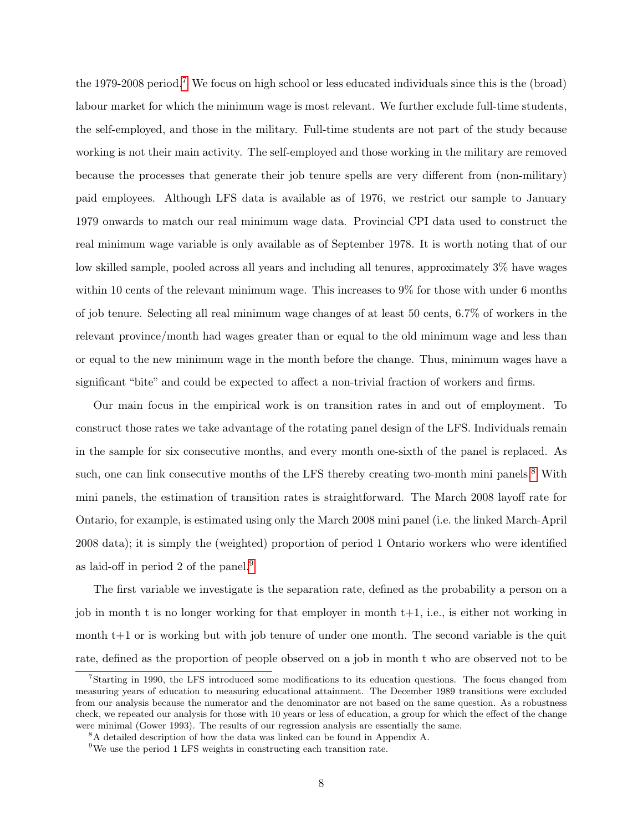the 1979-2008 period.[7](#page-0-0) We focus on high school or less educated individuals since this is the (broad) labour market for which the minimum wage is most relevant. We further exclude full-time students, the self-employed, and those in the military. Full-time students are not part of the study because working is not their main activity. The self-employed and those working in the military are removed because the processes that generate their job tenure spells are very different from (non-military) paid employees. Although LFS data is available as of 1976, we restrict our sample to January 1979 onwards to match our real minimum wage data. Provincial CPI data used to construct the real minimum wage variable is only available as of September 1978. It is worth noting that of our low skilled sample, pooled across all years and including all tenures, approximately 3% have wages within 10 cents of the relevant minimum wage. This increases to 9% for those with under 6 months of job tenure. Selecting all real minimum wage changes of at least 50 cents, 6.7% of workers in the relevant province/month had wages greater than or equal to the old minimum wage and less than or equal to the new minimum wage in the month before the change. Thus, minimum wages have a significant "bite" and could be expected to affect a non-trivial fraction of workers and firms.

Our main focus in the empirical work is on transition rates in and out of employment. To construct those rates we take advantage of the rotating panel design of the LFS. Individuals remain in the sample for six consecutive months, and every month one-sixth of the panel is replaced. As such, one can link consecutive months of the LFS thereby creating two-month mini panels.<sup>[8](#page-0-0)</sup> With mini panels, the estimation of transition rates is straightforward. The March 2008 layoff rate for Ontario, for example, is estimated using only the March 2008 mini panel (i.e. the linked March-April 2008 data); it is simply the (weighted) proportion of period 1 Ontario workers who were identified as laid-off in period 2 of the panel.[9](#page-0-0)

The first variable we investigate is the separation rate, defined as the probability a person on a job in month t is no longer working for that employer in month  $t+1$ , i.e., is either not working in month t+1 or is working but with job tenure of under one month. The second variable is the quit rate, defined as the proportion of people observed on a job in month t who are observed not to be

<sup>7</sup>Starting in 1990, the LFS introduced some modifications to its education questions. The focus changed from measuring years of education to measuring educational attainment. The December 1989 transitions were excluded from our analysis because the numerator and the denominator are not based on the same question. As a robustness check, we repeated our analysis for those with 10 years or less of education, a group for which the effect of the change were minimal (Gower 1993). The results of our regression analysis are essentially the same.

<sup>8</sup>A detailed description of how the data was linked can be found in Appendix A.

<sup>&</sup>lt;sup>9</sup>We use the period 1 LFS weights in constructing each transition rate.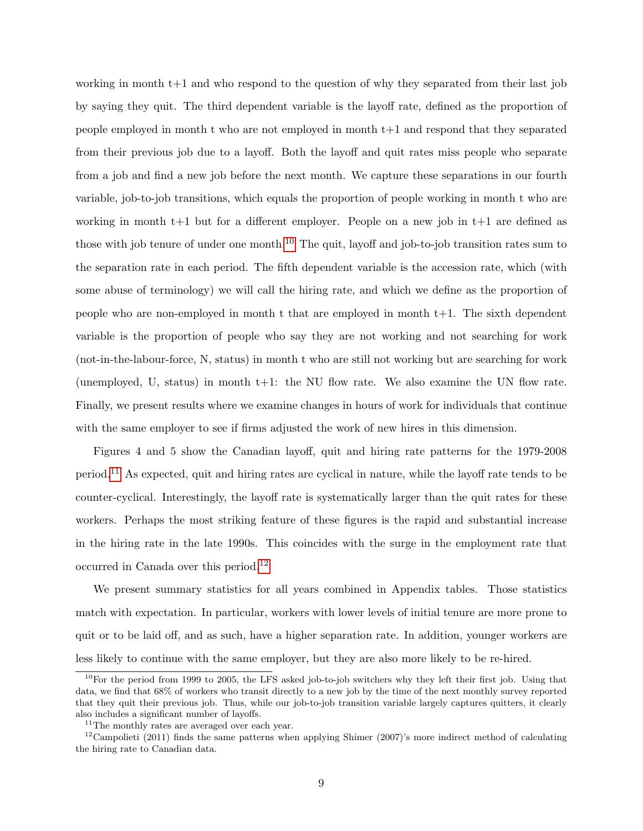working in month t+1 and who respond to the question of why they separated from their last job by saying they quit. The third dependent variable is the layoff rate, defined as the proportion of people employed in month t who are not employed in month t+1 and respond that they separated from their previous job due to a layoff. Both the layoff and quit rates miss people who separate from a job and find a new job before the next month. We capture these separations in our fourth variable, job-to-job transitions, which equals the proportion of people working in month t who are working in month  $t+1$  but for a different employer. People on a new job in  $t+1$  are defined as those with job tenure of under one month.<sup>[10](#page-0-0)</sup> The quit, layoff and job-to-job transition rates sum to the separation rate in each period. The fifth dependent variable is the accession rate, which (with some abuse of terminology) we will call the hiring rate, and which we define as the proportion of people who are non-employed in month t that are employed in month  $t+1$ . The sixth dependent variable is the proportion of people who say they are not working and not searching for work (not-in-the-labour-force, N, status) in month t who are still not working but are searching for work (unemployed, U, status) in month t+1: the NU flow rate. We also examine the UN flow rate. Finally, we present results where we examine changes in hours of work for individuals that continue with the same employer to see if firms adjusted the work of new hires in this dimension.

Figures 4 and 5 show the Canadian layoff, quit and hiring rate patterns for the 1979-2008 period.[11](#page-0-0) As expected, quit and hiring rates are cyclical in nature, while the layoff rate tends to be counter-cyclical. Interestingly, the layoff rate is systematically larger than the quit rates for these workers. Perhaps the most striking feature of these figures is the rapid and substantial increase in the hiring rate in the late 1990s. This coincides with the surge in the employment rate that occurred in Canada over this period.[12](#page-0-0)

We present summary statistics for all years combined in Appendix tables. Those statistics match with expectation. In particular, workers with lower levels of initial tenure are more prone to quit or to be laid off, and as such, have a higher separation rate. In addition, younger workers are less likely to continue with the same employer, but they are also more likely to be re-hired.

 $10$ For the period from 1999 to 2005, the LFS asked job-to-job switchers why they left their first job. Using that data, we find that 68% of workers who transit directly to a new job by the time of the next monthly survey reported that they quit their previous job. Thus, while our job-to-job transition variable largely captures quitters, it clearly also includes a significant number of layoffs.

<sup>&</sup>lt;sup>11</sup>The monthly rates are averaged over each year.

<sup>&</sup>lt;sup>12</sup>Campolieti (2011) finds the same patterns when applying Shimer (2007)'s more indirect method of calculating the hiring rate to Canadian data.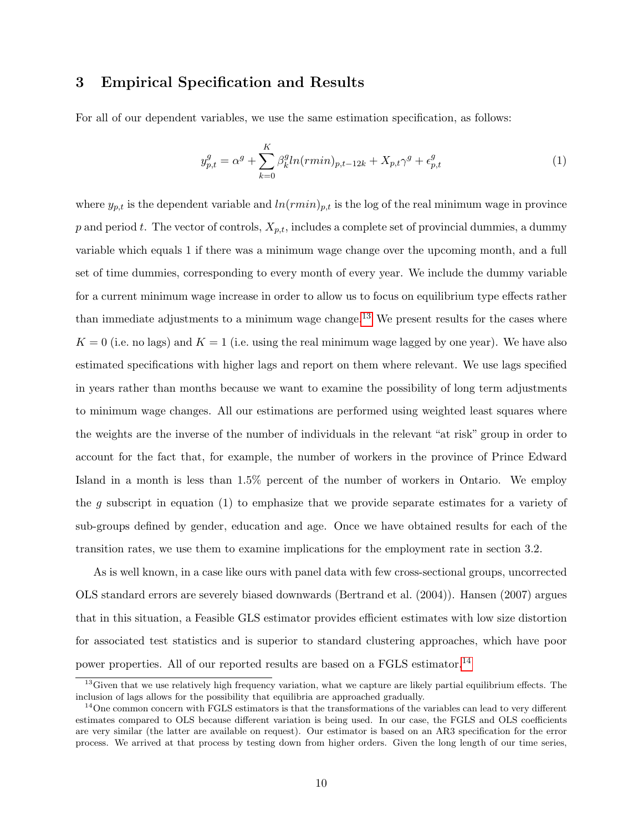### 3 Empirical Specification and Results

For all of our dependent variables, we use the same estimation specification, as follows:

<span id="page-9-0"></span>
$$
y_{p,t}^g = \alpha^g + \sum_{k=0}^K \beta_k^g \ln(rmin)_{p,t-12k} + X_{p,t}\gamma^g + \epsilon_{p,t}^g
$$
 (1)

where  $y_{p,t}$  is the dependent variable and  $ln(rmin)_{p,t}$  is the log of the real minimum wage in province p and period t. The vector of controls,  $X_{p,t}$ , includes a complete set of provincial dummies, a dummy variable which equals 1 if there was a minimum wage change over the upcoming month, and a full set of time dummies, corresponding to every month of every year. We include the dummy variable for a current minimum wage increase in order to allow us to focus on equilibrium type effects rather than immediate adjustments to a minimum wage change.<sup>[13](#page-0-0)</sup> We present results for the cases where  $K = 0$  (i.e. no lags) and  $K = 1$  (i.e. using the real minimum wage lagged by one year). We have also estimated specifications with higher lags and report on them where relevant. We use lags specified in years rather than months because we want to examine the possibility of long term adjustments to minimum wage changes. All our estimations are performed using weighted least squares where the weights are the inverse of the number of individuals in the relevant "at risk" group in order to account for the fact that, for example, the number of workers in the province of Prince Edward Island in a month is less than 1.5% percent of the number of workers in Ontario. We employ the q subscript in equation (1) to emphasize that we provide separate estimates for a variety of sub-groups defined by gender, education and age. Once we have obtained results for each of the transition rates, we use them to examine implications for the employment rate in section 3.2.

As is well known, in a case like ours with panel data with few cross-sectional groups, uncorrected OLS standard errors are severely biased downwards (Bertrand et al. (2004)). Hansen (2007) argues that in this situation, a Feasible GLS estimator provides efficient estimates with low size distortion for associated test statistics and is superior to standard clustering approaches, which have poor power properties. All of our reported results are based on a FGLS estimator.[14](#page-0-0)

<sup>&</sup>lt;sup>13</sup>Given that we use relatively high frequency variation, what we capture are likely partial equilibrium effects. The inclusion of lags allows for the possibility that equilibria are approached gradually.

 $14$ One common concern with FGLS estimators is that the transformations of the variables can lead to very different estimates compared to OLS because different variation is being used. In our case, the FGLS and OLS coefficients are very similar (the latter are available on request). Our estimator is based on an AR3 specification for the error process. We arrived at that process by testing down from higher orders. Given the long length of our time series,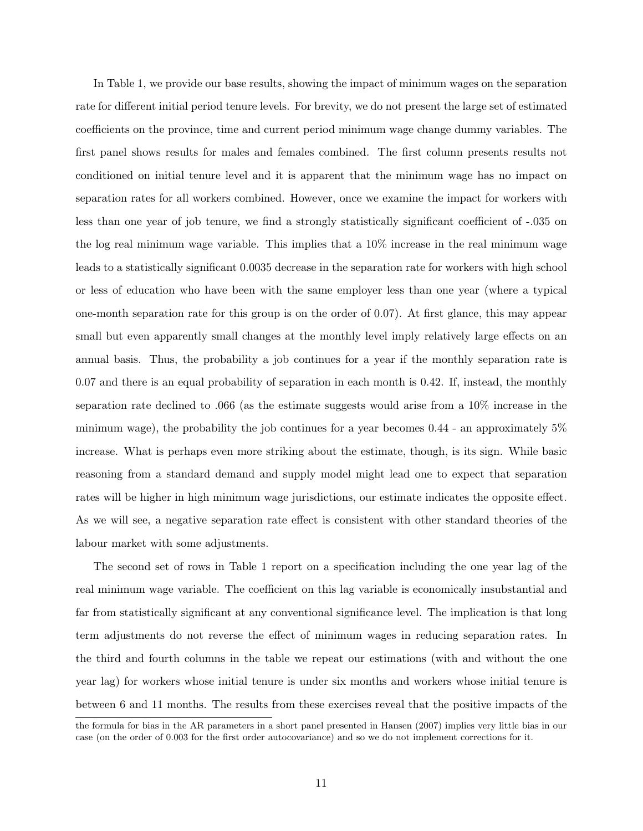In Table 1, we provide our base results, showing the impact of minimum wages on the separation rate for different initial period tenure levels. For brevity, we do not present the large set of estimated coefficients on the province, time and current period minimum wage change dummy variables. The first panel shows results for males and females combined. The first column presents results not conditioned on initial tenure level and it is apparent that the minimum wage has no impact on separation rates for all workers combined. However, once we examine the impact for workers with less than one year of job tenure, we find a strongly statistically significant coefficient of -.035 on the log real minimum wage variable. This implies that a 10% increase in the real minimum wage leads to a statistically significant 0.0035 decrease in the separation rate for workers with high school or less of education who have been with the same employer less than one year (where a typical one-month separation rate for this group is on the order of 0.07). At first glance, this may appear small but even apparently small changes at the monthly level imply relatively large effects on an annual basis. Thus, the probability a job continues for a year if the monthly separation rate is 0.07 and there is an equal probability of separation in each month is 0.42. If, instead, the monthly separation rate declined to .066 (as the estimate suggests would arise from a 10% increase in the minimum wage), the probability the job continues for a year becomes 0.44 - an approximately 5% increase. What is perhaps even more striking about the estimate, though, is its sign. While basic reasoning from a standard demand and supply model might lead one to expect that separation rates will be higher in high minimum wage jurisdictions, our estimate indicates the opposite effect. As we will see, a negative separation rate effect is consistent with other standard theories of the labour market with some adjustments.

The second set of rows in Table 1 report on a specification including the one year lag of the real minimum wage variable. The coefficient on this lag variable is economically insubstantial and far from statistically significant at any conventional significance level. The implication is that long term adjustments do not reverse the effect of minimum wages in reducing separation rates. In the third and fourth columns in the table we repeat our estimations (with and without the one year lag) for workers whose initial tenure is under six months and workers whose initial tenure is between 6 and 11 months. The results from these exercises reveal that the positive impacts of the

the formula for bias in the AR parameters in a short panel presented in Hansen (2007) implies very little bias in our case (on the order of 0.003 for the first order autocovariance) and so we do not implement corrections for it.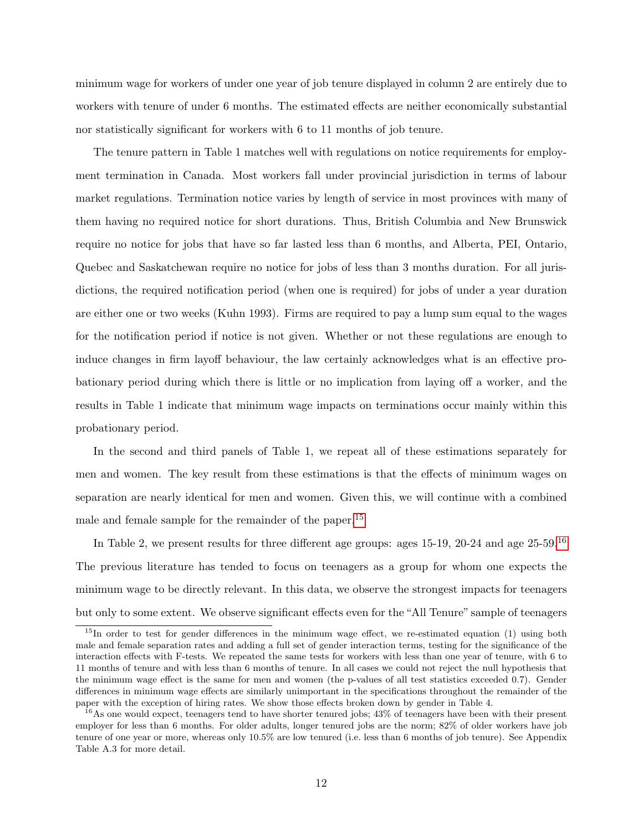minimum wage for workers of under one year of job tenure displayed in column 2 are entirely due to workers with tenure of under 6 months. The estimated effects are neither economically substantial nor statistically significant for workers with 6 to 11 months of job tenure.

The tenure pattern in Table 1 matches well with regulations on notice requirements for employment termination in Canada. Most workers fall under provincial jurisdiction in terms of labour market regulations. Termination notice varies by length of service in most provinces with many of them having no required notice for short durations. Thus, British Columbia and New Brunswick require no notice for jobs that have so far lasted less than 6 months, and Alberta, PEI, Ontario, Quebec and Saskatchewan require no notice for jobs of less than 3 months duration. For all jurisdictions, the required notification period (when one is required) for jobs of under a year duration are either one or two weeks (Kuhn 1993). Firms are required to pay a lump sum equal to the wages for the notification period if notice is not given. Whether or not these regulations are enough to induce changes in firm layoff behaviour, the law certainly acknowledges what is an effective probationary period during which there is little or no implication from laying off a worker, and the results in Table 1 indicate that minimum wage impacts on terminations occur mainly within this probationary period.

In the second and third panels of Table 1, we repeat all of these estimations separately for men and women. The key result from these estimations is that the effects of minimum wages on separation are nearly identical for men and women. Given this, we will continue with a combined male and female sample for the remainder of the paper.<sup>[15](#page-0-0)</sup>

In Table 2, we present results for three different age groups: ages 15-19, 20-24 and age 25-59.[16](#page-0-0) The previous literature has tended to focus on teenagers as a group for whom one expects the minimum wage to be directly relevant. In this data, we observe the strongest impacts for teenagers but only to some extent. We observe significant effects even for the "All Tenure" sample of teenagers

<sup>&</sup>lt;sup>15</sup>In order to test for gender differences in the minimum wage effect, we re-estimated equation (1) using both male and female separation rates and adding a full set of gender interaction terms, testing for the significance of the interaction effects with F-tests. We repeated the same tests for workers with less than one year of tenure, with 6 to 11 months of tenure and with less than 6 months of tenure. In all cases we could not reject the null hypothesis that the minimum wage effect is the same for men and women (the p-values of all test statistics exceeded 0.7). Gender differences in minimum wage effects are similarly unimportant in the specifications throughout the remainder of the paper with the exception of hiring rates. We show those effects broken down by gender in Table 4.

<sup>&</sup>lt;sup>16</sup>As one would expect, teenagers tend to have shorter tenured jobs; 43% of teenagers have been with their present employer for less than 6 months. For older adults, longer tenured jobs are the norm; 82% of older workers have job tenure of one year or more, whereas only 10.5% are low tenured (i.e. less than 6 months of job tenure). See Appendix Table A.3 for more detail.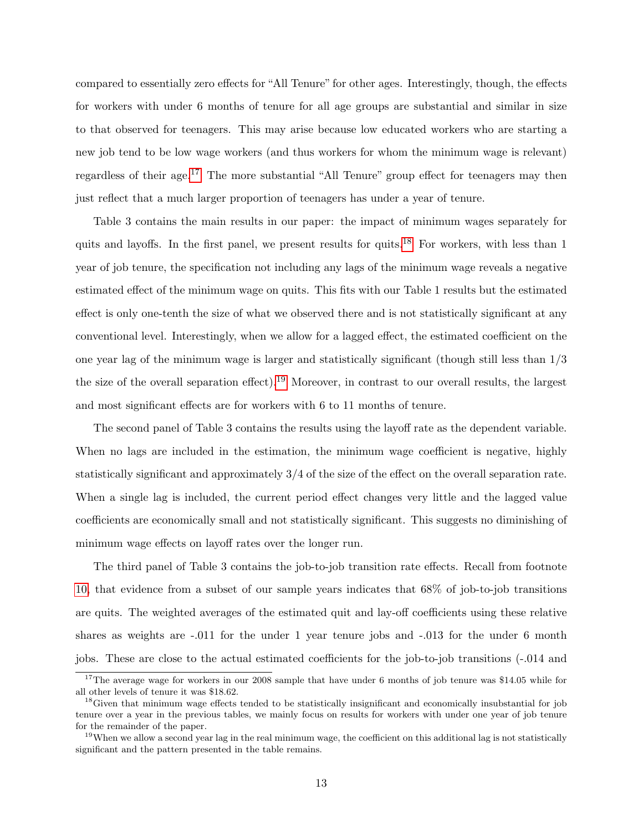compared to essentially zero effects for "All Tenure" for other ages. Interestingly, though, the effects for workers with under 6 months of tenure for all age groups are substantial and similar in size to that observed for teenagers. This may arise because low educated workers who are starting a new job tend to be low wage workers (and thus workers for whom the minimum wage is relevant) regardless of their age.<sup>[17](#page-0-0)</sup> The more substantial "All Tenure" group effect for teenagers may then just reflect that a much larger proportion of teenagers has under a year of tenure.

Table 3 contains the main results in our paper: the impact of minimum wages separately for quits and layoffs. In the first panel, we present results for quits.<sup>[18](#page-0-0)</sup> For workers, with less than 1 year of job tenure, the specification not including any lags of the minimum wage reveals a negative estimated effect of the minimum wage on quits. This fits with our Table 1 results but the estimated effect is only one-tenth the size of what we observed there and is not statistically significant at any conventional level. Interestingly, when we allow for a lagged effect, the estimated coefficient on the one year lag of the minimum wage is larger and statistically significant (though still less than 1/3 the size of the overall separation effect).[19](#page-0-0) Moreover, in contrast to our overall results, the largest and most significant effects are for workers with 6 to 11 months of tenure.

The second panel of Table 3 contains the results using the layoff rate as the dependent variable. When no lags are included in the estimation, the minimum wage coefficient is negative, highly statistically significant and approximately 3/4 of the size of the effect on the overall separation rate. When a single lag is included, the current period effect changes very little and the lagged value coefficients are economically small and not statistically significant. This suggests no diminishing of minimum wage effects on layoff rates over the longer run.

The third panel of Table 3 contains the job-to-job transition rate effects. Recall from footnote [10,](#page-6-0) that evidence from a subset of our sample years indicates that 68% of job-to-job transitions are quits. The weighted averages of the estimated quit and lay-off coefficients using these relative shares as weights are  $-.011$  for the under 1 year tenure jobs and  $-.013$  for the under 6 month jobs. These are close to the actual estimated coefficients for the job-to-job transitions (-.014 and

<sup>&</sup>lt;sup>17</sup>The average wage for workers in our 2008 sample that have under 6 months of job tenure was \$14.05 while for all other levels of tenure it was \$18.62.

<sup>&</sup>lt;sup>18</sup>Given that minimum wage effects tended to be statistically insignificant and economically insubstantial for job tenure over a year in the previous tables, we mainly focus on results for workers with under one year of job tenure for the remainder of the paper.

 $19$ When we allow a second year lag in the real minimum wage, the coefficient on this additional lag is not statistically significant and the pattern presented in the table remains.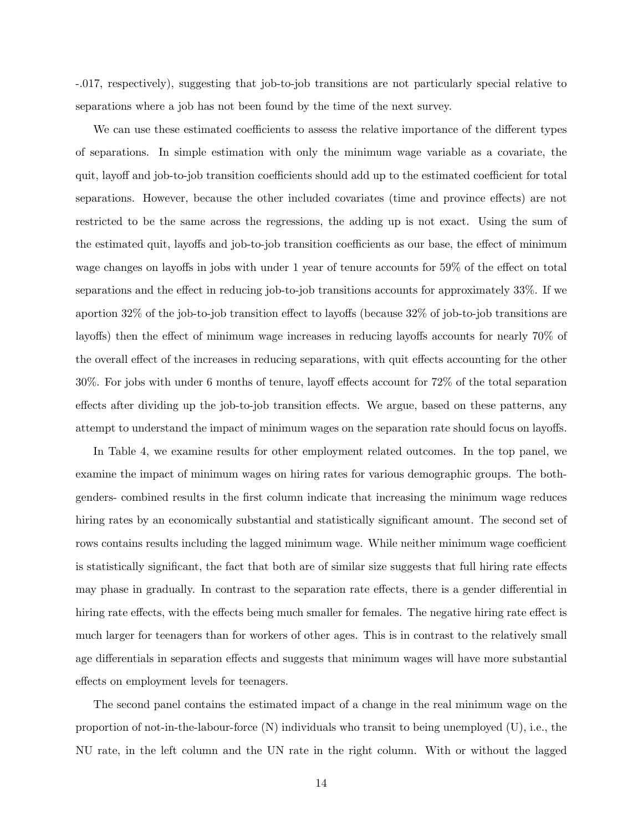-.017, respectively), suggesting that job-to-job transitions are not particularly special relative to separations where a job has not been found by the time of the next survey.

We can use these estimated coefficients to assess the relative importance of the different types of separations. In simple estimation with only the minimum wage variable as a covariate, the quit, layoff and job-to-job transition coefficients should add up to the estimated coefficient for total separations. However, because the other included covariates (time and province effects) are not restricted to be the same across the regressions, the adding up is not exact. Using the sum of the estimated quit, layoffs and job-to-job transition coefficients as our base, the effect of minimum wage changes on layoffs in jobs with under 1 year of tenure accounts for 59% of the effect on total separations and the effect in reducing job-to-job transitions accounts for approximately 33%. If we aportion 32% of the job-to-job transition effect to layoffs (because 32% of job-to-job transitions are layoffs) then the effect of minimum wage increases in reducing layoffs accounts for nearly 70% of the overall effect of the increases in reducing separations, with quit effects accounting for the other 30%. For jobs with under 6 months of tenure, layoff effects account for 72% of the total separation effects after dividing up the job-to-job transition effects. We argue, based on these patterns, any attempt to understand the impact of minimum wages on the separation rate should focus on layoffs.

In Table 4, we examine results for other employment related outcomes. In the top panel, we examine the impact of minimum wages on hiring rates for various demographic groups. The bothgenders- combined results in the first column indicate that increasing the minimum wage reduces hiring rates by an economically substantial and statistically significant amount. The second set of rows contains results including the lagged minimum wage. While neither minimum wage coefficient is statistically significant, the fact that both are of similar size suggests that full hiring rate effects may phase in gradually. In contrast to the separation rate effects, there is a gender differential in hiring rate effects, with the effects being much smaller for females. The negative hiring rate effect is much larger for teenagers than for workers of other ages. This is in contrast to the relatively small age differentials in separation effects and suggests that minimum wages will have more substantial effects on employment levels for teenagers.

The second panel contains the estimated impact of a change in the real minimum wage on the proportion of not-in-the-labour-force (N) individuals who transit to being unemployed (U), i.e., the NU rate, in the left column and the UN rate in the right column. With or without the lagged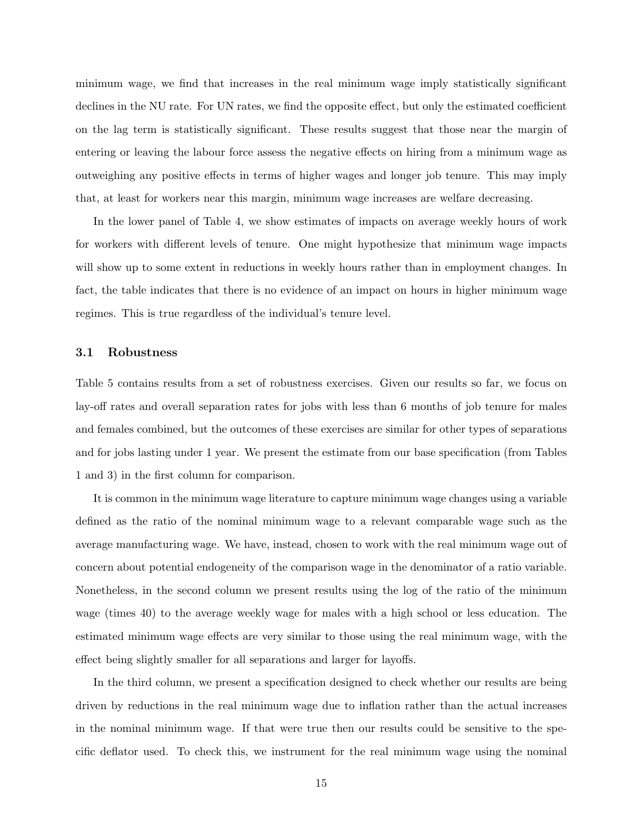minimum wage, we find that increases in the real minimum wage imply statistically significant declines in the NU rate. For UN rates, we find the opposite effect, but only the estimated coefficient on the lag term is statistically significant. These results suggest that those near the margin of entering or leaving the labour force assess the negative effects on hiring from a minimum wage as outweighing any positive effects in terms of higher wages and longer job tenure. This may imply that, at least for workers near this margin, minimum wage increases are welfare decreasing.

In the lower panel of Table 4, we show estimates of impacts on average weekly hours of work for workers with different levels of tenure. One might hypothesize that minimum wage impacts will show up to some extent in reductions in weekly hours rather than in employment changes. In fact, the table indicates that there is no evidence of an impact on hours in higher minimum wage regimes. This is true regardless of the individual's tenure level.

#### 3.1 Robustness

Table 5 contains results from a set of robustness exercises. Given our results so far, we focus on lay-off rates and overall separation rates for jobs with less than 6 months of job tenure for males and females combined, but the outcomes of these exercises are similar for other types of separations and for jobs lasting under 1 year. We present the estimate from our base specification (from Tables 1 and 3) in the first column for comparison.

It is common in the minimum wage literature to capture minimum wage changes using a variable defined as the ratio of the nominal minimum wage to a relevant comparable wage such as the average manufacturing wage. We have, instead, chosen to work with the real minimum wage out of concern about potential endogeneity of the comparison wage in the denominator of a ratio variable. Nonetheless, in the second column we present results using the log of the ratio of the minimum wage (times 40) to the average weekly wage for males with a high school or less education. The estimated minimum wage effects are very similar to those using the real minimum wage, with the effect being slightly smaller for all separations and larger for layoffs.

In the third column, we present a specification designed to check whether our results are being driven by reductions in the real minimum wage due to inflation rather than the actual increases in the nominal minimum wage. If that were true then our results could be sensitive to the specific deflator used. To check this, we instrument for the real minimum wage using the nominal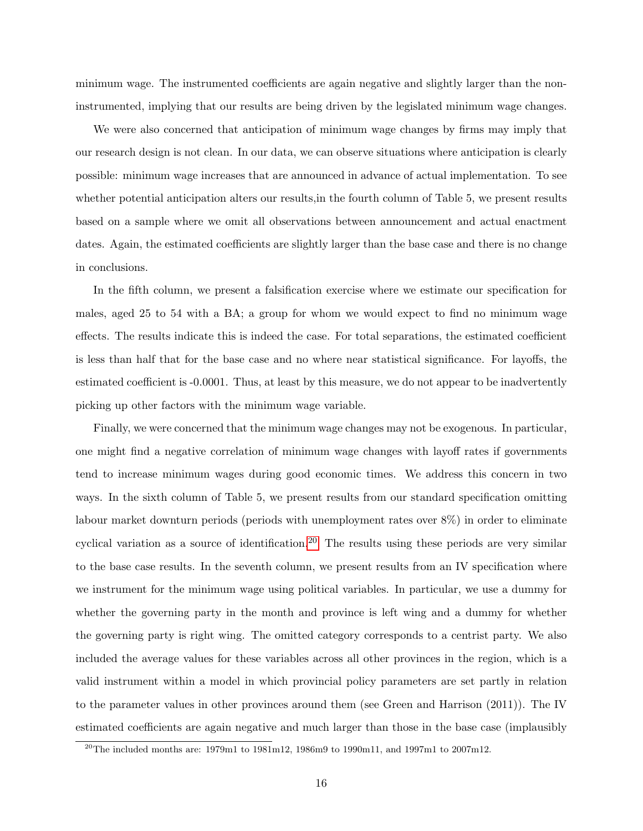minimum wage. The instrumented coefficients are again negative and slightly larger than the noninstrumented, implying that our results are being driven by the legislated minimum wage changes.

We were also concerned that anticipation of minimum wage changes by firms may imply that our research design is not clean. In our data, we can observe situations where anticipation is clearly possible: minimum wage increases that are announced in advance of actual implementation. To see whether potential anticipation alters our results,in the fourth column of Table 5, we present results based on a sample where we omit all observations between announcement and actual enactment dates. Again, the estimated coefficients are slightly larger than the base case and there is no change in conclusions.

In the fifth column, we present a falsification exercise where we estimate our specification for males, aged 25 to 54 with a BA; a group for whom we would expect to find no minimum wage effects. The results indicate this is indeed the case. For total separations, the estimated coefficient is less than half that for the base case and no where near statistical significance. For layoffs, the estimated coefficient is -0.0001. Thus, at least by this measure, we do not appear to be inadvertently picking up other factors with the minimum wage variable.

Finally, we were concerned that the minimum wage changes may not be exogenous. In particular, one might find a negative correlation of minimum wage changes with layoff rates if governments tend to increase minimum wages during good economic times. We address this concern in two ways. In the sixth column of Table 5, we present results from our standard specification omitting labour market downturn periods (periods with unemployment rates over 8%) in order to eliminate cyclical variation as a source of identification.<sup>[20](#page-0-0)</sup> The results using these periods are very similar to the base case results. In the seventh column, we present results from an IV specification where we instrument for the minimum wage using political variables. In particular, we use a dummy for whether the governing party in the month and province is left wing and a dummy for whether the governing party is right wing. The omitted category corresponds to a centrist party. We also included the average values for these variables across all other provinces in the region, which is a valid instrument within a model in which provincial policy parameters are set partly in relation to the parameter values in other provinces around them (see Green and Harrison (2011)). The IV estimated coefficients are again negative and much larger than those in the base case (implausibly

 $20$ <sup>20</sup>The included months are: 1979m1 to 1981m12, 1986m9 to 1990m11, and 1997m1 to 2007m12.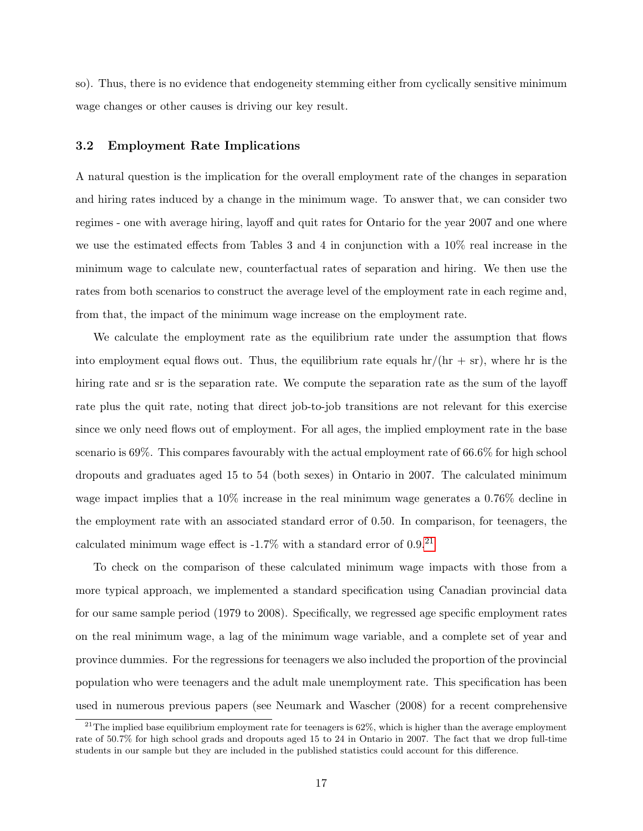so). Thus, there is no evidence that endogeneity stemming either from cyclically sensitive minimum wage changes or other causes is driving our key result.

#### 3.2 Employment Rate Implications

A natural question is the implication for the overall employment rate of the changes in separation and hiring rates induced by a change in the minimum wage. To answer that, we can consider two regimes - one with average hiring, layoff and quit rates for Ontario for the year 2007 and one where we use the estimated effects from Tables 3 and 4 in conjunction with a 10% real increase in the minimum wage to calculate new, counterfactual rates of separation and hiring. We then use the rates from both scenarios to construct the average level of the employment rate in each regime and, from that, the impact of the minimum wage increase on the employment rate.

We calculate the employment rate as the equilibrium rate under the assumption that flows into employment equal flows out. Thus, the equilibrium rate equals  $\frac{hr}{\pi + sr}$ , where hr is the hiring rate and sr is the separation rate. We compute the separation rate as the sum of the layoff rate plus the quit rate, noting that direct job-to-job transitions are not relevant for this exercise since we only need flows out of employment. For all ages, the implied employment rate in the base scenario is 69%. This compares favourably with the actual employment rate of 66.6% for high school dropouts and graduates aged 15 to 54 (both sexes) in Ontario in 2007. The calculated minimum wage impact implies that a 10% increase in the real minimum wage generates a 0.76% decline in the employment rate with an associated standard error of 0.50. In comparison, for teenagers, the calculated minimum wage effect is  $-1.7\%$  with a standard error of 0.9.<sup>[21](#page-0-0)</sup>

To check on the comparison of these calculated minimum wage impacts with those from a more typical approach, we implemented a standard specification using Canadian provincial data for our same sample period (1979 to 2008). Specifically, we regressed age specific employment rates on the real minimum wage, a lag of the minimum wage variable, and a complete set of year and province dummies. For the regressions for teenagers we also included the proportion of the provincial population who were teenagers and the adult male unemployment rate. This specification has been used in numerous previous papers (see Neumark and Wascher (2008) for a recent comprehensive

 $^{21}$ The implied base equilibrium employment rate for teenagers is 62%, which is higher than the average employment rate of 50.7% for high school grads and dropouts aged 15 to 24 in Ontario in 2007. The fact that we drop full-time students in our sample but they are included in the published statistics could account for this difference.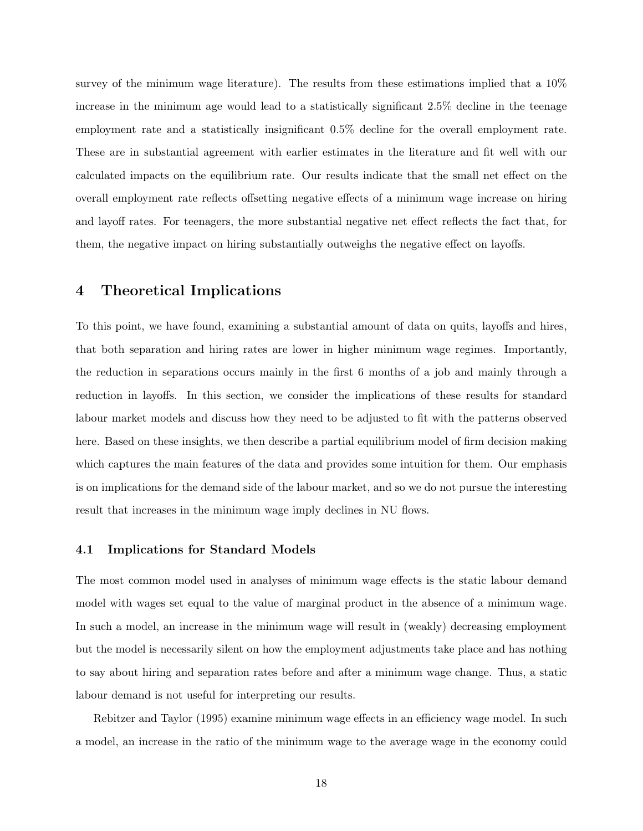survey of the minimum wage literature). The results from these estimations implied that a 10% increase in the minimum age would lead to a statistically significant 2.5% decline in the teenage employment rate and a statistically insignificant 0.5% decline for the overall employment rate. These are in substantial agreement with earlier estimates in the literature and fit well with our calculated impacts on the equilibrium rate. Our results indicate that the small net effect on the overall employment rate reflects offsetting negative effects of a minimum wage increase on hiring and layoff rates. For teenagers, the more substantial negative net effect reflects the fact that, for them, the negative impact on hiring substantially outweighs the negative effect on layoffs.

### 4 Theoretical Implications

To this point, we have found, examining a substantial amount of data on quits, layoffs and hires, that both separation and hiring rates are lower in higher minimum wage regimes. Importantly, the reduction in separations occurs mainly in the first 6 months of a job and mainly through a reduction in layoffs. In this section, we consider the implications of these results for standard labour market models and discuss how they need to be adjusted to fit with the patterns observed here. Based on these insights, we then describe a partial equilibrium model of firm decision making which captures the main features of the data and provides some intuition for them. Our emphasis is on implications for the demand side of the labour market, and so we do not pursue the interesting result that increases in the minimum wage imply declines in NU flows.

#### 4.1 Implications for Standard Models

The most common model used in analyses of minimum wage effects is the static labour demand model with wages set equal to the value of marginal product in the absence of a minimum wage. In such a model, an increase in the minimum wage will result in (weakly) decreasing employment but the model is necessarily silent on how the employment adjustments take place and has nothing to say about hiring and separation rates before and after a minimum wage change. Thus, a static labour demand is not useful for interpreting our results.

Rebitzer and Taylor (1995) examine minimum wage effects in an efficiency wage model. In such a model, an increase in the ratio of the minimum wage to the average wage in the economy could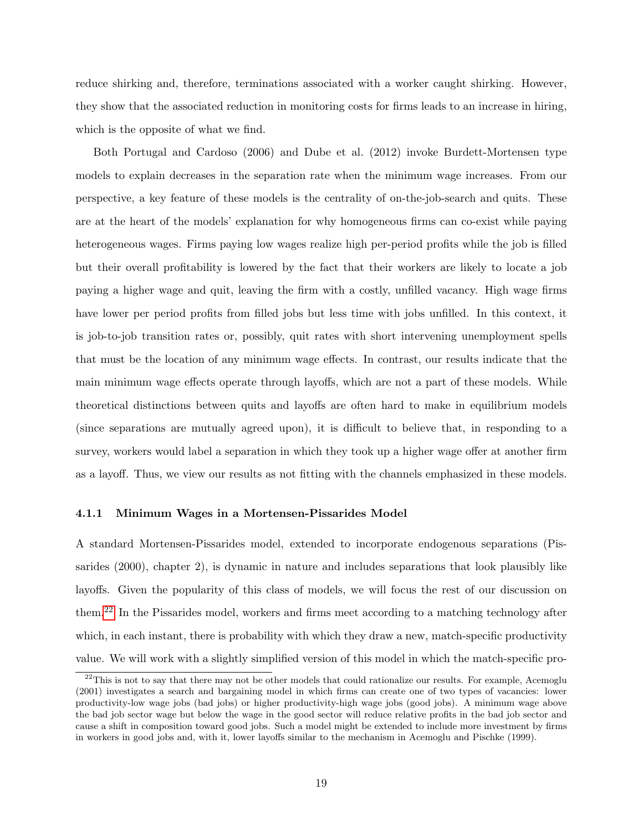reduce shirking and, therefore, terminations associated with a worker caught shirking. However, they show that the associated reduction in monitoring costs for firms leads to an increase in hiring, which is the opposite of what we find.

Both Portugal and Cardoso (2006) and Dube et al. (2012) invoke Burdett-Mortensen type models to explain decreases in the separation rate when the minimum wage increases. From our perspective, a key feature of these models is the centrality of on-the-job-search and quits. These are at the heart of the models' explanation for why homogeneous firms can co-exist while paying heterogeneous wages. Firms paying low wages realize high per-period profits while the job is filled but their overall profitability is lowered by the fact that their workers are likely to locate a job paying a higher wage and quit, leaving the firm with a costly, unfilled vacancy. High wage firms have lower per period profits from filled jobs but less time with jobs unfilled. In this context, it is job-to-job transition rates or, possibly, quit rates with short intervening unemployment spells that must be the location of any minimum wage effects. In contrast, our results indicate that the main minimum wage effects operate through layoffs, which are not a part of these models. While theoretical distinctions between quits and layoffs are often hard to make in equilibrium models (since separations are mutually agreed upon), it is difficult to believe that, in responding to a survey, workers would label a separation in which they took up a higher wage offer at another firm as a layoff. Thus, we view our results as not fitting with the channels emphasized in these models.

#### 4.1.1 Minimum Wages in a Mortensen-Pissarides Model

A standard Mortensen-Pissarides model, extended to incorporate endogenous separations (Pissarides (2000), chapter 2), is dynamic in nature and includes separations that look plausibly like layoffs. Given the popularity of this class of models, we will focus the rest of our discussion on them.[22](#page-0-0) In the Pissarides model, workers and firms meet according to a matching technology after which, in each instant, there is probability with which they draw a new, match-specific productivity value. We will work with a slightly simplified version of this model in which the match-specific pro-

 $22$ This is not to say that there may not be other models that could rationalize our results. For example, Acemoglu (2001) investigates a search and bargaining model in which firms can create one of two types of vacancies: lower productivity-low wage jobs (bad jobs) or higher productivity-high wage jobs (good jobs). A minimum wage above the bad job sector wage but below the wage in the good sector will reduce relative profits in the bad job sector and cause a shift in composition toward good jobs. Such a model might be extended to include more investment by firms in workers in good jobs and, with it, lower layoffs similar to the mechanism in Acemoglu and Pischke (1999).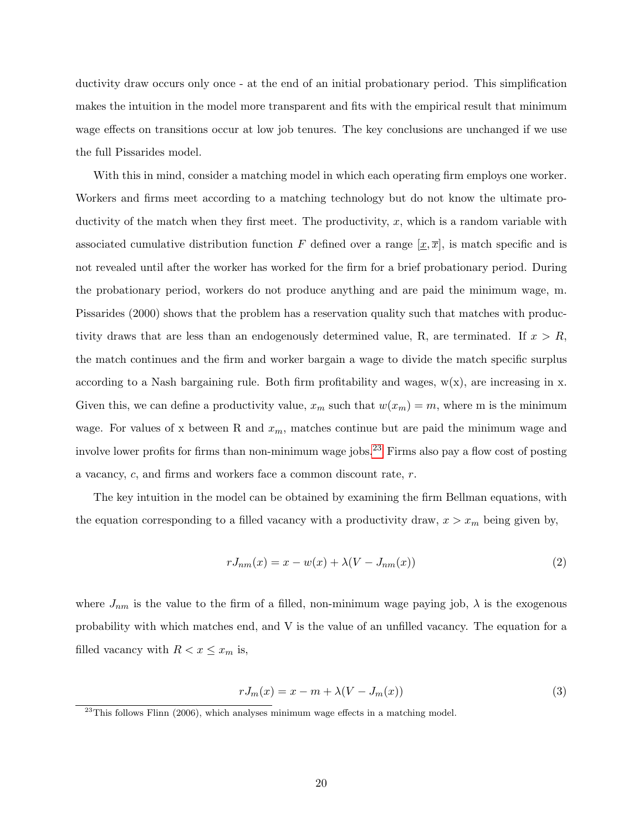ductivity draw occurs only once - at the end of an initial probationary period. This simplification makes the intuition in the model more transparent and fits with the empirical result that minimum wage effects on transitions occur at low job tenures. The key conclusions are unchanged if we use the full Pissarides model.

With this in mind, consider a matching model in which each operating firm employs one worker. Workers and firms meet according to a matching technology but do not know the ultimate productivity of the match when they first meet. The productivity,  $x$ , which is a random variable with associated cumulative distribution function F defined over a range  $[x, \overline{x}]$ , is match specific and is not revealed until after the worker has worked for the firm for a brief probationary period. During the probationary period, workers do not produce anything and are paid the minimum wage, m. Pissarides (2000) shows that the problem has a reservation quality such that matches with productivity draws that are less than an endogenously determined value, R, are terminated. If  $x > R$ , the match continues and the firm and worker bargain a wage to divide the match specific surplus according to a Nash bargaining rule. Both firm profitability and wages,  $w(x)$ , are increasing in x. Given this, we can define a productivity value,  $x_m$  such that  $w(x_m) = m$ , where m is the minimum wage. For values of x between R and  $x_m$ , matches continue but are paid the minimum wage and involve lower profits for firms than non-minimum wage jobs.<sup>[23](#page-0-0)</sup> Firms also pay a flow cost of posting a vacancy, c, and firms and workers face a common discount rate, r.

The key intuition in the model can be obtained by examining the firm Bellman equations, with the equation corresponding to a filled vacancy with a productivity draw,  $x > x_m$  being given by,

<span id="page-19-1"></span>
$$
rJ_{nm}(x) = x - w(x) + \lambda(V - J_{nm}(x))
$$
\n<sup>(2)</sup>

where  $J_{nm}$  is the value to the firm of a filled, non-minimum wage paying job,  $\lambda$  is the exogenous probability with which matches end, and V is the value of an unfilled vacancy. The equation for a filled vacancy with  $R < x \leq x_m$  is,

<span id="page-19-0"></span>
$$
rJ_m(x) = x - m + \lambda(V - J_m(x))
$$
\n(3)

<sup>&</sup>lt;sup>23</sup>This follows Flinn (2006), which analyses minimum wage effects in a matching model.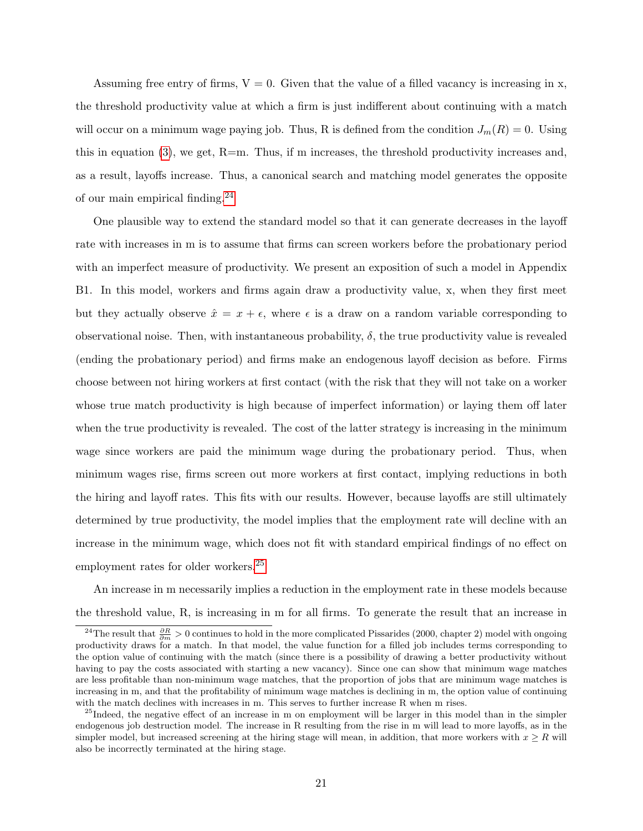Assuming free entry of firms,  $V = 0$ . Given that the value of a filled vacancy is increasing in x, the threshold productivity value at which a firm is just indifferent about continuing with a match will occur on a minimum wage paying job. Thus, R is defined from the condition  $J_m(R) = 0$ . Using this in equation  $(3)$ , we get, R=m. Thus, if m increases, the threshold productivity increases and, as a result, layoffs increase. Thus, a canonical search and matching model generates the opposite of our main empirical finding.[24](#page-0-0)

One plausible way to extend the standard model so that it can generate decreases in the layoff rate with increases in m is to assume that firms can screen workers before the probationary period with an imperfect measure of productivity. We present an exposition of such a model in Appendix B1. In this model, workers and firms again draw a productivity value, x, when they first meet but they actually observe  $\hat{x} = x + \epsilon$ , where  $\epsilon$  is a draw on a random variable corresponding to observational noise. Then, with instantaneous probability,  $\delta$ , the true productivity value is revealed (ending the probationary period) and firms make an endogenous layoff decision as before. Firms choose between not hiring workers at first contact (with the risk that they will not take on a worker whose true match productivity is high because of imperfect information) or laying them off later when the true productivity is revealed. The cost of the latter strategy is increasing in the minimum wage since workers are paid the minimum wage during the probationary period. Thus, when minimum wages rise, firms screen out more workers at first contact, implying reductions in both the hiring and layoff rates. This fits with our results. However, because layoffs are still ultimately determined by true productivity, the model implies that the employment rate will decline with an increase in the minimum wage, which does not fit with standard empirical findings of no effect on employment rates for older workers.[25](#page-0-0)

An increase in m necessarily implies a reduction in the employment rate in these models because the threshold value, R, is increasing in m for all firms. To generate the result that an increase in

<sup>&</sup>lt;sup>24</sup>The result that  $\frac{\partial R}{\partial m} > 0$  continues to hold in the more complicated Pissarides (2000, chapter 2) model with ongoing productivity draws for a match. In that model, the value function for a filled job includes terms corresponding to the option value of continuing with the match (since there is a possibility of drawing a better productivity without having to pay the costs associated with starting a new vacancy). Since one can show that minimum wage matches are less profitable than non-minimum wage matches, that the proportion of jobs that are minimum wage matches is increasing in m, and that the profitability of minimum wage matches is declining in m, the option value of continuing with the match declines with increases in m. This serves to further increase R when m rises.

<sup>&</sup>lt;sup>25</sup>Indeed, the negative effect of an increase in m on employment will be larger in this model than in the simpler endogenous job destruction model. The increase in R resulting from the rise in m will lead to more layoffs, as in the simpler model, but increased screening at the hiring stage will mean, in addition, that more workers with  $x \geq R$  will also be incorrectly terminated at the hiring stage.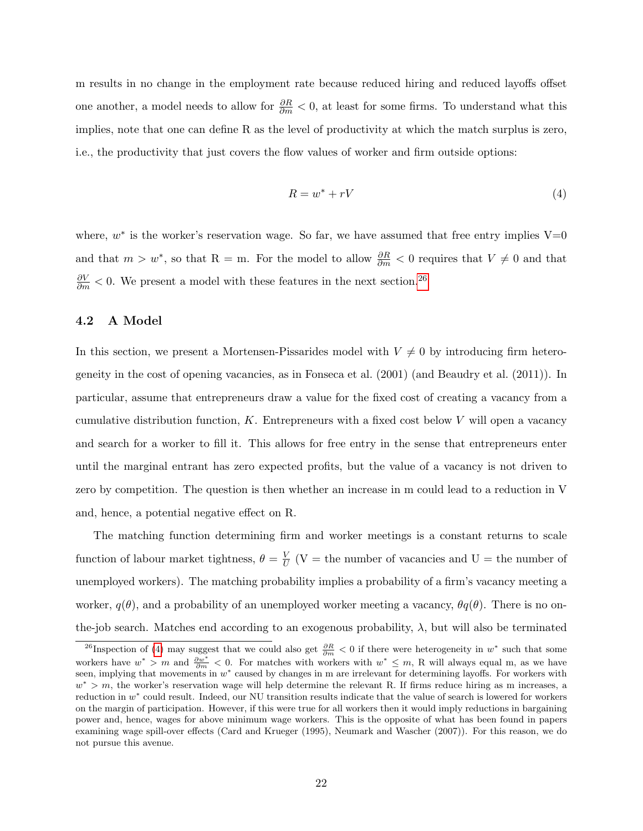m results in no change in the employment rate because reduced hiring and reduced layoffs offset one another, a model needs to allow for  $\frac{\partial R}{\partial m} < 0$ , at least for some firms. To understand what this implies, note that one can define R as the level of productivity at which the match surplus is zero, i.e., the productivity that just covers the flow values of worker and firm outside options:

<span id="page-21-0"></span>
$$
R = w^* + rV \tag{4}
$$

where,  $w^*$  is the worker's reservation wage. So far, we have assumed that free entry implies  $V=0$ and that  $m > w^*$ , so that R = m. For the model to allow  $\frac{\partial R}{\partial m} < 0$  requires that  $V \neq 0$  and that  $\frac{\partial V}{\partial m}$  < 0. We present a model with these features in the next section.<sup>[26](#page-0-0)</sup>

#### 4.2 A Model

In this section, we present a Mortensen-Pissarides model with  $V \neq 0$  by introducing firm heterogeneity in the cost of opening vacancies, as in Fonseca et al. (2001) (and Beaudry et al. (2011)). In particular, assume that entrepreneurs draw a value for the fixed cost of creating a vacancy from a cumulative distribution function,  $K$ . Entrepreneurs with a fixed cost below  $V$  will open a vacancy and search for a worker to fill it. This allows for free entry in the sense that entrepreneurs enter until the marginal entrant has zero expected profits, but the value of a vacancy is not driven to zero by competition. The question is then whether an increase in m could lead to a reduction in V and, hence, a potential negative effect on R.

The matching function determining firm and worker meetings is a constant returns to scale function of labour market tightness,  $\theta = \frac{V}{U}$  $\frac{V}{U}$  (V = the number of vacancies and U = the number of unemployed workers). The matching probability implies a probability of a firm's vacancy meeting a worker,  $q(\theta)$ , and a probability of an unemployed worker meeting a vacancy,  $\theta q(\theta)$ . There is no onthe-job search. Matches end according to an exogenous probability,  $\lambda$ , but will also be terminated

<sup>&</sup>lt;sup>26</sup>Inspection of [\(4\)](#page-21-0) may suggest that we could also get  $\frac{\partial R}{\partial m} < 0$  if there were heterogeneity in w<sup>\*</sup> such that some workers have  $w^* > m$  and  $\frac{\partial w^*}{\partial m} < 0$ . For matches with workers with  $w^* \leq m$ , R will always equal m, as we have seen, implying that movements in  $w^*$  caused by changes in m are irrelevant for determining layoffs. For workers with  $w^* > m$ , the worker's reservation wage will help determine the relevant R. If firms reduce hiring as m increases, a reduction in w<sup>\*</sup> could result. Indeed, our NU transition results indicate that the value of search is lowered for workers on the margin of participation. However, if this were true for all workers then it would imply reductions in bargaining power and, hence, wages for above minimum wage workers. This is the opposite of what has been found in papers examining wage spill-over effects (Card and Krueger (1995), Neumark and Wascher (2007)). For this reason, we do not pursue this avenue.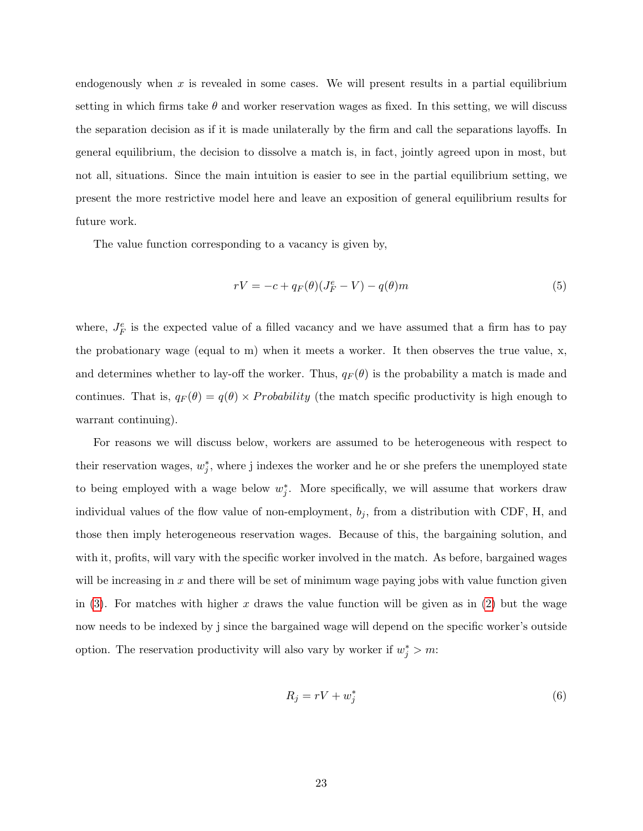endogenously when  $x$  is revealed in some cases. We will present results in a partial equilibrium setting in which firms take  $\theta$  and worker reservation wages as fixed. In this setting, we will discuss the separation decision as if it is made unilaterally by the firm and call the separations layoffs. In general equilibrium, the decision to dissolve a match is, in fact, jointly agreed upon in most, but not all, situations. Since the main intuition is easier to see in the partial equilibrium setting, we present the more restrictive model here and leave an exposition of general equilibrium results for future work.

The value function corresponding to a vacancy is given by,

$$
rV = -c + q_F(\theta)(J_F^e - V) - q(\theta)m
$$
\n<sup>(5)</sup>

where,  $J_F^e$  is the expected value of a filled vacancy and we have assumed that a firm has to pay the probationary wage (equal to m) when it meets a worker. It then observes the true value, x, and determines whether to lay-off the worker. Thus,  $q_F(\theta)$  is the probability a match is made and continues. That is,  $q_F(\theta) = q(\theta) \times Probability$  (the match specific productivity is high enough to warrant continuing).

For reasons we will discuss below, workers are assumed to be heterogeneous with respect to their reservation wages,  $w_j^*$ , where j indexes the worker and he or she prefers the unemployed state to being employed with a wage below  $w_j^*$ . More specifically, we will assume that workers draw individual values of the flow value of non-employment,  $b_j$ , from a distribution with CDF, H, and those then imply heterogeneous reservation wages. Because of this, the bargaining solution, and with it, profits, will vary with the specific worker involved in the match. As before, bargained wages will be increasing in  $x$  and there will be set of minimum wage paying jobs with value function given in [\(3\)](#page-19-0). For matches with higher x draws the value function will be given as in [\(2\)](#page-19-1) but the wage now needs to be indexed by j since the bargained wage will depend on the specific worker's outside option. The reservation productivity will also vary by worker if  $w_j^* > m$ :

<span id="page-22-0"></span>
$$
R_j = rV + w_j^* \tag{6}
$$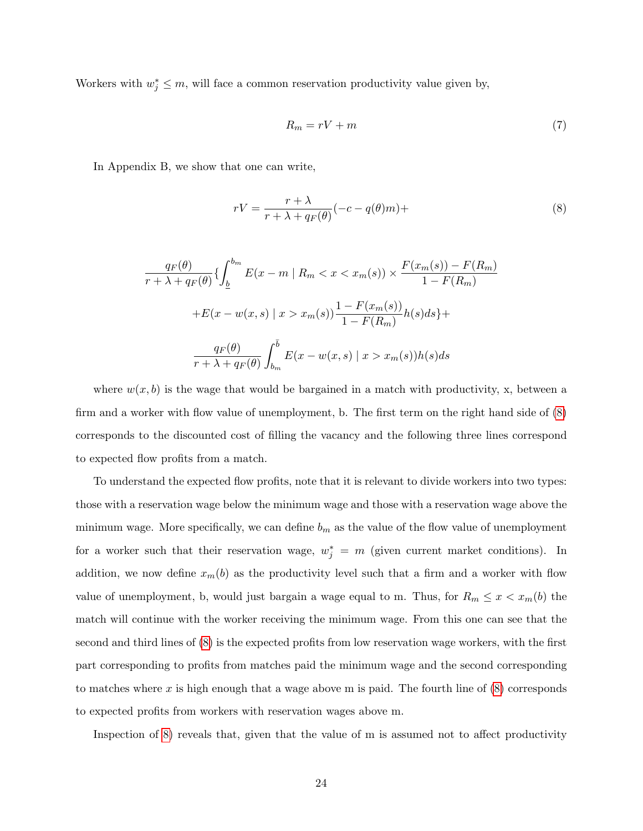Workers with  $w_j^* \leq m$ , will face a common reservation productivity value given by,

<span id="page-23-1"></span><span id="page-23-0"></span>
$$
R_m = rV + m \tag{7}
$$

In Appendix B, we show that one can write,

$$
rV = \frac{r + \lambda}{r + \lambda + q_F(\theta)} (-c - q(\theta)m) +
$$
\n(8)

$$
\frac{q_F(\theta)}{r + \lambda + q_F(\theta)} \left\{ \int_{\underline{b}}^{b_m} E(x - m \mid R_m < x < x_m(s)) \times \frac{F(x_m(s)) - F(R_m)}{1 - F(R_m)} \right\}
$$
\n
$$
+ E(x - w(x, s) \mid x > x_m(s)) \frac{1 - F(x_m(s))}{1 - F(R_m)} h(s) ds \right\} + \frac{q_F(\theta)}{r + \lambda + q_F(\theta)} \int_{b_m}^{\overline{b}} E(x - w(x, s) \mid x > x_m(s)) h(s) ds
$$

where  $w(x, b)$  is the wage that would be bargained in a match with productivity, x, between a firm and a worker with flow value of unemployment, b. The first term on the right hand side of [\(8\)](#page-23-0) corresponds to the discounted cost of filling the vacancy and the following three lines correspond to expected flow profits from a match.

To understand the expected flow profits, note that it is relevant to divide workers into two types: those with a reservation wage below the minimum wage and those with a reservation wage above the minimum wage. More specifically, we can define  $b_m$  as the value of the flow value of unemployment for a worker such that their reservation wage,  $w_j^* = m$  (given current market conditions). In addition, we now define  $x_m(b)$  as the productivity level such that a firm and a worker with flow value of unemployment, b, would just bargain a wage equal to m. Thus, for  $R_m \leq x < x_m(b)$  the match will continue with the worker receiving the minimum wage. From this one can see that the second and third lines of [\(8\)](#page-23-0) is the expected profits from low reservation wage workers, with the first part corresponding to profits from matches paid the minimum wage and the second corresponding to matches where x is high enough that a wage above m is paid. The fourth line of  $(8)$  corresponds to expected profits from workers with reservation wages above m.

Inspection of [8\)](#page-23-0) reveals that, given that the value of m is assumed not to affect productivity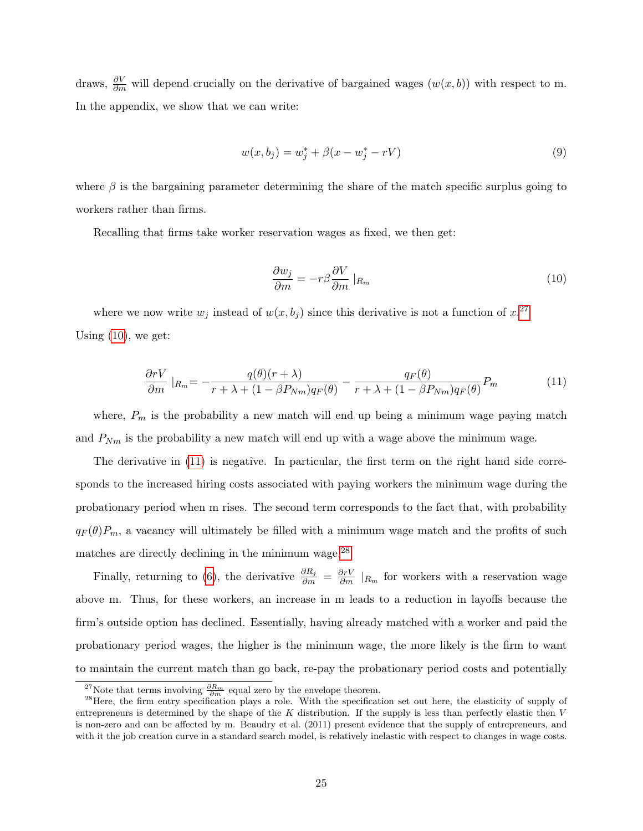draws,  $\frac{\partial V}{\partial m}$  will depend crucially on the derivative of bargained wages  $(w(x, b))$  with respect to m. In the appendix, we show that we can write:

$$
w(x, b_j) = w_j^* + \beta(x - w_j^* - rV) \tag{9}
$$

where  $\beta$  is the bargaining parameter determining the share of the match specific surplus going to workers rather than firms.

<span id="page-24-0"></span>Recalling that firms take worker reservation wages as fixed, we then get:

$$
\frac{\partial w_j}{\partial m} = -r\beta \frac{\partial V}{\partial m} \mid_{R_m} \tag{10}
$$

<span id="page-24-1"></span>where we now write  $w_j$  instead of  $w(x, b_j)$  since this derivative is not a function of  $x$ .<sup>[27](#page-0-0)</sup> Using  $(10)$ , we get:

$$
\frac{\partial rV}{\partial m}|_{R_m} = -\frac{q(\theta)(r+\lambda)}{r+\lambda+(1-\beta P_{Nm})q_F(\theta)} - \frac{q_F(\theta)}{r+\lambda+(1-\beta P_{Nm})q_F(\theta)}P_m\tag{11}
$$

where,  $P_m$  is the probability a new match will end up being a minimum wage paying match and  $P_{Nm}$  is the probability a new match will end up with a wage above the minimum wage.

The derivative in [\(11\)](#page-24-1) is negative. In particular, the first term on the right hand side corresponds to the increased hiring costs associated with paying workers the minimum wage during the probationary period when m rises. The second term corresponds to the fact that, with probability  $q_F(\theta)P_m$ , a vacancy will ultimately be filled with a minimum wage match and the profits of such matches are directly declining in the minimum wage.[28](#page-0-0)

Finally, returning to [\(6\)](#page-22-0), the derivative  $\frac{\partial R_j}{\partial m} = \frac{\partial rV}{\partial m}|_{R_m}$  for workers with a reservation wage above m. Thus, for these workers, an increase in m leads to a reduction in layoffs because the firm's outside option has declined. Essentially, having already matched with a worker and paid the probationary period wages, the higher is the minimum wage, the more likely is the firm to want to maintain the current match than go back, re-pay the probationary period costs and potentially

<sup>&</sup>lt;sup>27</sup>Note that terms involving  $\frac{\partial R_m}{\partial m}$  equal zero by the envelope theorem.

 $^{28}$ Here, the firm entry specification plays a role. With the specification set out here, the elasticity of supply of entrepreneurs is determined by the shape of the  $K$  distribution. If the supply is less than perfectly elastic then  $V$ is non-zero and can be affected by m. Beaudry et al. (2011) present evidence that the supply of entrepreneurs, and with it the job creation curve in a standard search model, is relatively inelastic with respect to changes in wage costs.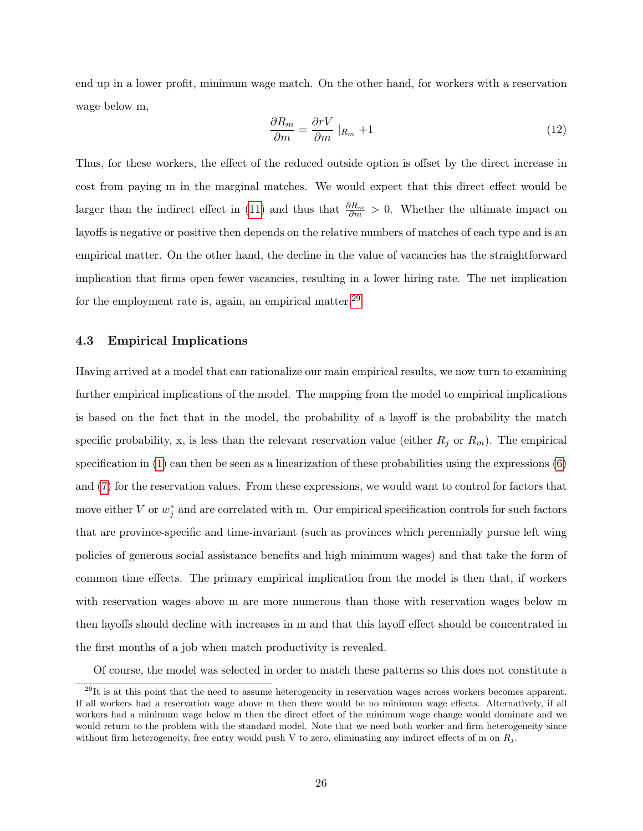end up in a lower profit, minimum wage match. On the other hand, for workers with a reservation wage below m,

$$
\frac{\partial R_m}{\partial m} = \frac{\partial rV}{\partial m} \mid_{R_m} + 1 \tag{12}
$$

Thus, for these workers, the effect of the reduced outside option is offset by the direct increase in cost from paying m in the marginal matches. We would expect that this direct effect would be larger than the indirect effect in [\(11\)](#page-24-1) and thus that  $\frac{\partial R_m}{\partial m} > 0$ . Whether the ultimate impact on layoffs is negative or positive then depends on the relative numbers of matches of each type and is an empirical matter. On the other hand, the decline in the value of vacancies has the straightforward implication that firms open fewer vacancies, resulting in a lower hiring rate. The net implication for the employment rate is, again, an empirical matter.<sup>[29](#page-0-0)</sup>

#### 4.3 Empirical Implications

Having arrived at a model that can rationalize our main empirical results, we now turn to examining further empirical implications of the model. The mapping from the model to empirical implications is based on the fact that in the model, the probability of a layoff is the probability the match specific probability, x, is less than the relevant reservation value (either  $R_j$  or  $R_m$ ). The empirical specification in  $(1)$  can then be seen as a linearization of these probabilities using the expressions  $(6)$ and [\(7\)](#page-23-1) for the reservation values. From these expressions, we would want to control for factors that move either V or  $w_j^*$  and are correlated with m. Our empirical specification controls for such factors that are province-specific and time-invariant (such as provinces which perennially pursue left wing policies of generous social assistance benefits and high minimum wages) and that take the form of common time effects. The primary empirical implication from the model is then that, if workers with reservation wages above m are more numerous than those with reservation wages below m then layoffs should decline with increases in m and that this layoff effect should be concentrated in the first months of a job when match productivity is revealed.

Of course, the model was selected in order to match these patterns so this does not constitute a

 $^{29}$ It is at this point that the need to assume heterogeneity in reservation wages across workers becomes apparent. If all workers had a reservation wage above m then there would be no minimum wage effects. Alternatively, if all workers had a minimum wage below m then the direct effect of the minimum wage change would dominate and we would return to the problem with the standard model. Note that we need both worker and firm heterogeneity since without firm heterogeneity, free entry would push V to zero, eliminating any indirect effects of m on  $R_i$ .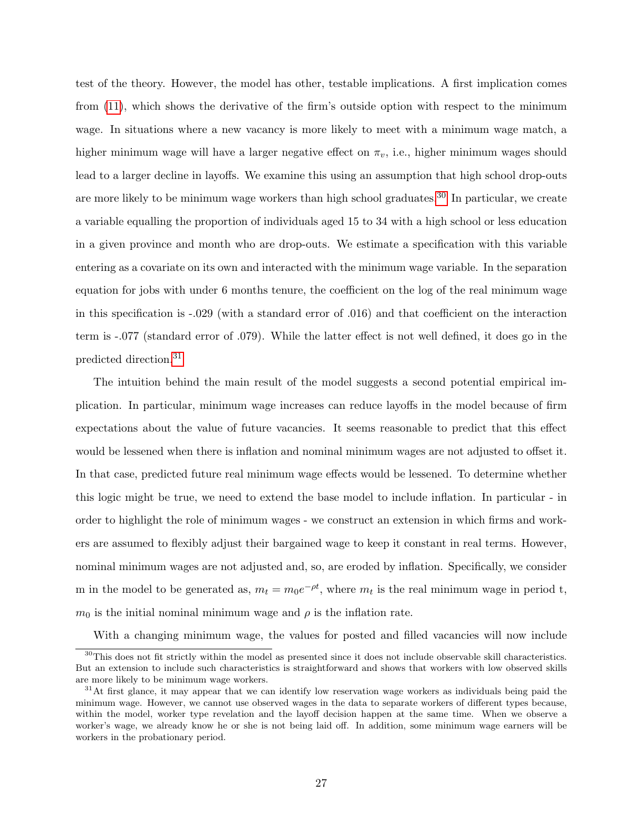test of the theory. However, the model has other, testable implications. A first implication comes from [\(11\)](#page-24-1), which shows the derivative of the firm's outside option with respect to the minimum wage. In situations where a new vacancy is more likely to meet with a minimum wage match, a higher minimum wage will have a larger negative effect on  $\pi_v$ , i.e., higher minimum wages should lead to a larger decline in layoffs. We examine this using an assumption that high school drop-outs are more likely to be minimum wage workers than high school graduates.<sup>[30](#page-0-0)</sup> In particular, we create a variable equalling the proportion of individuals aged 15 to 34 with a high school or less education in a given province and month who are drop-outs. We estimate a specification with this variable entering as a covariate on its own and interacted with the minimum wage variable. In the separation equation for jobs with under 6 months tenure, the coefficient on the log of the real minimum wage in this specification is -.029 (with a standard error of .016) and that coefficient on the interaction term is -.077 (standard error of .079). While the latter effect is not well defined, it does go in the predicted direction.[31](#page-0-0)

The intuition behind the main result of the model suggests a second potential empirical implication. In particular, minimum wage increases can reduce layoffs in the model because of firm expectations about the value of future vacancies. It seems reasonable to predict that this effect would be lessened when there is inflation and nominal minimum wages are not adjusted to offset it. In that case, predicted future real minimum wage effects would be lessened. To determine whether this logic might be true, we need to extend the base model to include inflation. In particular - in order to highlight the role of minimum wages - we construct an extension in which firms and workers are assumed to flexibly adjust their bargained wage to keep it constant in real terms. However, nominal minimum wages are not adjusted and, so, are eroded by inflation. Specifically, we consider m in the model to be generated as,  $m_t = m_0 e^{-\rho t}$ , where  $m_t$  is the real minimum wage in period t,  $m_0$  is the initial nominal minimum wage and  $\rho$  is the inflation rate.

With a changing minimum wage, the values for posted and filled vacancies will now include

<sup>&</sup>lt;sup>30</sup>This does not fit strictly within the model as presented since it does not include observable skill characteristics. But an extension to include such characteristics is straightforward and shows that workers with low observed skills are more likely to be minimum wage workers.

 $31$ At first glance, it may appear that we can identify low reservation wage workers as individuals being paid the minimum wage. However, we cannot use observed wages in the data to separate workers of different types because, within the model, worker type revelation and the layoff decision happen at the same time. When we observe a worker's wage, we already know he or she is not being laid off. In addition, some minimum wage earners will be workers in the probationary period.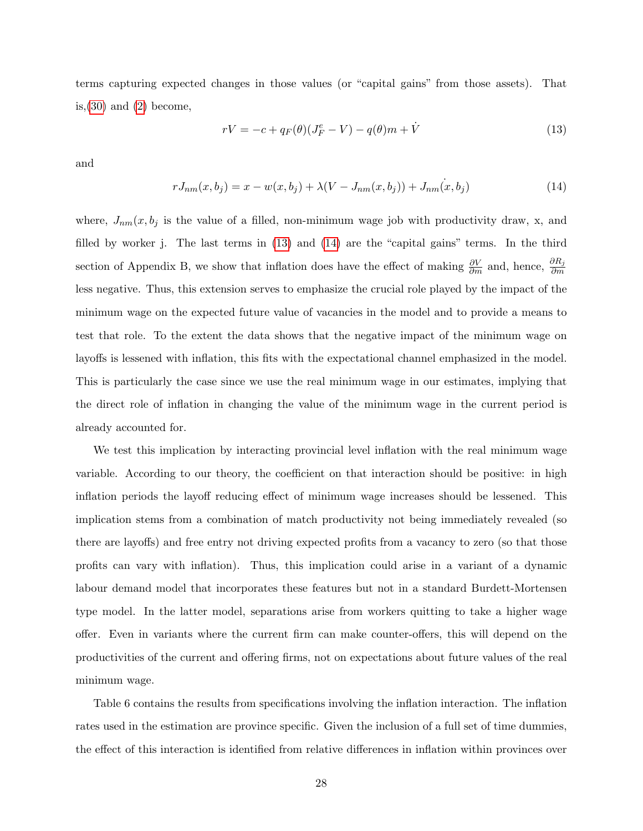terms capturing expected changes in those values (or "capital gains" from those assets). That is,  $(30)$  and  $(2)$  become,

<span id="page-27-0"></span>
$$
rV = -c + q_F(\theta)(J_F^e - V) - q(\theta)m + \dot{V}
$$
\n(13)

<span id="page-27-1"></span>and

$$
rJ_{nm}(x, b_j) = x - w(x, b_j) + \lambda (V - J_{nm}(x, b_j)) + J_{nm}(x, b_j)
$$
\n(14)

where,  $J_{nm}(x, b_j)$  is the value of a filled, non-minimum wage job with productivity draw, x, and filled by worker j. The last terms in [\(13\)](#page-27-0) and [\(14\)](#page-27-1) are the "capital gains" terms. In the third section of Appendix B, we show that inflation does have the effect of making  $\frac{\partial V}{\partial m}$  and, hence,  $\frac{\partial R_j}{\partial m}$ less negative. Thus, this extension serves to emphasize the crucial role played by the impact of the minimum wage on the expected future value of vacancies in the model and to provide a means to test that role. To the extent the data shows that the negative impact of the minimum wage on layoffs is lessened with inflation, this fits with the expectational channel emphasized in the model. This is particularly the case since we use the real minimum wage in our estimates, implying that the direct role of inflation in changing the value of the minimum wage in the current period is already accounted for.

We test this implication by interacting provincial level inflation with the real minimum wage variable. According to our theory, the coefficient on that interaction should be positive: in high inflation periods the layoff reducing effect of minimum wage increases should be lessened. This implication stems from a combination of match productivity not being immediately revealed (so there are layoffs) and free entry not driving expected profits from a vacancy to zero (so that those profits can vary with inflation). Thus, this implication could arise in a variant of a dynamic labour demand model that incorporates these features but not in a standard Burdett-Mortensen type model. In the latter model, separations arise from workers quitting to take a higher wage offer. Even in variants where the current firm can make counter-offers, this will depend on the productivities of the current and offering firms, not on expectations about future values of the real minimum wage.

Table 6 contains the results from specifications involving the inflation interaction. The inflation rates used in the estimation are province specific. Given the inclusion of a full set of time dummies, the effect of this interaction is identified from relative differences in inflation within provinces over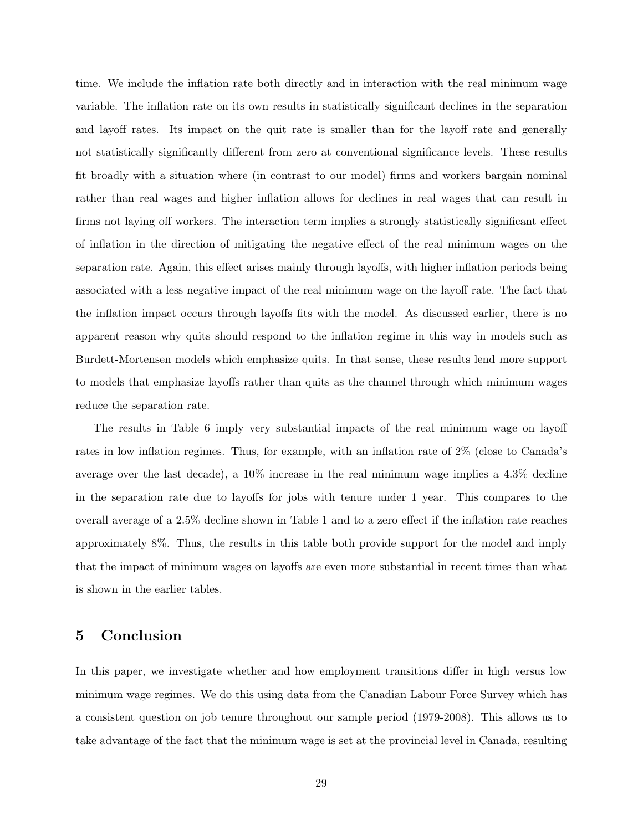time. We include the inflation rate both directly and in interaction with the real minimum wage variable. The inflation rate on its own results in statistically significant declines in the separation and layoff rates. Its impact on the quit rate is smaller than for the layoff rate and generally not statistically significantly different from zero at conventional significance levels. These results fit broadly with a situation where (in contrast to our model) firms and workers bargain nominal rather than real wages and higher inflation allows for declines in real wages that can result in firms not laying off workers. The interaction term implies a strongly statistically significant effect of inflation in the direction of mitigating the negative effect of the real minimum wages on the separation rate. Again, this effect arises mainly through layoffs, with higher inflation periods being associated with a less negative impact of the real minimum wage on the layoff rate. The fact that the inflation impact occurs through layoffs fits with the model. As discussed earlier, there is no apparent reason why quits should respond to the inflation regime in this way in models such as Burdett-Mortensen models which emphasize quits. In that sense, these results lend more support to models that emphasize layoffs rather than quits as the channel through which minimum wages reduce the separation rate.

The results in Table 6 imply very substantial impacts of the real minimum wage on layoff rates in low inflation regimes. Thus, for example, with an inflation rate of 2% (close to Canada's average over the last decade), a 10% increase in the real minimum wage implies a 4.3% decline in the separation rate due to layoffs for jobs with tenure under 1 year. This compares to the overall average of a 2.5% decline shown in Table 1 and to a zero effect if the inflation rate reaches approximately 8%. Thus, the results in this table both provide support for the model and imply that the impact of minimum wages on layoffs are even more substantial in recent times than what is shown in the earlier tables.

### 5 Conclusion

In this paper, we investigate whether and how employment transitions differ in high versus low minimum wage regimes. We do this using data from the Canadian Labour Force Survey which has a consistent question on job tenure throughout our sample period (1979-2008). This allows us to take advantage of the fact that the minimum wage is set at the provincial level in Canada, resulting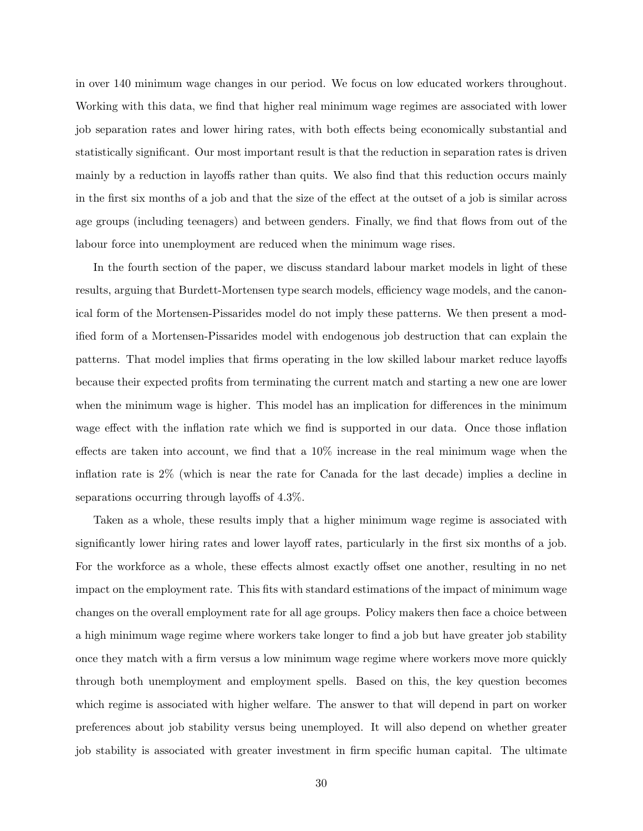in over 140 minimum wage changes in our period. We focus on low educated workers throughout. Working with this data, we find that higher real minimum wage regimes are associated with lower job separation rates and lower hiring rates, with both effects being economically substantial and statistically significant. Our most important result is that the reduction in separation rates is driven mainly by a reduction in layoffs rather than quits. We also find that this reduction occurs mainly in the first six months of a job and that the size of the effect at the outset of a job is similar across age groups (including teenagers) and between genders. Finally, we find that flows from out of the labour force into unemployment are reduced when the minimum wage rises.

In the fourth section of the paper, we discuss standard labour market models in light of these results, arguing that Burdett-Mortensen type search models, efficiency wage models, and the canonical form of the Mortensen-Pissarides model do not imply these patterns. We then present a modified form of a Mortensen-Pissarides model with endogenous job destruction that can explain the patterns. That model implies that firms operating in the low skilled labour market reduce layoffs because their expected profits from terminating the current match and starting a new one are lower when the minimum wage is higher. This model has an implication for differences in the minimum wage effect with the inflation rate which we find is supported in our data. Once those inflation effects are taken into account, we find that a 10% increase in the real minimum wage when the inflation rate is 2% (which is near the rate for Canada for the last decade) implies a decline in separations occurring through layoffs of 4.3%.

Taken as a whole, these results imply that a higher minimum wage regime is associated with significantly lower hiring rates and lower layoff rates, particularly in the first six months of a job. For the workforce as a whole, these effects almost exactly offset one another, resulting in no net impact on the employment rate. This fits with standard estimations of the impact of minimum wage changes on the overall employment rate for all age groups. Policy makers then face a choice between a high minimum wage regime where workers take longer to find a job but have greater job stability once they match with a firm versus a low minimum wage regime where workers move more quickly through both unemployment and employment spells. Based on this, the key question becomes which regime is associated with higher welfare. The answer to that will depend in part on worker preferences about job stability versus being unemployed. It will also depend on whether greater job stability is associated with greater investment in firm specific human capital. The ultimate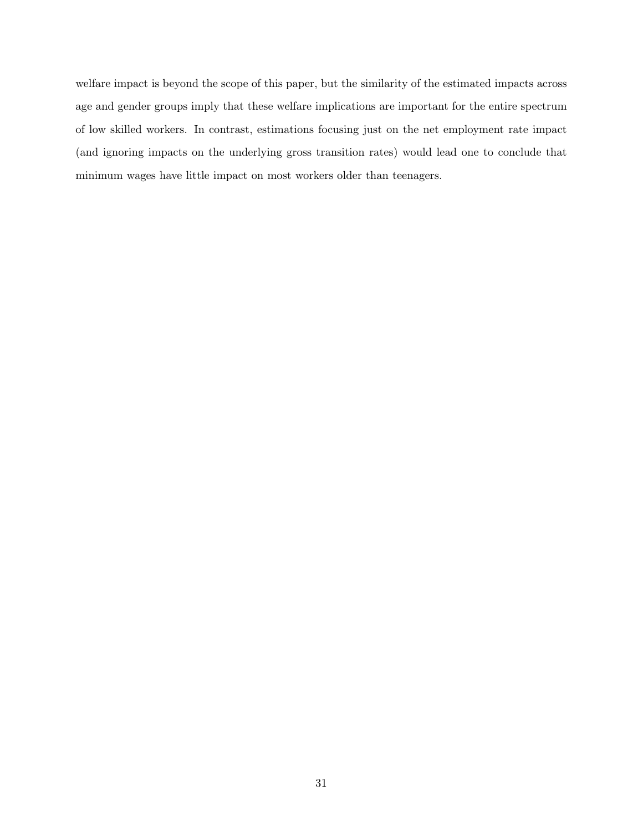welfare impact is beyond the scope of this paper, but the similarity of the estimated impacts across age and gender groups imply that these welfare implications are important for the entire spectrum of low skilled workers. In contrast, estimations focusing just on the net employment rate impact (and ignoring impacts on the underlying gross transition rates) would lead one to conclude that minimum wages have little impact on most workers older than teenagers.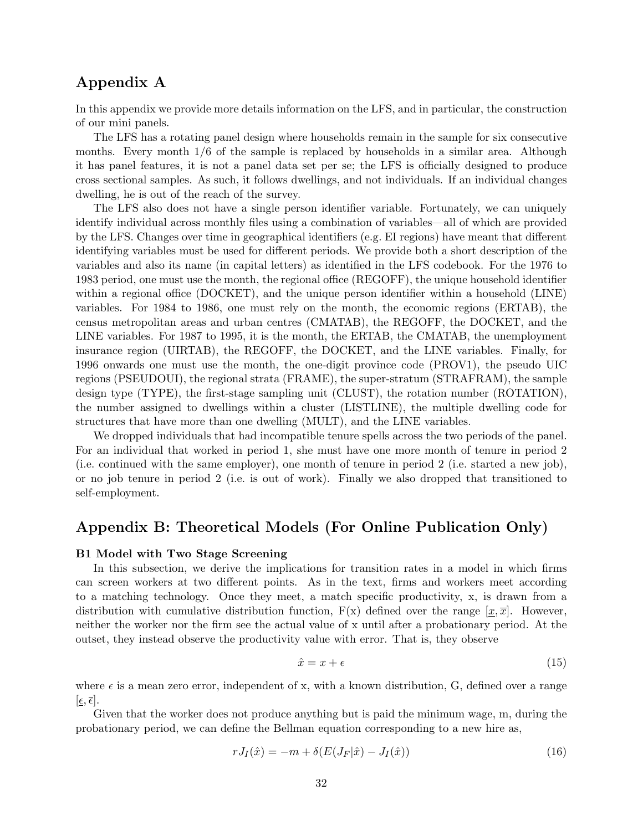# Appendix A

In this appendix we provide more details information on the LFS, and in particular, the construction of our mini panels.

The LFS has a rotating panel design where households remain in the sample for six consecutive months. Every month 1/6 of the sample is replaced by households in a similar area. Although it has panel features, it is not a panel data set per se; the LFS is officially designed to produce cross sectional samples. As such, it follows dwellings, and not individuals. If an individual changes dwelling, he is out of the reach of the survey.

The LFS also does not have a single person identifier variable. Fortunately, we can uniquely identify individual across monthly files using a combination of variables—all of which are provided by the LFS. Changes over time in geographical identifiers (e.g. EI regions) have meant that different identifying variables must be used for different periods. We provide both a short description of the variables and also its name (in capital letters) as identified in the LFS codebook. For the 1976 to 1983 period, one must use the month, the regional office (REGOFF), the unique household identifier within a regional office (DOCKET), and the unique person identifier within a household (LINE) variables. For 1984 to 1986, one must rely on the month, the economic regions (ERTAB), the census metropolitan areas and urban centres (CMATAB), the REGOFF, the DOCKET, and the LINE variables. For 1987 to 1995, it is the month, the ERTAB, the CMATAB, the unemployment insurance region (UIRTAB), the REGOFF, the DOCKET, and the LINE variables. Finally, for 1996 onwards one must use the month, the one-digit province code (PROV1), the pseudo UIC regions (PSEUDOUI), the regional strata (FRAME), the super-stratum (STRAFRAM), the sample design type (TYPE), the first-stage sampling unit (CLUST), the rotation number (ROTATION), the number assigned to dwellings within a cluster (LISTLINE), the multiple dwelling code for structures that have more than one dwelling (MULT), and the LINE variables.

We dropped individuals that had incompatible tenure spells across the two periods of the panel. For an individual that worked in period 1, she must have one more month of tenure in period 2 (i.e. continued with the same employer), one month of tenure in period 2 (i.e. started a new job), or no job tenure in period 2 (i.e. is out of work). Finally we also dropped that transitioned to self-employment.

### Appendix B: Theoretical Models (For Online Publication Only)

#### B1 Model with Two Stage Screening

In this subsection, we derive the implications for transition rates in a model in which firms can screen workers at two different points. As in the text, firms and workers meet according to a matching technology. Once they meet, a match specific productivity, x, is drawn from a distribution with cumulative distribution function,  $F(x)$  defined over the range  $[x, \overline{x}]$ . However, neither the worker nor the firm see the actual value of x until after a probationary period. At the outset, they instead observe the productivity value with error. That is, they observe

<span id="page-31-0"></span>
$$
\hat{x} = x + \epsilon \tag{15}
$$

where  $\epsilon$  is a mean zero error, independent of x, with a known distribution, G, defined over a range  $[\epsilon, \overline{\epsilon}].$ 

Given that the worker does not produce anything but is paid the minimum wage, m, during the probationary period, we can define the Bellman equation corresponding to a new hire as,

$$
rJ_I(\hat{x}) = -m + \delta(E(J_F|\hat{x}) - J_I(\hat{x}))
$$
\n(16)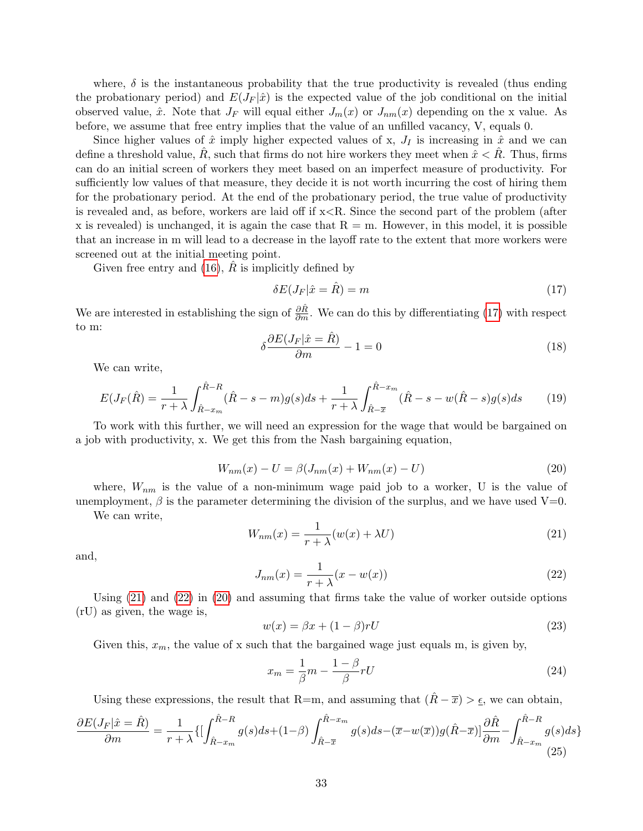where,  $\delta$  is the instantaneous probability that the true productivity is revealed (thus ending the probationary period) and  $E(J_F|\hat{x})$  is the expected value of the job conditional on the initial observed value,  $\hat{x}$ . Note that  $J_F$  will equal either  $J_m(x)$  or  $J_{nm}(x)$  depending on the x value. As before, we assume that free entry implies that the value of an unfilled vacancy, V, equals 0.

Since higher values of  $\hat{x}$  imply higher expected values of x,  $J_I$  is increasing in  $\hat{x}$  and we can define a threshold value,  $\hat{R}$ , such that firms do not hire workers they meet when  $\hat{x} < \hat{R}$ . Thus, firms can do an initial screen of workers they meet based on an imperfect measure of productivity. For sufficiently low values of that measure, they decide it is not worth incurring the cost of hiring them for the probationary period. At the end of the probationary period, the true value of productivity is revealed and, as before, workers are laid off if x<R. Since the second part of the problem (after x is revealed) is unchanged, it is again the case that  $R = m$ . However, in this model, it is possible that an increase in m will lead to a decrease in the layoff rate to the extent that more workers were screened out at the initial meeting point.

Given free entry and  $(16)$ , R is implicitly defined by

<span id="page-32-0"></span>
$$
\delta E(J_F|\hat{x} = \hat{R}) = m \tag{17}
$$

<span id="page-32-4"></span>We are interested in establishing the sign of  $\frac{\partial \hat{R}}{\partial m}$ . We can do this by differentiating [\(17\)](#page-32-0) with respect to m:

$$
\delta \frac{\partial E(J_F|\hat{x} = \hat{R})}{\partial m} - 1 = 0 \tag{18}
$$

We can write,

$$
E(J_F(\hat{R}) = \frac{1}{r+\lambda} \int_{\hat{R}-x_m}^{\hat{R}-R} (\hat{R}-s-m)g(s)ds + \frac{1}{r+\lambda} \int_{\hat{R}-\overline{x}}^{\hat{R}-x_m} (\hat{R}-s-w(\hat{R}-s)g(s)ds \qquad (19)
$$

<span id="page-32-3"></span>To work with this further, we will need an expression for the wage that would be bargained on a job with productivity, x. We get this from the Nash bargaining equation,

<span id="page-32-1"></span>
$$
W_{nm}(x) - U = \beta (J_{nm}(x) + W_{nm}(x) - U)
$$
\n(20)

where,  $W_{nm}$  is the value of a non-minimum wage paid job to a worker, U is the value of unemployment,  $\beta$  is the parameter determining the division of the surplus, and we have used V=0.

We can write,

$$
W_{nm}(x) = \frac{1}{r + \lambda}(w(x) + \lambda U)
$$
\n(21)

<span id="page-32-2"></span>and,

$$
J_{nm}(x) = \frac{1}{r + \lambda}(x - w(x))\tag{22}
$$

Using [\(21\)](#page-32-1) and [\(22\)](#page-32-2) in [\(20\)](#page-32-3) and assuming that firms take the value of worker outside options (rU) as given, the wage is,

<span id="page-32-5"></span>
$$
w(x) = \beta x + (1 - \beta)rU\tag{23}
$$

Given this,  $x_m$ , the value of x such that the bargained wage just equals m, is given by,

$$
x_m = \frac{1}{\beta}m - \frac{1-\beta}{\beta}rU\tag{24}
$$

Using these expressions, the result that R=m, and assuming that  $(\hat{R} - \overline{x}) > \underline{\epsilon}$ , we can obtain,

$$
\frac{\partial E(J_F|\hat{x}=\hat{R})}{\partial m} = \frac{1}{r+\lambda} \{ \left[ \int_{\hat{R}-x_m}^{\hat{R}-R} g(s)ds + (1-\beta) \int_{\hat{R}-\overline{x}}^{\hat{R}-x_m} g(s)ds - (\overline{x}-w(\overline{x}))g(\hat{R}-\overline{x}) \right] \frac{\partial \hat{R}}{\partial m} - \int_{\hat{R}-x_m}^{\hat{R}-R} g(s)ds \} \tag{25}
$$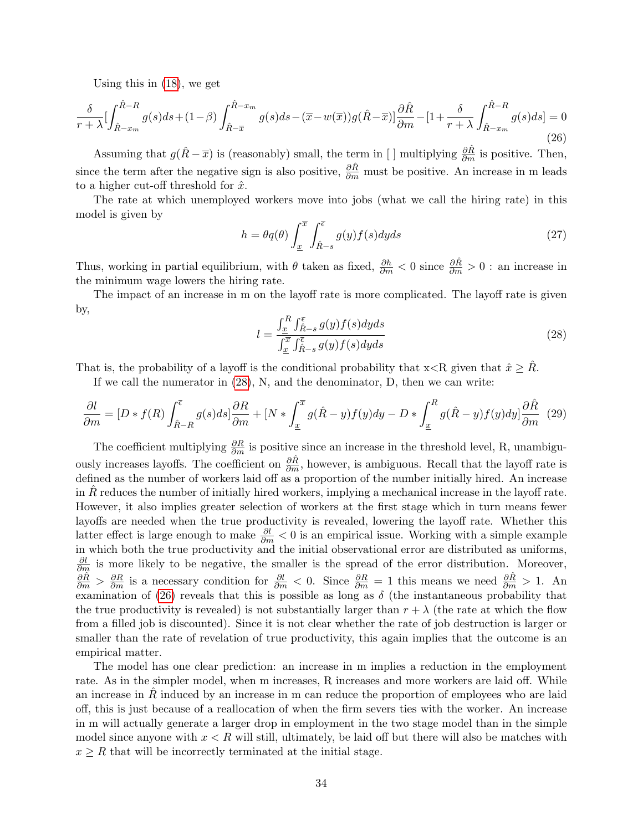<span id="page-33-1"></span>Using this in [\(18\)](#page-32-4), we get

$$
\frac{\delta}{r+\lambda} \left[ \int_{\hat{R}-x_m}^{\hat{R}-R} g(s)ds + (1-\beta) \int_{\hat{R}-\overline{x}}^{\hat{R}-x_m} g(s)ds - (\overline{x}-w(\overline{x}))g(\hat{R}-\overline{x}) \right] \frac{\partial \hat{R}}{\partial m} - \left[1 + \frac{\delta}{r+\lambda} \int_{\hat{R}-x_m}^{\hat{R}-R} g(s)ds\right] = 0
$$
\n(26)

Assuming that  $g(\hat{R} - \overline{x})$  is (reasonably) small, the term in [ ] multiplying  $\frac{\partial \hat{R}}{\partial m}$  is positive. Then, since the term after the negative sign is also positive,  $\frac{\partial \hat{R}}{\partial m}$  must be positive. An increase in m leads to a higher cut-off threshold for  $\hat{x}$ .

The rate at which unemployed workers move into jobs (what we call the hiring rate) in this model is given by

$$
h = \theta q(\theta) \int_{\underline{x}}^{\overline{x}} \int_{\hat{R}-s}^{\overline{\epsilon}} g(y) f(s) dy ds \tag{27}
$$

Thus, working in partial equilibrium, with  $\theta$  taken as fixed,  $\frac{\partial h}{\partial m} < 0$  since  $\frac{\partial \hat{R}}{\partial m} > 0$ : an increase in the minimum wage lowers the hiring rate.

<span id="page-33-0"></span>The impact of an increase in m on the layoff rate is more complicated. The layoff rate is given by,

$$
l = \frac{\int_{\underline{x}}^{R} \int_{\hat{R}-s}^{\overline{\epsilon}} g(y)f(s)dyds}{\int_{\underline{x}}^{\overline{x}} \int_{\hat{R}-s}^{\overline{\epsilon}} g(y)f(s)dyds}
$$
(28)

That is, the probability of a layoff is the conditional probability that  $x \leq R$  given that  $\hat{x} \geq \hat{R}$ .

If we call the numerator in [\(28\)](#page-33-0), N, and the denominator, D, then we can write:

$$
\frac{\partial l}{\partial m} = [D * f(R) \int_{\hat{R}-R}^{\overline{\epsilon}} g(s)ds] \frac{\partial R}{\partial m} + [N * \int_{\underline{x}}^{\overline{x}} g(\hat{R}-y)f(y)dy - D * \int_{\underline{x}}^{R} g(\hat{R}-y)f(y)dy] \frac{\partial \hat{R}}{\partial m}
$$
(29)

The coefficient multiplying  $\frac{\partial R}{\partial m}$  is positive since an increase in the threshold level, R, unambiguously increases layoffs. The coefficient on  $\frac{\partial \hat{R}}{\partial m}$ , however, is ambiguous. Recall that the layoff rate is defined as the number of workers laid off as a proportion of the number initially hired. An increase in R reduces the number of initially hired workers, implying a mechanical increase in the layoff rate. However, it also implies greater selection of workers at the first stage which in turn means fewer layoffs are needed when the true productivity is revealed, lowering the layoff rate. Whether this latter effect is large enough to make  $\frac{\partial l}{\partial m} < 0$  is an empirical issue. Working with a simple example in which both the true productivity and the initial observational error are distributed as uniforms,  $\frac{\partial l}{\partial m}$  is more likely to be negative, the smaller is the spread of the error distribution. Moreover,  $\frac{\partial \hat{R}}{\partial m} > \frac{\partial R}{\partial m}$  is a necessary condition for  $\frac{\partial l}{\partial m} < 0$ . Since  $\frac{\partial R}{\partial m} = 1$  this means we need  $\frac{\partial \hat{R}}{\partial m} > 1$ . An examination of [\(26\)](#page-33-1) reveals that this is possible as long as  $\delta$  (the instantaneous probability that the true productivity is revealed) is not substantially larger than  $r + \lambda$  (the rate at which the flow from a filled job is discounted). Since it is not clear whether the rate of job destruction is larger or smaller than the rate of revelation of true productivity, this again implies that the outcome is an empirical matter.

The model has one clear prediction: an increase in m implies a reduction in the employment rate. As in the simpler model, when m increases, R increases and more workers are laid off. While an increase in  $R$  induced by an increase in m can reduce the proportion of employees who are laid off, this is just because of a reallocation of when the firm severs ties with the worker. An increase in m will actually generate a larger drop in employment in the two stage model than in the simple model since anyone with  $x < R$  will still, ultimately, be laid off but there will also be matches with  $x \geq R$  that will be incorrectly terminated at the initial stage.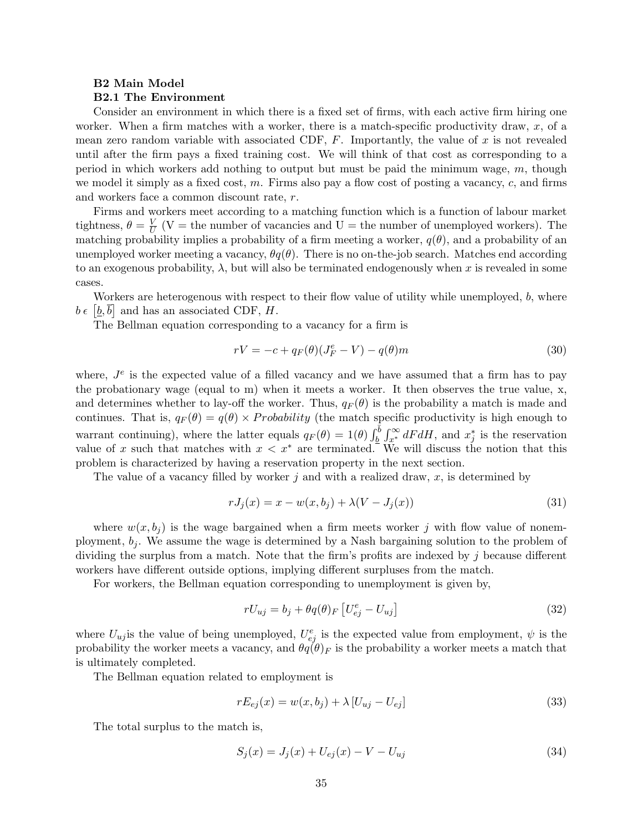#### B2 Main Model B2.1 The Environment

Consider an environment in which there is a fixed set of firms, with each active firm hiring one worker. When a firm matches with a worker, there is a match-specific productivity draw,  $x$ , of a mean zero random variable with associated CDF,  $F$ . Importantly, the value of x is not revealed until after the firm pays a fixed training cost. We will think of that cost as corresponding to a period in which workers add nothing to output but must be paid the minimum wage, m, though we model it simply as a fixed cost, m. Firms also pay a flow cost of posting a vacancy,  $c$ , and firms and workers face a common discount rate, r.

Firms and workers meet according to a matching function which is a function of labour market tightness,  $\theta = \frac{V}{L}$  $\frac{V}{U}$  (V = the number of vacancies and U = the number of unemployed workers). The matching probability implies a probability of a firm meeting a worker,  $q(\theta)$ , and a probability of an unemployed worker meeting a vacancy,  $\theta q(\theta)$ . There is no on-the-job search. Matches end according to an exogenous probability,  $\lambda$ , but will also be terminated endogenously when x is revealed in some cases.

Workers are heterogenous with respect to their flow value of utility while unemployed, b, where  $b \in [\underline{b}, \overline{b}]$  and has an associated CDF, H.

The Bellman equation corresponding to a vacancy for a firm is

<span id="page-34-0"></span>
$$
rV = -c + q_F(\theta)(J_F^e - V) - q(\theta)m
$$
\n(30)

where,  $J<sup>e</sup>$  is the expected value of a filled vacancy and we have assumed that a firm has to pay the probationary wage (equal to m) when it meets a worker. It then observes the true value, x, and determines whether to lay-off the worker. Thus,  $q_F(\theta)$  is the probability a match is made and continues. That is,  $q_F(\theta) = q(\theta) \times Probability$  (the match specific productivity is high enough to warrant continuing), where the latter equals  $q_F(\theta) = 1(\theta) \int_{\theta}^{\bar{\theta}} \int_{x^*}^{\infty} dF dH$ , and  $x_j^*$  is the reservation value of x such that matches with  $x < x^*$  are terminated. We will discuss the notion that this problem is characterized by having a reservation property in the next section.

The value of a vacancy filled by worker  $j$  and with a realized draw,  $x$ , is determined by

<span id="page-34-1"></span>
$$
rJ_j(x) = x - w(x, b_j) + \lambda (V - J_j(x))
$$
\n(31)

where  $w(x, b_i)$  is the wage bargained when a firm meets worker j with flow value of nonemployment,  $b_j$ . We assume the wage is determined by a Nash bargaining solution to the problem of dividing the surplus from a match. Note that the firm's profits are indexed by  $\dot{\jmath}$  because different workers have different outside options, implying different surpluses from the match.

For workers, the Bellman equation corresponding to unemployment is given by,

$$
rU_{uj} = b_j + \theta q(\theta)_F \left[ U_{ej}^e - U_{uj} \right] \tag{32}
$$

where  $U_{uj}$  is the value of being unemployed,  $U_{ej}^e$  is the expected value from employment,  $\psi$  is the probability the worker meets a vacancy, and  $\theta q(\theta)$  is the probability a worker meets a match that is ultimately completed.

The Bellman equation related to employment is

$$
rE_{ej}(x) = w(x, b_j) + \lambda [U_{uj} - U_{ej}]
$$
\n(33)

The total surplus to the match is,

$$
S_j(x) = J_j(x) + U_{ej}(x) - V - U_{uj}
$$
\n(34)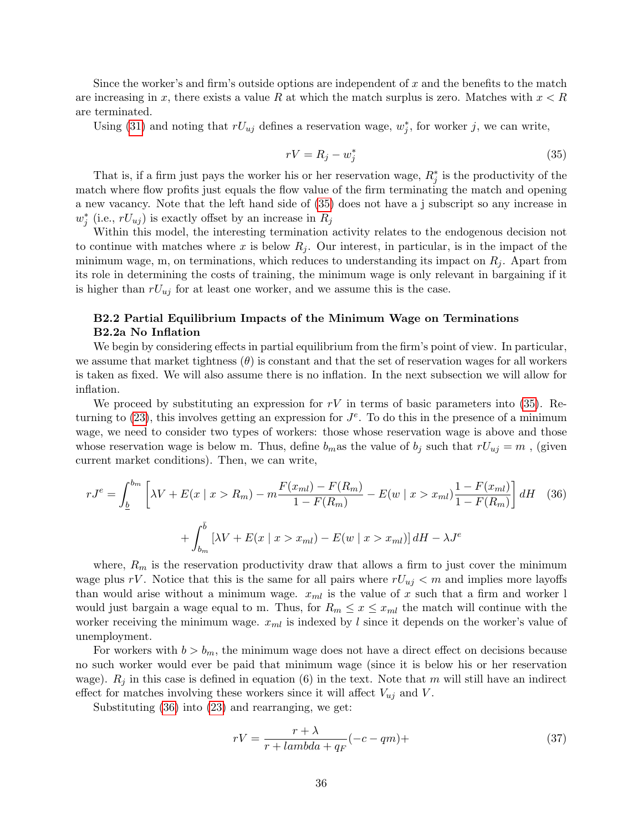Since the worker's and firm's outside options are independent of  $x$  and the benefits to the match are increasing in x, there exists a value R at which the match surplus is zero. Matches with  $x < R$ are terminated.

<span id="page-35-0"></span>Using [\(31\)](#page-34-1) and noting that  $rU_{uj}$  defines a reservation wage,  $w_j^*$ , for worker j, we can write,

$$
rV = R_j - w_j^* \tag{35}
$$

That is, if a firm just pays the worker his or her reservation wage,  $R_j^*$  is the productivity of the match where flow profits just equals the flow value of the firm terminating the match and opening a new vacancy. Note that the left hand side of [\(35\)](#page-35-0) does not have a j subscript so any increase in  $w_j^*$  (i.e.,  $rU_{uj}$ ) is exactly offset by an increase in  $R_j$ 

Within this model, the interesting termination activity relates to the endogenous decision not to continue with matches where x is below  $R_j$ . Our interest, in particular, is in the impact of the minimum wage, m, on terminations, which reduces to understanding its impact on  $R_j$ . Apart from its role in determining the costs of training, the minimum wage is only relevant in bargaining if it is higher than  $rU_{uj}$  for at least one worker, and we assume this is the case.

### B2.2 Partial Equilibrium Impacts of the Minimum Wage on Terminations B2.2a No Inflation

We begin by considering effects in partial equilibrium from the firm's point of view. In particular, we assume that market tightness  $(\theta)$  is constant and that the set of reservation wages for all workers is taken as fixed. We will also assume there is no inflation. In the next subsection we will allow for inflation.

We proceed by substituting an expression for  $rV$  in terms of basic parameters into [\(35\)](#page-35-0). Returning to  $(23)$ , this involves getting an expression for  $J<sup>e</sup>$ . To do this in the presence of a minimum wage, we need to consider two types of workers: those whose reservation wage is above and those whose reservation wage is below m. Thus, define  $b_m$  as the value of  $b_j$  such that  $rU_{uj} = m$ , (given current market conditions). Then, we can write,

<span id="page-35-1"></span>
$$
rJ^{e} = \int_{\underline{b}}^{b_{m}} \left[ \lambda V + E(x \mid x > R_{m}) - m \frac{F(x_{ml}) - F(R_{m})}{1 - F(R_{m})} - E(w \mid x > x_{ml}) \frac{1 - F(x_{ml})}{1 - F(R_{m})} \right] dH \quad (36)
$$

$$
+ \int_{b_{m}}^{\overline{b}} \left[ \lambda V + E(x \mid x > x_{ml}) - E(w \mid x > x_{ml}) \right] dH - \lambda J^{e}
$$

where,  $R_m$  is the reservation productivity draw that allows a firm to just cover the minimum wage plus rV. Notice that this is the same for all pairs where  $rU_{uj} < m$  and implies more layoffs than would arise without a minimum wage.  $x_{ml}$  is the value of x such that a firm and worker l would just bargain a wage equal to m. Thus, for  $R_m \leq x \leq x_{ml}$  the match will continue with the worker receiving the minimum wage.  $x_{ml}$  is indexed by l since it depends on the worker's value of unemployment.

For workers with  $b > b_m$ , the minimum wage does not have a direct effect on decisions because no such worker would ever be paid that minimum wage (since it is below his or her reservation wage).  $R_j$  in this case is defined in equation (6) in the text. Note that m will still have an indirect effect for matches involving these workers since it will affect  $V_{uj}$  and V.

Substituting [\(36\)](#page-35-1) into [\(23\)](#page-32-5) and rearranging, we get:

$$
rV = \frac{r + \lambda}{r + lambda + qF}(-c - qm) +
$$
\n(37)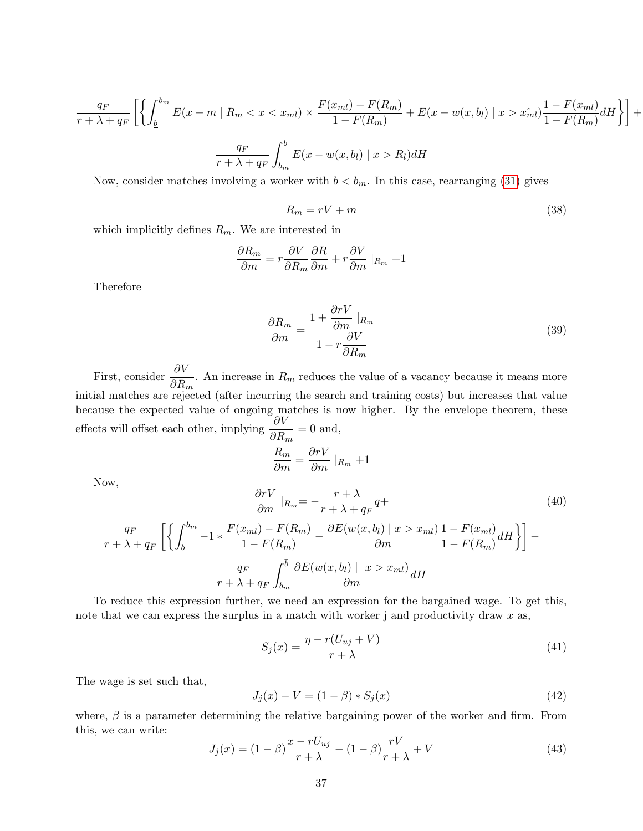$$
\frac{q_F}{r + \lambda + q_F} \left[ \left\{ \int_{\underline{b}}^{b_m} E(x - m \mid R_m < x < x_m) \times \frac{F(x_{ml}) - F(R_m)}{1 - F(R_m)} + E(x - w(x, b_l) \mid x > x_m^*) \frac{1 - F(x_{ml})}{1 - F(R_m)} dH \right\} \right] + \frac{q_F}{r + \lambda + q_F} \int_{b_m}^{\overline{b}} E(x - w(x, b_l) \mid x > R_l) dH
$$

Now, consider matches involving a worker with  $b < b_m$ . In this case, rearranging [\(31\)](#page-34-1) gives

$$
R_m = rV + m \tag{38}
$$

which implicitly defines  $R_m$ . We are interested in

$$
\frac{\partial R_m}{\partial m} = r \frac{\partial V}{\partial R_m} \frac{\partial R}{\partial m} + r \frac{\partial V}{\partial m} |_{R_m} + 1
$$

Therefore

$$
\frac{\partial R_m}{\partial m} = \frac{1 + \frac{\partial rV}{\partial m} \mid_{R_m}}{1 - r \frac{\partial V}{\partial R_m}}
$$
(39)

First, consider  $\frac{\partial V}{\partial \mathbf{p}}$  $\frac{\partial V}{\partial R_m}$ . An increase in  $R_m$  reduces the value of a vacancy because it means more initial matches are rejected (after incurring the search and training costs) but increases that value because the expected value of ongoing matches is now higher. By the envelope theorem, these effects will offset each other, implying  $\frac{\partial V}{\partial \mathbf{p}}$  $\frac{\partial V}{\partial R_m} = 0$  and,

$$
\frac{R_m}{\partial m} = \frac{\partial rV}{\partial m} \mid_{R_m} + 1
$$

Now,

<span id="page-36-1"></span>
$$
\frac{\partial rV}{\partial m}|_{R_m} = -\frac{r+\lambda}{r+\lambda+q_F}q+ \tag{40}
$$
\n
$$
\frac{q_F}{r+\lambda+q_F} \left[ \left\{ \int_{\underline{b}}^{b_m} -1 * \frac{F(x_{ml}) - F(R_m)}{1 - F(R_m)} - \frac{\partial E(w(x, b_l) \mid x > x_{ml})}{\partial m} \frac{1 - F(x_{ml})}{1 - F(R_m)} dH \right\} \right] - \frac{q_F}{r+\lambda+q_F} \int_{b_m}^{\overline{b}} \frac{\partial E(w(x, b_l) \mid x > x_{ml})}{\partial m} dH \tag{41}
$$

To reduce this expression further, we need an expression for the bargained wage. To get this, note that we can express the surplus in a match with worker j and productivity draw  $x$  as,

$$
S_j(x) = \frac{\eta - r(U_{uj} + V)}{r + \lambda} \tag{41}
$$

The wage is set such that,

$$
J_j(x) - V = (1 - \beta) * S_j(x)
$$
\n(42)

where,  $\beta$  is a parameter determining the relative bargaining power of the worker and firm. From this, we can write:

<span id="page-36-0"></span>
$$
J_j(x) = (1 - \beta) \frac{x - rU_{uj}}{r + \lambda} - (1 - \beta) \frac{rV}{r + \lambda} + V
$$
\n(43)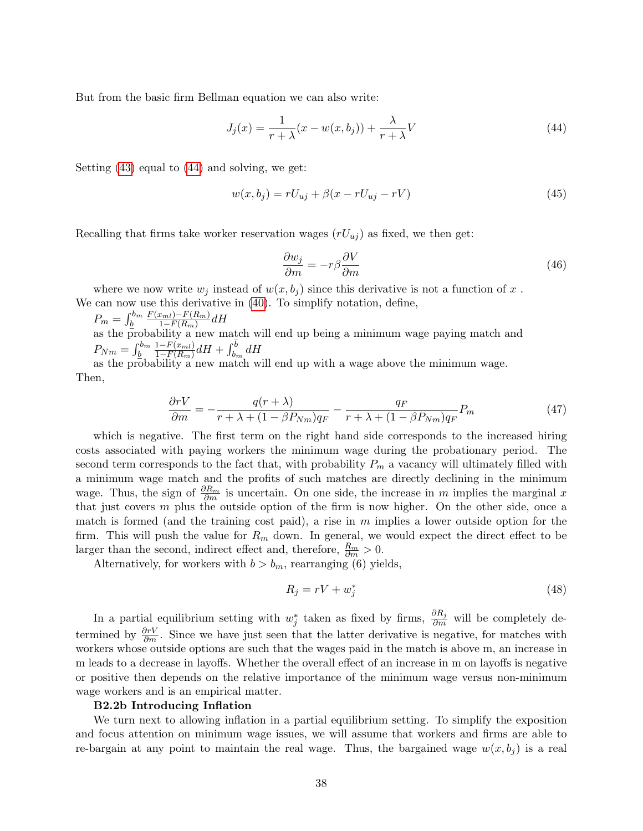But from the basic firm Bellman equation we can also write:

<span id="page-37-0"></span>
$$
J_j(x) = \frac{1}{r + \lambda}(x - w(x, b_j)) + \frac{\lambda}{r + \lambda}V\tag{44}
$$

Setting [\(43\)](#page-36-0) equal to [\(44\)](#page-37-0) and solving, we get:

$$
w(x, b_j) = rU_{uj} + \beta(x - rU_{uj} - rV)
$$
\n(45)

Recalling that firms take worker reservation wages  $(rU_{uj})$  as fixed, we then get:

$$
\frac{\partial w_j}{\partial m} = -r\beta \frac{\partial V}{\partial m} \tag{46}
$$

where we now write  $w_i$  instead of  $w(x, b_i)$  since this derivative is not a function of x. We can now use this derivative in [\(40\)](#page-36-1). To simplify notation, define,

$$
P_m = \int_{\underline{b}}^{b_m} \frac{F(x_{ml}) - F(R_m)}{1 - F(R_m)} dH
$$
  
as the probability a new match will end up being a minimum wage paying match and  

$$
P_{Nm} = \int_{b}^{b_m} \frac{1 - F(x_{ml})}{1 - F(R_m)} dH + \int_{b_m}^{\overline{b}} dH
$$

<span id="page-37-1"></span> $\frac{1}{2} h_m - \frac{1}{2} \frac{1}{1 - F(R_m)} u^{11} + \frac{1}{2} h_m u^{11}$ <br>as the probability a new match will end up with a wage above the minimum wage. Then,

$$
\frac{\partial rV}{\partial m} = -\frac{q(r+\lambda)}{r+\lambda+(1-\beta P_{Nm})q_F} - \frac{q_F}{r+\lambda+(1-\beta P_{Nm})q_F}P_m \tag{47}
$$

which is negative. The first term on the right hand side corresponds to the increased hiring costs associated with paying workers the minimum wage during the probationary period. The second term corresponds to the fact that, with probability  $P_m$  a vacancy will ultimately filled with a minimum wage match and the profits of such matches are directly declining in the minimum wage. Thus, the sign of  $\frac{\partial R_m}{\partial m}$  is uncertain. On one side, the increase in m implies the marginal x that just covers  $m$  plus the outside option of the firm is now higher. On the other side, once a match is formed (and the training cost paid), a rise in  $m$  implies a lower outside option for the firm. This will push the value for  $R_m$  down. In general, we would expect the direct effect to be larger than the second, indirect effect and, therefore,  $\frac{R_m}{\partial m} > 0$ .

Alternatively, for workers with  $b > b_m$ , rearranging (6) yields,

$$
R_j = rV + w_j^* \tag{48}
$$

In a partial equilibrium setting with  $w_j^*$  taken as fixed by firms,  $\frac{\partial R_j}{\partial m}$  will be completely determined by  $\frac{\partial rV}{\partial m}$ . Since we have just seen that the latter derivative is negative, for matches with workers whose outside options are such that the wages paid in the match is above m, an increase in m leads to a decrease in layoffs. Whether the overall effect of an increase in m on layoffs is negative or positive then depends on the relative importance of the minimum wage versus non-minimum wage workers and is an empirical matter.

#### B2.2b Introducing Inflation

We turn next to allowing inflation in a partial equilibrium setting. To simplify the exposition and focus attention on minimum wage issues, we will assume that workers and firms are able to re-bargain at any point to maintain the real wage. Thus, the bargained wage  $w(x, b_i)$  is a real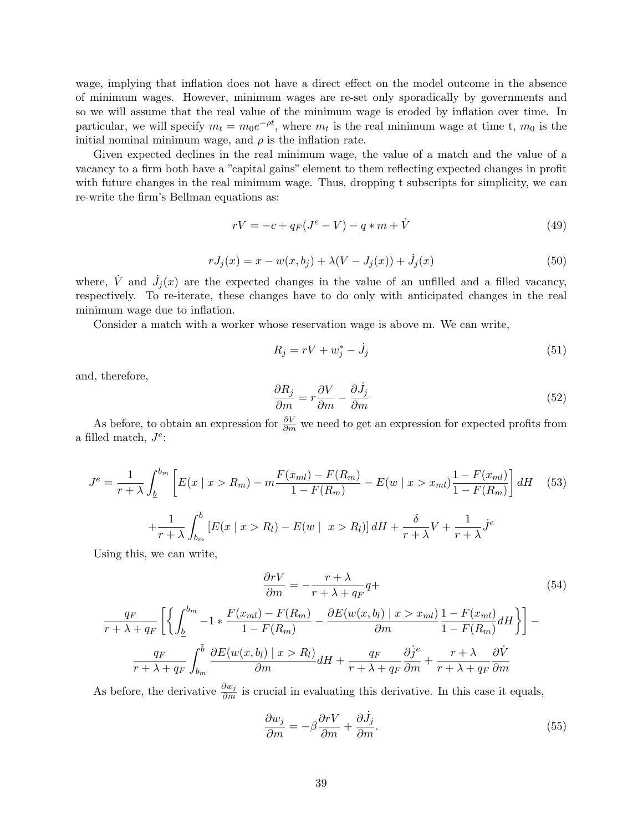wage, implying that inflation does not have a direct effect on the model outcome in the absence of minimum wages. However, minimum wages are re-set only sporadically by governments and so we will assume that the real value of the minimum wage is eroded by inflation over time. In particular, we will specify  $m_t = m_0 e^{-\rho t}$ , where  $m_t$  is the real minimum wage at time t,  $m_0$  is the initial nominal minimum wage, and  $\rho$  is the inflation rate.

Given expected declines in the real minimum wage, the value of a match and the value of a vacancy to a firm both have a "capital gains" element to them reflecting expected changes in profit with future changes in the real minimum wage. Thus, dropping t subscripts for simplicity, we can re-write the firm's Bellman equations as:

$$
rV = -c + q_F(J^e - V) - q * m + \dot{V}
$$
\n(49)

$$
rJ_j(x) = x - w(x, b_j) + \lambda(V - J_j(x)) + \dot{J}_j(x)
$$
\n(50)

where,  $\dot{V}$  and  $\dot{J}_j(x)$  are the expected changes in the value of an unfilled and a filled vacancy, respectively. To re-iterate, these changes have to do only with anticipated changes in the real minimum wage due to inflation.

Consider a match with a worker whose reservation wage is above m. We can write,

$$
R_j = rV + w_j^* - \dot{J}_j \tag{51}
$$

and, therefore,

$$
\frac{\partial R_j}{\partial m} = r \frac{\partial V}{\partial m} - \frac{\partial \dot{J}_j}{\partial m} \tag{52}
$$

As before, to obtain an expression for  $\frac{\partial V}{\partial m}$  we need to get an expression for expected profits from a filled match,  $J^e$ :

$$
J^{e} = \frac{1}{r + \lambda} \int_{\underline{b}}^{b_{m}} \left[ E(x \mid x > R_{m}) - m \frac{F(x_{ml}) - F(R_{m})}{1 - F(R_{m})} - E(w \mid x > x_{ml}) \frac{1 - F(x_{ml})}{1 - F(R_{m})} \right] dH \quad (53)
$$

$$
+ \frac{1}{r + \lambda} \int_{b_{m}}^{\overline{b}} \left[ E(x \mid x > R_{l}) - E(w \mid x > R_{l}) \right] dH + \frac{\delta}{r + \lambda} V + \frac{1}{r + \lambda} j^{e}
$$

Using this, we can write,

$$
\frac{\partial rV}{\partial m} = -\frac{r + \lambda}{r + \lambda + q_F} q +
$$
\n
$$
\frac{q_F}{r + \lambda + q_F} \left[ \left\{ \int_{\underline{b}}^{b_m} -1 * \frac{F(x_{ml}) - F(R_m)}{1 - F(R_m)} - \frac{\partial E(w(x, b_l) \mid x > x_{ml})}{\partial m} \frac{1 - F(x_{ml})}{1 - F(R_m)} dH \right\} \right] -
$$
\n
$$
\frac{q_F}{r + \lambda + q_F} \int_{b_m}^{\overline{b}} \frac{\partial E(w(x, b_l) \mid x > R_l)}{\partial m} dH + \frac{q_F}{r + \lambda + q_F} \frac{\partial j^e}{\partial m} + \frac{r + \lambda}{r + \lambda + q_F} \frac{\partial \dot{V}}{\partial m}
$$
\n
$$
(54)
$$

As before, the derivative  $\frac{\partial w_j}{\partial m}$  is crucial in evaluating this derivative. In this case it equals,

$$
\frac{\partial w_j}{\partial m} = -\beta \frac{\partial rV}{\partial m} + \frac{\partial \dot{J}_j}{\partial m}.
$$
\n(55)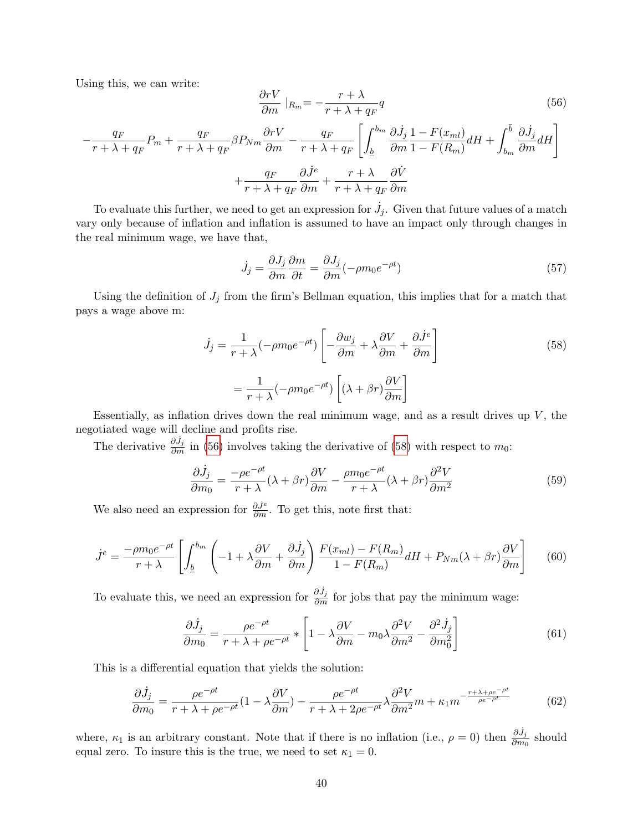Using this, we can write:

<span id="page-39-0"></span>
$$
\frac{\partial rV}{\partial m}|_{R_m} = -\frac{r+\lambda}{r+\lambda+q_F}q\tag{56}
$$

$$
-\frac{q_F}{r + \lambda + q_F} P_m + \frac{q_F}{r + \lambda + q_F} \beta P_{Nm} \frac{\partial rV}{\partial m} - \frac{q_F}{r + \lambda + q_F} \left[ \int_{\underline{b}}^{b_m} \frac{\partial \dot{J}_j}{\partial m} \frac{1 - F(x_{ml})}{1 - F(R_m)} dH + \int_{b_m}^{\bar{b}} \frac{\partial \dot{J}_j}{\partial m} dH \right] + \frac{q_F}{r + \lambda + q_F} \frac{\partial \dot{J}^e}{\partial m} + \frac{r + \lambda}{r + \lambda + q_F} \frac{\partial \dot{V}}{\partial m}
$$

To evaluate this further, we need to get an expression for  $\dot{J}_j$ . Given that future values of a match vary only because of inflation and inflation is assumed to have an impact only through changes in the real minimum wage, we have that,

$$
\dot{J}_j = \frac{\partial J_j}{\partial m} \frac{\partial m}{\partial t} = \frac{\partial J_j}{\partial m} (-\rho m_0 e^{-\rho t})
$$
\n(57)

Using the definition of  $J_j$  from the firm's Bellman equation, this implies that for a match that pays a wage above m:

<span id="page-39-1"></span>
$$
\dot{J}_j = \frac{1}{r + \lambda} (-\rho m_0 e^{-\rho t}) \left[ -\frac{\partial w_j}{\partial m} + \lambda \frac{\partial V}{\partial m} + \frac{\partial \dot{J}^e}{\partial m} \right]
$$
\n
$$
= \frac{1}{r + \lambda} (-\rho m_0 e^{-\rho t}) \left[ (\lambda + \beta r) \frac{\partial V}{\partial m} \right]
$$
\n(58)

Essentially, as inflation drives down the real minimum wage, and as a result drives up  $V$ , the negotiated wage will decline and profits rise.

<span id="page-39-4"></span>The derivative  $\frac{\partial \dot{J}_j}{\partial m}$  in [\(56\)](#page-39-0) involves taking the derivative of [\(58\)](#page-39-1) with respect to  $m_0$ :

$$
\frac{\partial \dot{J}_j}{\partial m_0} = \frac{-\rho e^{-\rho t}}{r + \lambda} (\lambda + \beta r) \frac{\partial V}{\partial m} - \frac{\rho m_0 e^{-\rho t}}{r + \lambda} (\lambda + \beta r) \frac{\partial^2 V}{\partial m^2}
$$
(59)

<span id="page-39-3"></span>We also need an expression for  $\frac{\partial j^e}{\partial m}$ . To get this, note first that:

$$
\dot{J}^e = \frac{-\rho m_0 e^{-\rho t}}{r + \lambda} \left[ \int_{\underline{b}}^{b_m} \left( -1 + \lambda \frac{\partial V}{\partial m} + \frac{\partial \dot{J}_j}{\partial m} \right) \frac{F(x_{ml}) - F(R_m)}{1 - F(R_m)} dH + P_{Nm}(\lambda + \beta r) \frac{\partial V}{\partial m} \right] \tag{60}
$$

To evaluate this, we need an expression for  $\frac{\partial \dot{J}_j}{\partial m}$  for jobs that pay the minimum wage:

<span id="page-39-2"></span>
$$
\frac{\partial \dot{J}_j}{\partial m_0} = \frac{\rho e^{-\rho t}}{r + \lambda + \rho e^{-\rho t}} * \left[ 1 - \lambda \frac{\partial V}{\partial m} - m_0 \lambda \frac{\partial^2 V}{\partial m^2} - \frac{\partial^2 \dot{J}_j}{\partial m_0^2} \right]
$$
(61)

This is a differential equation that yields the solution:

$$
\frac{\partial \dot{J}_j}{\partial m_0} = \frac{\rho e^{-\rho t}}{r + \lambda + \rho e^{-\rho t}} (1 - \lambda \frac{\partial V}{\partial m}) - \frac{\rho e^{-\rho t}}{r + \lambda + 2\rho e^{-\rho t}} \lambda \frac{\partial^2 V}{\partial m^2} m + \kappa_1 m^{-\frac{r + \lambda + \rho e^{-\rho t}}{\rho e^{-\rho t}}} \tag{62}
$$

where,  $\kappa_1$  is an arbitrary constant. Note that if there is no inflation (i.e.,  $\rho = 0$ ) then  $\frac{\partial \dot{J}_j}{\partial m_0}$  should equal zero. To insure this is the true, we need to set  $\kappa_1 = 0$ .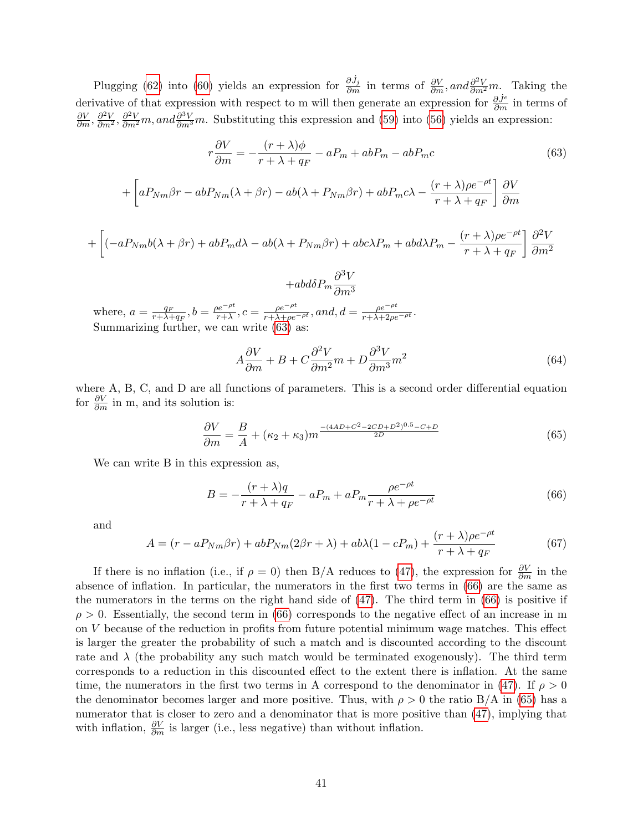Plugging [\(62\)](#page-39-2) into [\(60\)](#page-39-3) yields an expression for  $\frac{\partial \dot{J}_j}{\partial m}$  in terms of  $\frac{\partial V}{\partial m}$ , and  $\frac{\partial^2 V}{\partial m^2}m$ . Taking the derivative of that expression with respect to m will then generate an expression for  $\frac{\partial J^e}{\partial m}$  in terms of  $\frac{\partial V}{\partial m}$ ,  $\frac{\partial^2 V}{\partial m^2}$ ,  $\frac{\partial^2 V}{\partial m^2}$ , and  $\frac{\partial^3 V}{\partial m^3}$  m. Substituting this expression and [\(59\)](#page-39-4) into [\(56\)](#page-39-0) yields an expression:

$$
r\frac{\partial V}{\partial m} = -\frac{(r+\lambda)\phi}{r+\lambda+q_F} - aP_m + abP_m - abP_m c
$$
(63)  
+
$$
\left[aP_{Nm}\beta r - abP_{Nm}(\lambda+\beta r) - ab(\lambda+P_{Nm}\beta r) + abP_m c\lambda - \frac{(r+\lambda)\rho e^{-\rho t}}{r+\lambda+q_F}\right]\frac{\partial V}{\partial m}
$$

 $+\Bigl[(-aP_{Nm}b(\lambda + \beta r) +abP_{m}d\lambda -ab(\lambda + P_{Nm}\beta r) + abc\lambda P_{m} + abd\lambda P_{m} (r + \lambda)\rho e^{-\rho t}$  $r + \lambda + q_F$  $\partial^2 V$  $\partial m^2$ 

<span id="page-40-0"></span>
$$
+abd\delta P_m\frac{\partial^3 V}{\partial m^3}
$$

where,  $a = \frac{q_F}{r + \lambda}$  $\frac{q_F}{r+\lambda+q_F}, b=\frac{\rho e^{-\rho t}}{r+\lambda}$  $\frac{e^{-\rho t}}{r+\lambda}, c = \frac{\rho e^{-\rho t}}{r+\lambda+\rho e^{-\rho t}}, and, d = \frac{\rho e^{-\rho t}}{r+\lambda+2\rho e^{-\rho t}}.$ Summarizing further, we can write [\(63\)](#page-40-0) as:

<span id="page-40-2"></span>
$$
A\frac{\partial V}{\partial m} + B + C\frac{\partial^2 V}{\partial m^2}m + D\frac{\partial^3 V}{\partial m^3}m^2\tag{64}
$$

where A, B, C, and D are all functions of parameters. This is a second order differential equation for  $\frac{\partial V}{\partial m}$  in m, and its solution is:

$$
\frac{\partial V}{\partial m} = \frac{B}{A} + (\kappa_2 + \kappa_3) m^{\frac{-(4AD + C^2 - 2CD + D^2)^{0.5} - C + D}{2D}}
$$
(65)

We can write B in this expression as,

<span id="page-40-1"></span>
$$
B = -\frac{(r+\lambda)q}{r+\lambda+q_F} - aP_m + aP_m \frac{\rho e^{-\rho t}}{r+\lambda+\rho e^{-\rho t}} \tag{66}
$$

and

$$
A = (r - aP_{Nm}\beta r) + abP_{Nm}(2\beta r + \lambda) + ab\lambda(1 - cP_m) + \frac{(r + \lambda)\rho e^{-\rho t}}{r + \lambda + q_F}
$$
(67)

If there is no inflation (i.e., if  $\rho = 0$ ) then B/A reduces to [\(47\)](#page-37-1), the expression for  $\frac{\partial V}{\partial m}$  in the absence of inflation. In particular, the numerators in the first two terms in [\(66\)](#page-40-1) are the same as the numerators in the terms on the right hand side of [\(47\)](#page-37-1). The third term in [\(66\)](#page-40-1) is positive if  $\rho > 0$ . Essentially, the second term in [\(66\)](#page-40-1) corresponds to the negative effect of an increase in m on V because of the reduction in profits from future potential minimum wage matches. This effect is larger the greater the probability of such a match and is discounted according to the discount rate and  $\lambda$  (the probability any such match would be terminated exogenously). The third term corresponds to a reduction in this discounted effect to the extent there is inflation. At the same time, the numerators in the first two terms in A correspond to the denominator in [\(47\)](#page-37-1). If  $\rho > 0$ the denominator becomes larger and more positive. Thus, with  $\rho > 0$  the ratio B/A in [\(65\)](#page-40-2) has a numerator that is closer to zero and a denominator that is more positive than  $(47)$ , implying that with inflation,  $\frac{\partial V}{\partial m}$  is larger (i.e., less negative) than without inflation.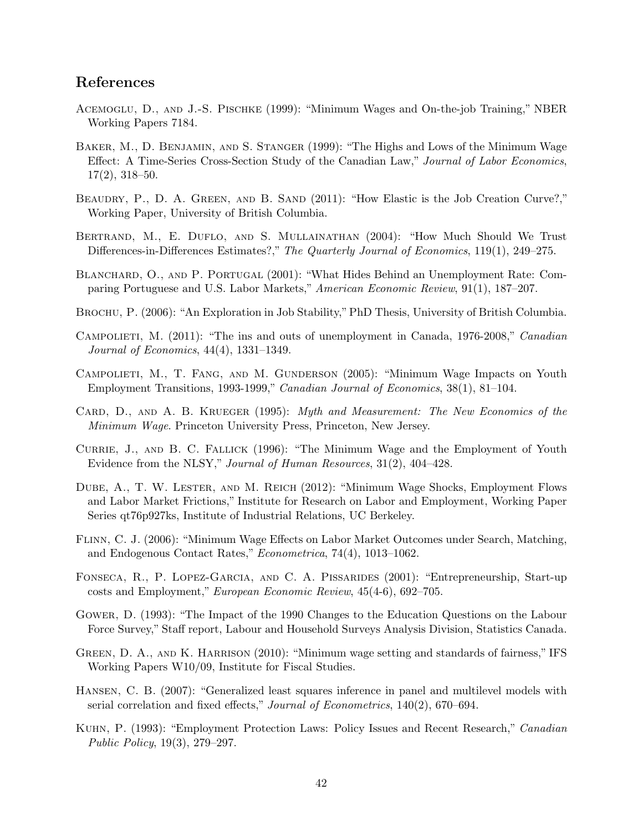# References

- Acemoglu, D., and J.-S. Pischke (1999): "Minimum Wages and On-the-job Training," NBER Working Papers 7184.
- Baker, M., D. Benjamin, and S. Stanger (1999): "The Highs and Lows of the Minimum Wage Effect: A Time-Series Cross-Section Study of the Canadian Law," Journal of Labor Economics, 17(2), 318–50.
- BEAUDRY, P., D. A. GREEN, AND B. SAND (2011): "How Elastic is the Job Creation Curve?," Working Paper, University of British Columbia.
- Bertrand, M., E. Duflo, and S. Mullainathan (2004): "How Much Should We Trust Differences-in-Differences Estimates?," The Quarterly Journal of Economics, 119(1), 249–275.
- BLANCHARD, O., AND P. PORTUGAL (2001): "What Hides Behind an Unemployment Rate: Comparing Portuguese and U.S. Labor Markets," American Economic Review, 91(1), 187–207.
- BROCHU, P. (2006): "An Exploration in Job Stability," PhD Thesis, University of British Columbia.
- Campolieti, M. (2011): "The ins and outs of unemployment in Canada, 1976-2008," Canadian Journal of Economics, 44(4), 1331–1349.
- CAMPOLIETI, M., T. FANG, AND M. GUNDERSON (2005): "Minimum Wage Impacts on Youth Employment Transitions, 1993-1999," Canadian Journal of Economics, 38(1), 81–104.
- CARD, D., AND A. B. KRUEGER (1995): Myth and Measurement: The New Economics of the Minimum Wage. Princeton University Press, Princeton, New Jersey.
- Currie, J., and B. C. Fallick (1996): "The Minimum Wage and the Employment of Youth Evidence from the NLSY," Journal of Human Resources, 31(2), 404–428.
- Dube, A., T. W. Lester, and M. Reich (2012): "Minimum Wage Shocks, Employment Flows and Labor Market Frictions," Institute for Research on Labor and Employment, Working Paper Series qt76p927ks, Institute of Industrial Relations, UC Berkeley.
- Flinn, C. J. (2006): "Minimum Wage Effects on Labor Market Outcomes under Search, Matching, and Endogenous Contact Rates," Econometrica, 74(4), 1013–1062.
- Fonseca, R., P. Lopez-Garcia, and C. A. Pissarides (2001): "Entrepreneurship, Start-up costs and Employment," European Economic Review, 45(4-6), 692–705.
- Gower, D. (1993): "The Impact of the 1990 Changes to the Education Questions on the Labour Force Survey," Staff report, Labour and Household Surveys Analysis Division, Statistics Canada.
- GREEN, D. A., AND K. HARRISON (2010): "Minimum wage setting and standards of fairness," IFS Working Papers W10/09, Institute for Fiscal Studies.
- Hansen, C. B. (2007): "Generalized least squares inference in panel and multilevel models with serial correlation and fixed effects," Journal of Econometrics, 140(2), 670-694.
- Kuhn, P. (1993): "Employment Protection Laws: Policy Issues and Recent Research," Canadian Public Policy, 19(3), 279–297.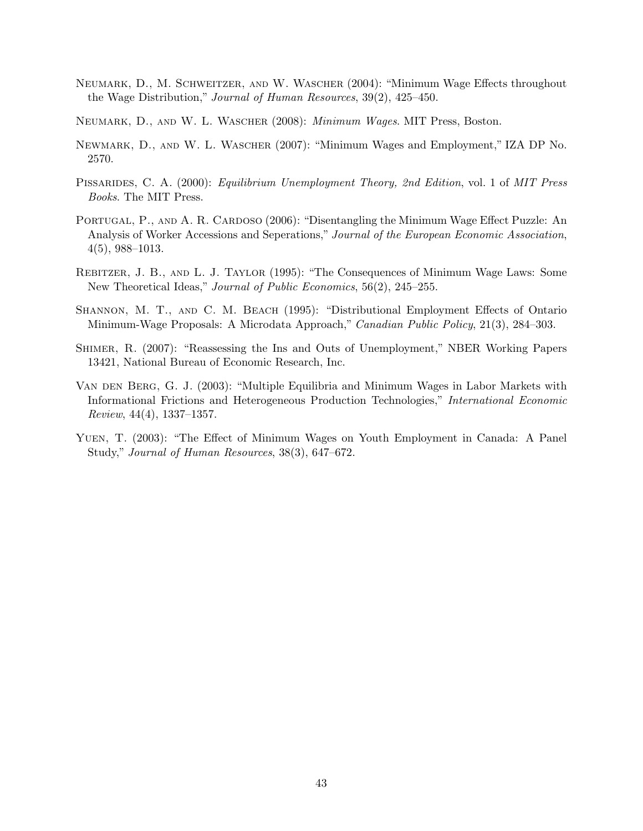- Neumark, D., M. Schweitzer, and W. Wascher (2004): "Minimum Wage Effects throughout the Wage Distribution," Journal of Human Resources, 39(2), 425–450.
- Neumark, D., and W. L. Wascher (2008): Minimum Wages. MIT Press, Boston.
- Newmark, D., and W. L. Wascher (2007): "Minimum Wages and Employment," IZA DP No. 2570.
- PISSARIDES, C. A. (2000): *Equilibrium Unemployment Theory, 2nd Edition, vol.* 1 of *MIT Press* Books. The MIT Press.
- PORTUGAL, P., AND A. R. CARDOSO (2006): "Disentangling the Minimum Wage Effect Puzzle: An Analysis of Worker Accessions and Seperations," Journal of the European Economic Association, 4(5), 988–1013.
- Rebitzer, J. B., and L. J. Taylor (1995): "The Consequences of Minimum Wage Laws: Some New Theoretical Ideas," Journal of Public Economics, 56(2), 245–255.
- Shannon, M. T., and C. M. Beach (1995): "Distributional Employment Effects of Ontario Minimum-Wage Proposals: A Microdata Approach," Canadian Public Policy, 21(3), 284–303.
- Shimer, R. (2007): "Reassessing the Ins and Outs of Unemployment," NBER Working Papers 13421, National Bureau of Economic Research, Inc.
- Van den Berg, G. J. (2003): "Multiple Equilibria and Minimum Wages in Labor Markets with Informational Frictions and Heterogeneous Production Technologies," International Economic Review, 44(4), 1337–1357.
- Yuen, T. (2003): "The Effect of Minimum Wages on Youth Employment in Canada: A Panel Study," Journal of Human Resources, 38(3), 647–672.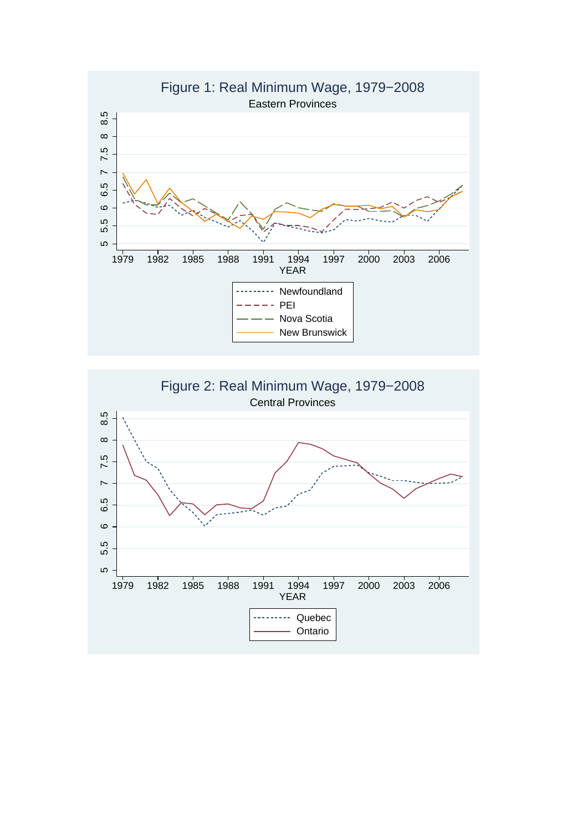

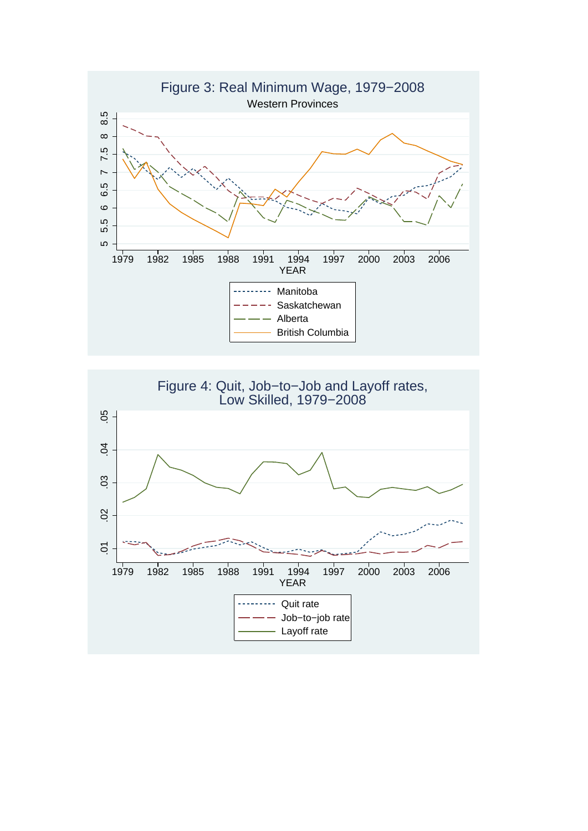

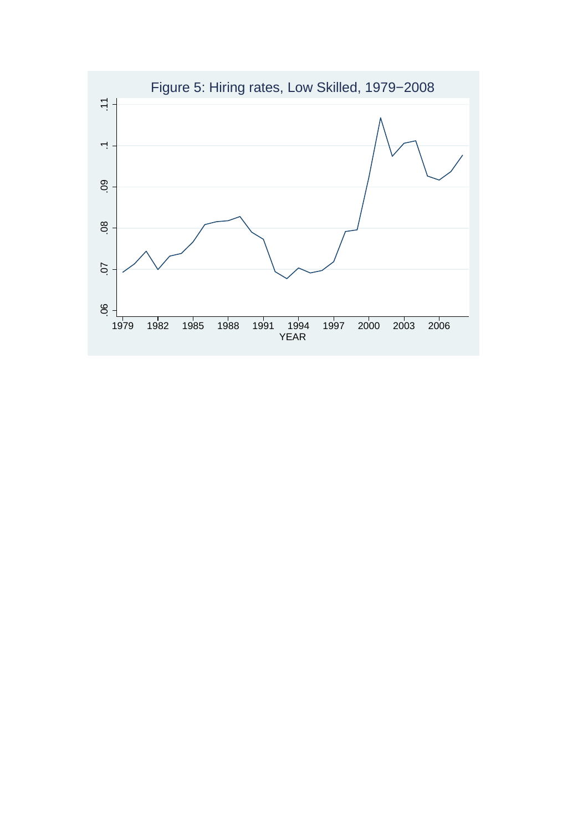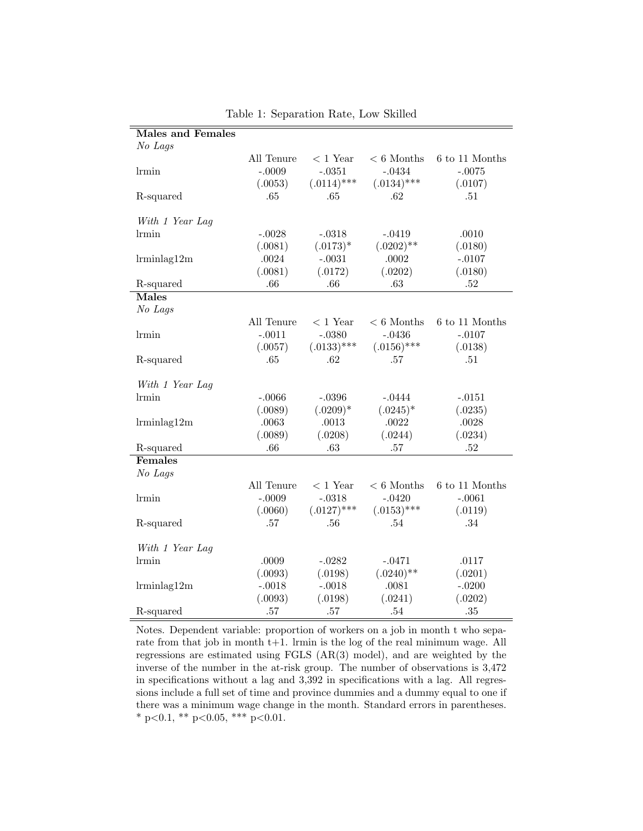| <b>Males and Females</b> |            |               |               |                    |
|--------------------------|------------|---------------|---------------|--------------------|
| No Lags                  |            |               |               |                    |
|                          | All Tenure | $<$ 1 Year    | $< 6$ Months  | 6 to 11 Months     |
| $l$ rmin                 | $-.0009$   | $-.0351$      | $-.0434$      | $-.0075$           |
|                          | (.0053)    | $(.0114)$ *** | $(.0134)$ *** | (.0107)            |
| R-squared                | .65        | .65           | .62           | .51                |
|                          |            |               |               |                    |
| With 1 Year Lag          |            |               |               |                    |
| lrmin                    | $-.0028$   | $-.0318$      | $-.0419$      | .0010              |
|                          | (.0081)    | $(.0173)*$    | $(.0202)$ **  | (.0180)            |
| $l$ rmin $lag12m$        | .0024      | $-.0031$      | .0002         | $-.0107$           |
|                          | (.0081)    | (.0172)       | (.0202)       | (.0180)            |
| R-squared                | .66        | .66           | .63           | $.52\,$            |
| <b>Males</b>             |            |               |               |                    |
| No Lags                  |            |               |               |                    |
|                          | All Tenure | $< 1$ Year    | $< 6$ Months  | $6$ to $11$ Months |
| lrmin                    | $-.0011$   | $-.0380$      | $-.0436$      | $-.0107$           |
|                          | (.0057)    | $(.0133)$ *** | $(.0156)$ *** | (.0138)            |
| R-squared                | .65        | .62           | .57           | .51                |
|                          |            |               |               |                    |
| With 1 Year Lag          |            |               |               |                    |
| lrmin                    | $-.0066$   | $-.0396$      | $-.0444$      | $-.0151$           |
|                          | (.0089)    | $(.0209)*$    | $(.0245)^*$   | (.0235)            |
| $l$ rmin $lag12m$        | .0063      | .0013         | .0022         | .0028              |
|                          | (.0089)    | (.0208)       | (.0244)       | (.0234)            |
| R-squared                | .66        | .63           | .57           | .52                |
| Females                  |            |               |               |                    |
| No Lags                  |            |               |               |                    |
|                          | All Tenure | $<$ 1 Year    | $< 6$ Months  | $6$ to $11$ Months |
| lrmin                    | $-.0009$   | $-.0318$      | $-.0420$      | $-.0061$           |
|                          | (.0060)    | $(.0127)$ *** | $(.0153)$ *** | (.0119)            |
| R-squared                | .57        | .56           | .54           | .34                |
|                          |            |               |               |                    |
| With 1 Year Lag          |            |               |               |                    |
| lrmin                    | .0009      | $-.0282$      | $-.0471$      | .0117              |
|                          | (.0093)    | (.0198)       | $(.0240)$ **  | (.0201)            |
| $l$ rmin $lag12m$        | $-.0018$   | $-.0018$      | .0081         | $-.0200$           |
|                          | (.0093)    | (.0198)       | (.0241)       | (.0202)            |
| R-squared                | .57        | .57           | .54           | .35                |

Table 1: Separation Rate, Low Skilled

Notes. Dependent variable: proportion of workers on a job in month t who separate from that job in month t+1. Irmin is the log of the real minimum wage. All regressions are estimated using FGLS (AR(3) model), and are weighted by the inverse of the number in the at-risk group. The number of observations is 3,472 in specifications without a lag and 3,392 in specifications with a lag. All regressions include a full set of time and province dummies and a dummy equal to one if there was a minimum wage change in the month. Standard errors in parentheses. \* p<0.1, \*\* p<0.05, \*\*\* p<0.01.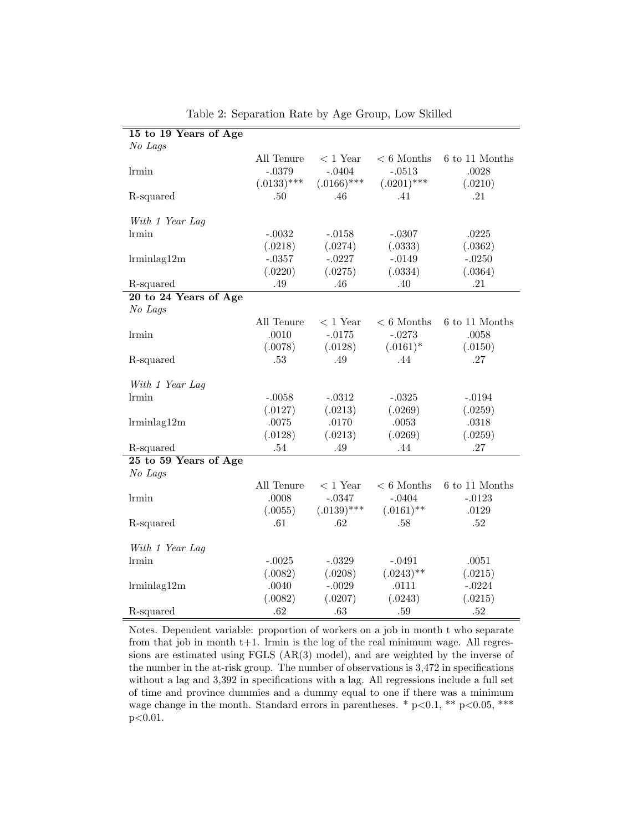| 15 to 19 Years of Age |               |               |               |                    |
|-----------------------|---------------|---------------|---------------|--------------------|
| No Lags               |               |               |               |                    |
|                       | All Tenure    | $<$ 1 Year    | $< 6$ Months  | $6$ to $11$ Months |
| lrmin                 | $-.0379$      | $-.0404$      | $-.0513$      | .0028              |
|                       | $(.0133)$ *** | $(.0166)$ *** | $(.0201)$ *** | (.0210)            |
| R-squared             | .50           | .46           | .41           | .21                |
|                       |               |               |               |                    |
| With 1 Year Lag       |               |               |               |                    |
| lrmin                 | $-.0032$      | $-.0158$      | $-.0307$      | .0225              |
|                       | (.0218)       | (.0274)       | (.0333)       | (.0362)            |
| $l$ rmin $lag12m$     | $-.0357$      | $-.0227$      | $-.0149$      | $-.0250$           |
|                       | (.0220)       | (.0275)       | (.0334)       | (.0364)            |
| R-squared             | .49           | .46           | .40           | .21                |
| 20 to 24 Years of Age |               |               |               |                    |
| No Lags               |               |               |               |                    |
|                       | All Tenure    | $<$ 1 Year    | $< 6$ Months  | 6 to 11 Months     |
| lrmin                 | .0010         | $-.0175$      | $-.0273$      | .0058              |
|                       | (.0078)       | (.0128)       | $(.0161)^*$   | (.0150)            |
| R-squared             | .53           | .49           | .44           | .27                |
|                       |               |               |               |                    |
| With 1 Year Lag       |               |               |               |                    |
| lrmin                 | $-.0058$      | $-.0312$      | $-.0325$      | $-.0194$           |
|                       | (.0127)       | (.0213)       | (.0269)       | (.0259)            |
| $l$ rmin $lag12m$     | .0075         | $.0170\,$     | .0053         | .0318              |
|                       | (.0128)       | (.0213)       | (.0269)       | (.0259)            |
| R-squared             | .54           | .49           | .44           | .27                |
| 25 to 59 Years of Age |               |               |               |                    |
| No Lags               |               |               |               |                    |
|                       | All Tenure    | $<$ 1 Year    | $< 6$ Months  | $6$ to $11$ Months |
| lrmin                 | .0008         | $-.0347$      | $-.0404$      | $-.0123$           |
|                       | (.0055)       | $(.0139)$ *** | $(.0161)$ **  | .0129              |
| R-squared             | .61           | .62           | .58           | .52                |
|                       |               |               |               |                    |
| With 1 Year Lag       |               |               |               |                    |
| lrmin                 | $-.0025$      | $-.0329$      | $-.0491$      | .0051              |
|                       | (.0082)       | (.0208)       | $(.0243)$ **  | (.0215)            |
| $l$ rmin $lag12m$     | .0040         | $-.0029$      | .0111         | $-.0224$           |
|                       | (.0082)       | (.0207)       | (.0243)       | (.0215)            |
| R-squared             | .62           | .63           | .59           | $.52\,$            |

Table 2: Separation Rate by Age Group, Low Skilled

Notes. Dependent variable: proportion of workers on a job in month t who separate from that job in month t+1. lrmin is the log of the real minimum wage. All regressions are estimated using FGLS (AR(3) model), and are weighted by the inverse of the number in the at-risk group. The number of observations is 3,472 in specifications without a lag and 3,392 in specifications with a lag. All regressions include a full set of time and province dummies and a dummy equal to one if there was a minimum wage change in the month. Standard errors in parentheses. \*  $p<0.1$ , \*\*  $p<0.05$ , \*\*\* p<0.01.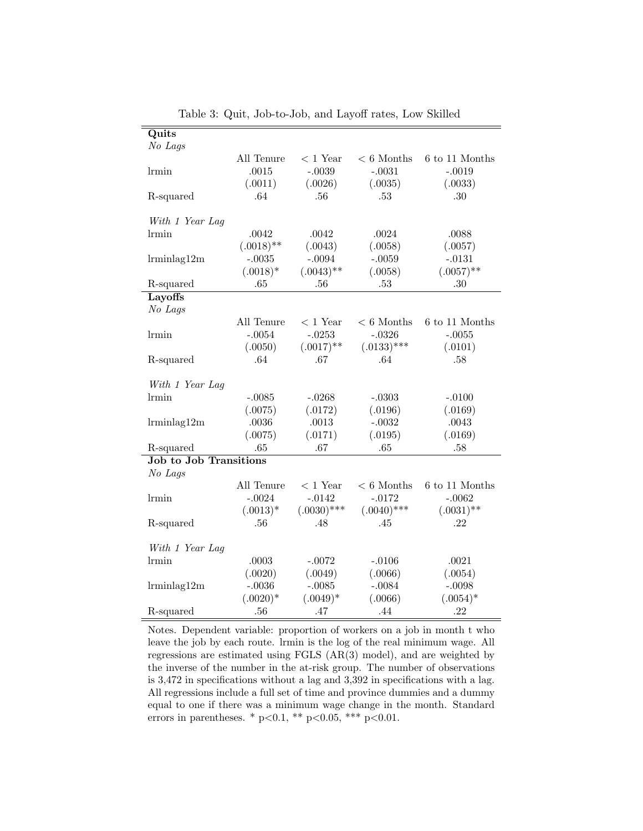| Quits                         |              |               |               |                |
|-------------------------------|--------------|---------------|---------------|----------------|
| No Lags                       |              |               |               |                |
|                               | All Tenure   | $<$ 1 Year    | $< 6$ Months  | 6 to 11 Months |
| lrmin                         | .0015        | $-.0039$      | $-.0031$      | $-.0019$       |
|                               | (.0011)      | (.0026)       | (.0035)       | (.0033)        |
| R-squared                     | .64          | .56           | .53           | .30            |
|                               |              |               |               |                |
| With 1 Year Lag               |              |               |               |                |
| <i>lrmin</i>                  | .0042        | .0042         | .0024         | .0088          |
|                               | $(.0018)$ ** | (.0043)       | (.0058)       | (.0057)        |
| $l$ rmin $lag12m$             | $-.0035$     | $-.0094$      | $-.0059$      | $-.0131$       |
|                               | $(.0018)*$   | $(.0043)$ **  | (.0058)       | $(.0057)$ **   |
| R-squared                     | .65          | .56           | .53           | .30            |
| Layoffs                       |              |               |               |                |
| No Lags                       |              |               |               |                |
|                               | All Tenure   | $<$ 1 Year    | $< 6$ Months  | 6 to 11 Months |
| lrmin                         | $-.0054$     | $-.0253$      | $-.0326$      | $-.0055$       |
|                               | (.0050)      | $(.0017)$ **  | $(.0133)$ *** | (.0101)        |
| R-squared                     | .64          | .67           | .64           | .58            |
|                               |              |               |               |                |
| With 1 Year Lag               |              |               |               |                |
| lrmin                         | $-.0085$     | $-.0268$      | $-.0303$      | $-.0100$       |
|                               | (.0075)      | (.0172)       | (.0196)       | (.0169)        |
| $l$ rminlag12m                | $.0036\,$    | .0013         | $-.0032$      | .0043          |
|                               | (.0075)      | (.0171)       | (.0195)       | (.0169)        |
| R-squared                     | .65          | .67           | .65           | .58            |
| <b>Job to Job Transitions</b> |              |               |               |                |
| No Lags                       |              |               |               |                |
|                               | All Tenure   | $<$ 1 Year    | $< 6$ Months  | 6 to 11 Months |
| lrmin                         | $-.0024$     | $-.0142$      | $-.0172$      | $-.0062$       |
|                               | $(.0013)*$   | $(.0030)$ *** | $(.0040)$ *** | $(.0031)$ **   |
| R-squared                     | .56          | .48           | .45           | .22            |
|                               |              |               |               |                |
| With 1 Year Lag               |              |               |               |                |
| <i>Irmin</i>                  | .0003        | $-.0072$      | $-.0106$      | .0021          |
|                               | (.0020)      | (.0049)       | (.0066)       | (.0054)        |
| $l$ rmin $lag12m$             | $-.0036$     | $-.0085$      | $-.0084$      | $-.0098$       |
|                               | $(.0020)*$   | $(.0049)*$    | (.0066)       | $(.0054)*$     |
| R-squared                     | .56          | .47           | .44           | .22            |

Table 3: Quit, Job-to-Job, and Layoff rates, Low Skilled

Notes. Dependent variable: proportion of workers on a job in month t who leave the job by each route. lrmin is the log of the real minimum wage. All regressions are estimated using FGLS (AR(3) model), and are weighted by the inverse of the number in the at-risk group. The number of observations is 3,472 in specifications without a lag and 3,392 in specifications with a lag. All regressions include a full set of time and province dummies and a dummy equal to one if there was a minimum wage change in the month. Standard errors in parentheses. \*  $p<0.1$ , \*\*  $p<0.05$ , \*\*\*  $p<0.01$ .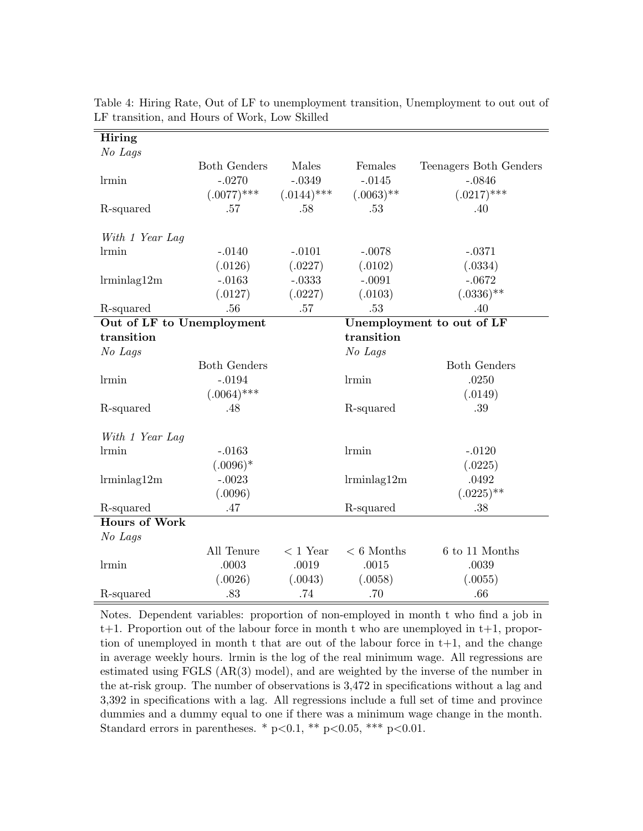| Hiring                    |                     |               |                   |                           |
|---------------------------|---------------------|---------------|-------------------|---------------------------|
| No Lags                   |                     |               |                   |                           |
|                           | <b>Both Genders</b> | Males         | Females           | Teenagers Both Genders    |
| <i>Irmin</i>              | $-.0270$            | $-.0349$      | $-.0145$          | $-.0846$                  |
|                           | $(.0077)$ ***       | $(.0144)$ *** | $(.0063)$ **      | $(.0217)$ ***             |
| R-squared                 | .57                 | .58           | .53               | .40                       |
| With 1 Year Lag           |                     |               |                   |                           |
| lrmin                     | $-.0140$            | $-.0101$      | $-.0078$          | $-.0371$                  |
|                           | (.0126)             | (.0227)       | (.0102)           | (.0334)                   |
| $l$ rmin $lag12m$         | $-.0163$            | $-.0333$      | $-.0091$          | $-.0672$                  |
|                           | (.0127)             | (.0227)       | (.0103)           | $(.0336)$ **              |
| R-squared                 | .56                 | .57           | .53               | .40                       |
| Out of LF to Unemployment |                     |               |                   | Unemployment to out of LF |
| transition                |                     |               | transition        |                           |
| No Lags                   |                     |               | No Lags           |                           |
|                           | <b>Both Genders</b> |               |                   | <b>Both Genders</b>       |
| lrmin                     | $-.0194$            |               | lrmin             | .0250                     |
|                           | $(.0064)$ ***       |               |                   | (.0149)                   |
| R-squared                 | .48                 |               | R-squared         | .39                       |
| With 1 Year Lag           |                     |               |                   |                           |
| lrmin                     | $-.0163$            |               | lrmin             | $-.0120$                  |
|                           | $(.0096)*$          |               |                   | (.0225)                   |
| $l$ rmin $lag12m$         | $-.0023$            |               | $l$ rmin $lag12m$ | .0492                     |
|                           | (.0096)             |               |                   | $(.0225)$ **              |
| R-squared                 | .47                 |               | R-squared         | .38                       |
| <b>Hours of Work</b>      |                     |               |                   |                           |
| No Lags                   |                     |               |                   |                           |
|                           | All Tenure          | $< 1$ Year    | $< 6$ Months      | 6 to 11 Months            |
| <i>lrmin</i>              | .0003               | .0019         | .0015             | .0039                     |
|                           | (.0026)             | (.0043)       | (.0058)           | (.0055)                   |
| R-squared                 | .83                 | .74           | .70               | .66                       |

Table 4: Hiring Rate, Out of LF to unemployment transition, Unemployment to out out of LF transition, and Hours of Work, Low Skilled

Notes. Dependent variables: proportion of non-employed in month t who find a job in  $t+1$ . Proportion out of the labour force in month t who are unemployed in  $t+1$ , proportion of unemployed in month t that are out of the labour force in  $t+1$ , and the change in average weekly hours. lrmin is the log of the real minimum wage. All regressions are estimated using FGLS (AR(3) model), and are weighted by the inverse of the number in the at-risk group. The number of observations is 3,472 in specifications without a lag and 3,392 in specifications with a lag. All regressions include a full set of time and province dummies and a dummy equal to one if there was a minimum wage change in the month. Standard errors in parentheses. \*  $p<0.1$ , \*\*  $p<0.05$ , \*\*\*  $p<0.01$ .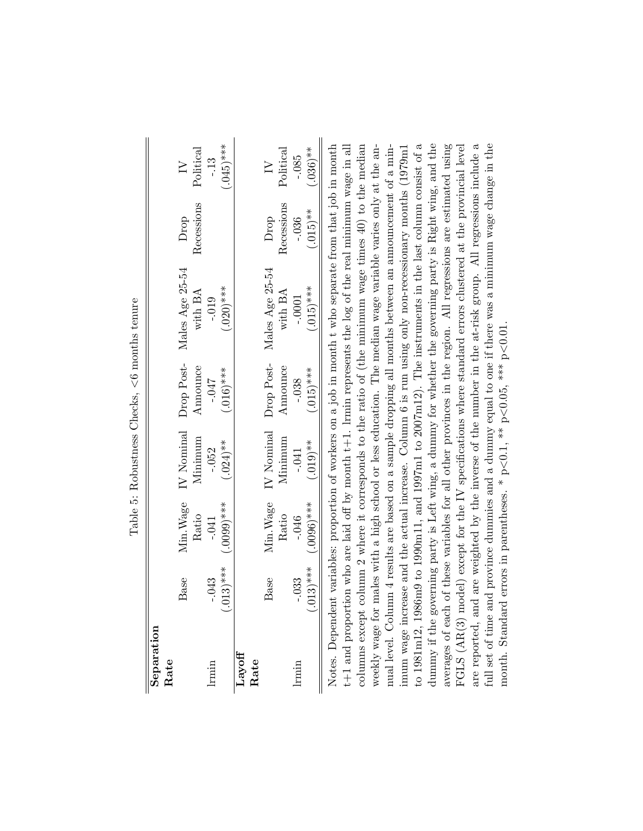| dummy if the governing party is Left wing, a dummy for whether the governing party is Right wing, and the averages of each of these variables for all other provinces in the region. All regressions are estimated using FGLS<br>full set of time and province dummies and a dummy equal to one if there was a minimum wage change in the<br>$(.045)$ ***<br>Notes. Dependent variables: proportion of workers on a job in month t who separate from that job in month<br>$t+1$ and proportion who are laid off by month $t+1$ . Irmin represents the log of the real minimum wage in all<br>columns except column 2 where it corresponds to the ratio of (the minimum wage times $40$ ) to the median<br>to 1981m12, 1986m9 to 1990m11, and 1997m1 to 2007m12). The instruments in the last column consist of a<br>weekly wage for males with a high school or less education. The median wage variable varies only at the annual level. Column 4 results are based on a sample dropping all months between an announcement of a min-<br>are reported, and are weighted by the inverse of the number in the at-risk group. All regressions include a<br>imum wage increase and the actual increase. Column 6 is run using only non-recessionary months (1979m1<br>$(.036)$ **<br>Political<br>Political<br>$-0.85$<br>$-13$<br>$\geq$<br>$\geq$<br>Recessions<br>Recessions<br>$(.015)$ **<br>$-.036$<br>Drop<br>Drop<br>Males Age 25-54<br>Males Age 25-54<br>$(.015)$ ***<br>$(.020)$ ***<br>with BA<br>with BA<br>$-0.019$<br>$-.0001$<br>month. Standard errors in parentheses. * $p<0.1$ , ** $p<0.05$ , *** $p<0.01$<br>Drop Post-<br>Drop Post-<br>Announce<br>Announce<br>$(.015)^***$<br>$(.016)$ ***<br><b>170-</b><br>$-0.38$<br>IV Nominal<br>IV Nominal<br>Minimum<br>Minimum<br>$(.019)$ **<br>$(.024)$ **<br>$-.052$<br>$-041$<br>Min. Wage<br>$(.0006)$ ***<br>$(.0000)****$<br>Min. Wage<br>Ratio<br>Ratio<br>$-046$<br>$-.041$<br>$(013)$ ***<br>$.013)***$<br>Base<br>$-.043$<br>Base<br>$-.033$<br>Separation<br>$_{\rm Layoff}$<br>Rate<br>Rate<br><b>Irmin</b><br>lrmin |  | Table 5: Robustness Checks, $< 6$ months tenure |  |  |
|------------------------------------------------------------------------------------------------------------------------------------------------------------------------------------------------------------------------------------------------------------------------------------------------------------------------------------------------------------------------------------------------------------------------------------------------------------------------------------------------------------------------------------------------------------------------------------------------------------------------------------------------------------------------------------------------------------------------------------------------------------------------------------------------------------------------------------------------------------------------------------------------------------------------------------------------------------------------------------------------------------------------------------------------------------------------------------------------------------------------------------------------------------------------------------------------------------------------------------------------------------------------------------------------------------------------------------------------------------------------------------------------------------------------------------------------------------------------------------------------------------------------------------------------------------------------------------------------------------------------------------------------------------------------------------------------------------------------------------------------------------------------------------------------------------------------------------------------------------------------------------------------------------------------------------------------------------------------------------------------------------------------------------------------------------------------------------------------|--|-------------------------------------------------|--|--|
|                                                                                                                                                                                                                                                                                                                                                                                                                                                                                                                                                                                                                                                                                                                                                                                                                                                                                                                                                                                                                                                                                                                                                                                                                                                                                                                                                                                                                                                                                                                                                                                                                                                                                                                                                                                                                                                                                                                                                                                                                                                                                                |  |                                                 |  |  |
|                                                                                                                                                                                                                                                                                                                                                                                                                                                                                                                                                                                                                                                                                                                                                                                                                                                                                                                                                                                                                                                                                                                                                                                                                                                                                                                                                                                                                                                                                                                                                                                                                                                                                                                                                                                                                                                                                                                                                                                                                                                                                                |  |                                                 |  |  |
|                                                                                                                                                                                                                                                                                                                                                                                                                                                                                                                                                                                                                                                                                                                                                                                                                                                                                                                                                                                                                                                                                                                                                                                                                                                                                                                                                                                                                                                                                                                                                                                                                                                                                                                                                                                                                                                                                                                                                                                                                                                                                                |  |                                                 |  |  |
|                                                                                                                                                                                                                                                                                                                                                                                                                                                                                                                                                                                                                                                                                                                                                                                                                                                                                                                                                                                                                                                                                                                                                                                                                                                                                                                                                                                                                                                                                                                                                                                                                                                                                                                                                                                                                                                                                                                                                                                                                                                                                                |  |                                                 |  |  |
|                                                                                                                                                                                                                                                                                                                                                                                                                                                                                                                                                                                                                                                                                                                                                                                                                                                                                                                                                                                                                                                                                                                                                                                                                                                                                                                                                                                                                                                                                                                                                                                                                                                                                                                                                                                                                                                                                                                                                                                                                                                                                                |  |                                                 |  |  |
|                                                                                                                                                                                                                                                                                                                                                                                                                                                                                                                                                                                                                                                                                                                                                                                                                                                                                                                                                                                                                                                                                                                                                                                                                                                                                                                                                                                                                                                                                                                                                                                                                                                                                                                                                                                                                                                                                                                                                                                                                                                                                                |  |                                                 |  |  |
|                                                                                                                                                                                                                                                                                                                                                                                                                                                                                                                                                                                                                                                                                                                                                                                                                                                                                                                                                                                                                                                                                                                                                                                                                                                                                                                                                                                                                                                                                                                                                                                                                                                                                                                                                                                                                                                                                                                                                                                                                                                                                                |  |                                                 |  |  |
|                                                                                                                                                                                                                                                                                                                                                                                                                                                                                                                                                                                                                                                                                                                                                                                                                                                                                                                                                                                                                                                                                                                                                                                                                                                                                                                                                                                                                                                                                                                                                                                                                                                                                                                                                                                                                                                                                                                                                                                                                                                                                                |  |                                                 |  |  |
|                                                                                                                                                                                                                                                                                                                                                                                                                                                                                                                                                                                                                                                                                                                                                                                                                                                                                                                                                                                                                                                                                                                                                                                                                                                                                                                                                                                                                                                                                                                                                                                                                                                                                                                                                                                                                                                                                                                                                                                                                                                                                                |  |                                                 |  |  |
|                                                                                                                                                                                                                                                                                                                                                                                                                                                                                                                                                                                                                                                                                                                                                                                                                                                                                                                                                                                                                                                                                                                                                                                                                                                                                                                                                                                                                                                                                                                                                                                                                                                                                                                                                                                                                                                                                                                                                                                                                                                                                                |  |                                                 |  |  |
|                                                                                                                                                                                                                                                                                                                                                                                                                                                                                                                                                                                                                                                                                                                                                                                                                                                                                                                                                                                                                                                                                                                                                                                                                                                                                                                                                                                                                                                                                                                                                                                                                                                                                                                                                                                                                                                                                                                                                                                                                                                                                                |  |                                                 |  |  |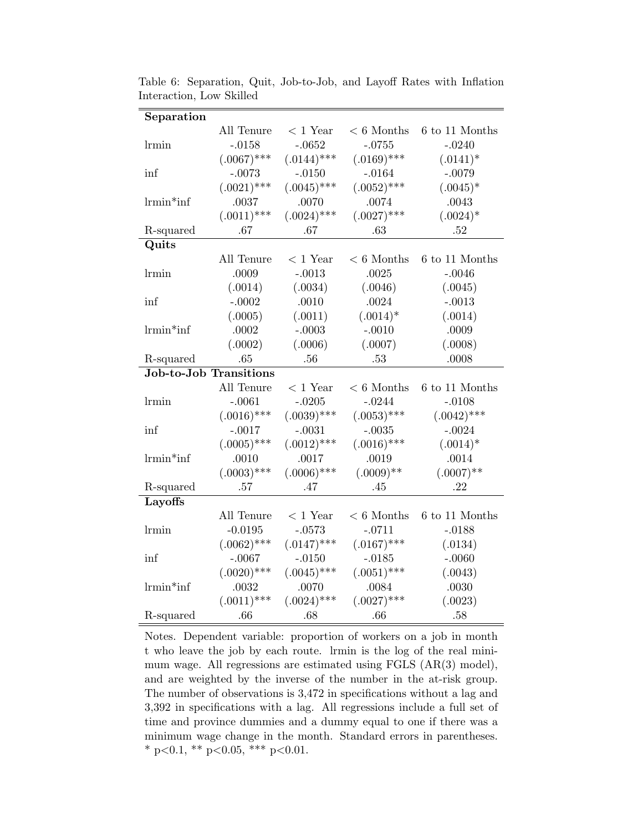| Separation                    |               |               |               |                |
|-------------------------------|---------------|---------------|---------------|----------------|
|                               | All Tenure    | $<$ 1 Year    | $< 6$ Months  | 6 to 11 Months |
| lrmin                         | $-.0158$      | $-.0652$      | $-.0755$      | $-.0240$       |
|                               | $(.0067)$ *** | $(.0144)$ *** | $(.0169)$ *** | $(.0141)^*$    |
| inf                           | $-.0073$      | $-.0150$      | $-.0164$      | $-.0079$       |
|                               | $(.0021)$ *** | $(.0045)$ *** | $(.0052)$ *** | $(.0045)^*$    |
| $l$ rmin*inf                  | .0037         | .0070         | .0074         | .0043          |
|                               | $(.0011)$ *** | $(.0024)$ *** | $(.0027)$ *** | $(.0024)*$     |
| R-squared                     | .67           | .67           | .63           | .52            |
| Quits                         |               |               |               |                |
|                               | All Tenure    | $<$ 1 Year    | $< 6$ Months  | 6 to 11 Months |
| lrmin                         | .0009         | $-.0013$      | $.0025\,$     | $-.0046$       |
|                               | (.0014)       | (.0034)       | (.0046)       | (.0045)        |
| inf                           | $-.0002$      | .0010         | .0024         | $-.0013$       |
|                               | (.0005)       | (.0011)       | $(.0014)*$    | (.0014)        |
| $l$ rmin*inf                  | .0002         | $-.0003$      | $-.0010$      | .0009          |
|                               | (.0002)       | (.0006)       | (.0007)       | (.0008)        |
| R-squared                     | .65           | .56           | .53           | .0008          |
| <b>Job-to-Job Transitions</b> |               |               |               |                |
|                               | All Tenure    | $<$ 1 Year    | $< 6$ Months  | 6 to 11 Months |
| lrmin                         | $-.0061$      | $-.0205$      | $-.0244$      | $-.0108$       |
|                               | $(.0016)$ *** | $(.0039)$ *** | $(.0053)$ *** | $(.0042)$ ***  |
| inf                           | $-.0017$      | $-.0031$      | $-.0035$      | $-.0024$       |
|                               | $(.0005)$ *** | $(.0012)$ *** | $(.0016)$ *** | $(.0014)*$     |
| $l$ rmin*inf                  | .0010         | .0017         | .0019         | .0014          |
|                               | $(.0003)$ *** | $(.0006)$ *** | $(.0009)$ **  | $(.0007)$ **   |
| R-squared                     | .57           | .47           | .45           | .22            |
| Layoffs                       |               |               |               |                |
|                               | All Tenure    | $<$ 1 Year    | $< 6$ Months  | 6 to 11 Months |
| lrmin                         | $-0.0195$     | $-.0573$      | $-.0711$      | $-.0188$       |
|                               | $(.0062)$ *** | $(.0147)$ *** | $(.0167)$ *** | (.0134)        |
| inf                           | $-.0067$      | $-.0150$      | $-.0185$      | $-.0060$       |
|                               | $(.0020)$ *** | $(.0045)$ *** | $(.0051)$ *** | (.0043)        |
| $l$ rmin*inf                  | .0032         | .0070         | .0084         | .0030          |
|                               | $(.0011)$ *** | $(.0024)$ *** | $(.0027)$ *** | (.0023)        |
| R-squared                     | .66           | .68           | .66           | .58            |

Table 6: Separation, Quit, Job-to-Job, and Layoff Rates with Inflation Interaction, Low Skilled

Notes. Dependent variable: proportion of workers on a job in month t who leave the job by each route. lrmin is the log of the real minimum wage. All regressions are estimated using FGLS  $(AR(3) \text{ model})$ , and are weighted by the inverse of the number in the at-risk group. The number of observations is 3,472 in specifications without a lag and 3,392 in specifications with a lag. All regressions include a full set of time and province dummies and a dummy equal to one if there was a minimum wage change in the month. Standard errors in parentheses. \* p<0.1, \*\* p<0.05, \*\*\* p<0.01.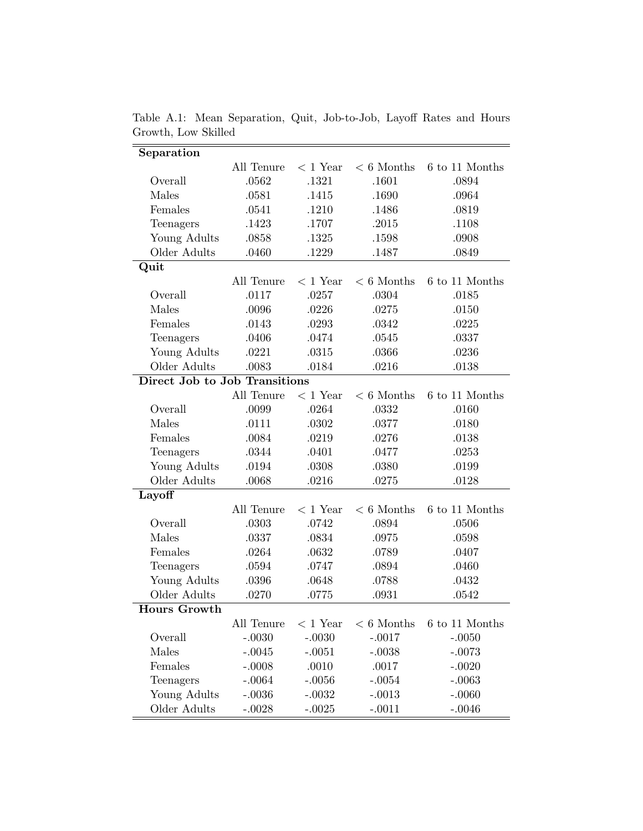| Separation                    |            |            |              |                |
|-------------------------------|------------|------------|--------------|----------------|
|                               | All Tenure | $<$ 1 Year | $< 6$ Months | 6 to 11 Months |
| Overall                       | .0562      | .1321      | .1601        | .0894          |
| Males                         | .0581      | .1415      | .1690        | .0964          |
| Females                       | .0541      | .1210      | .1486        | .0819          |
| Teenagers                     | .1423      | .1707      | .2015        | .1108          |
| Young Adults                  | .0858      | .1325      | .1598        | .0908          |
| Older Adults                  | .0460      | .1229      | .1487        | .0849          |
| Quit                          |            |            |              |                |
|                               | All Tenure | $<$ 1 Year | $< 6$ Months | 6 to 11 Months |
| Overall                       | .0117      | .0257      | .0304        | .0185          |
| Males                         | .0096      | .0226      | .0275        | .0150          |
| Females                       | .0143      | .0293      | .0342        | .0225          |
| Teenagers                     | .0406      | .0474      | .0545        | .0337          |
| Young Adults                  | .0221      | .0315      | .0366        | .0236          |
| Older Adults                  | .0083      | .0184      | .0216        | .0138          |
| Direct Job to Job Transitions |            |            |              |                |
|                               | All Tenure | $< 1$ Year | $< 6$ Months | 6 to 11 Months |
| Overall                       | .0099      | .0264      | .0332        | .0160          |
| Males                         | .0111      | .0302      | .0377        | .0180          |
| Females                       | .0084      | .0219      | .0276        | .0138          |
| Teenagers                     | .0344      | .0401      | .0477        | .0253          |
| Young Adults                  | .0194      | .0308      | .0380        | .0199          |
| Older Adults                  | .0068      | .0216      | .0275        | .0128          |
| Layoff                        |            |            |              |                |
|                               | All Tenure | $< 1$ Year | $< 6$ Months | 6 to 11 Months |
| Overall                       | .0303      | .0742      | .0894        | .0506          |
| Males                         | .0337      | .0834      | .0975        | .0598          |
| Females                       | .0264      | .0632      | .0789        | .0407          |
| Teenagers                     | .0594      | .0747      | .0894        | .0460          |
| Young Adults                  | .0396      | .0648      | .0788        | .0432          |
| Older Adults                  | .0270      | .0775      | .0931        | .0542          |
| <b>Hours Growth</b>           |            |            |              |                |
|                               | All Tenure | $< 1$ Year | $< 6$ Months | 6 to 11 Months |
| Overall                       | $-.0030$   | $-.0030$   | $-.0017$     | $-.0050$       |
| Males                         | $-.0045$   | $-.0051$   | $-.0038$     | $-.0073$       |
| Females                       | $-.0008$   | .0010      | .0017        | $-.0020$       |
| Teenagers                     | $-.0064$   | $-.0056$   | $-.0054$     | $-.0063$       |
| Young Adults                  | $-.0036$   | $-.0032$   | $-.0013$     | $-.0060$       |
| Older Adults                  | $-.0028$   | $-.0025$   | $-.0011$     | $-.0046$       |
|                               |            |            |              |                |

Table A.1: Mean Separation, Quit, Job-to-Job, Layoff Rates and Hours Growth, Low Skilled  $\overline{a}$